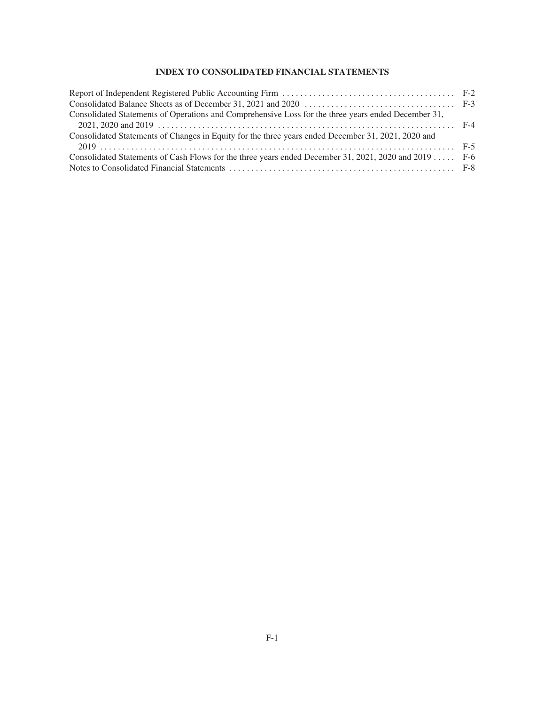# **INDEX TO CONSOLIDATED FINANCIAL STATEMENTS**

| Consolidated Statements of Operations and Comprehensive Loss for the three years ended December 31,   |  |
|-------------------------------------------------------------------------------------------------------|--|
|                                                                                                       |  |
| Consolidated Statements of Changes in Equity for the three years ended December 31, 2021, 2020 and    |  |
|                                                                                                       |  |
| Consolidated Statements of Cash Flows for the three years ended December 31, 2021, 2020 and 2019  F-6 |  |
|                                                                                                       |  |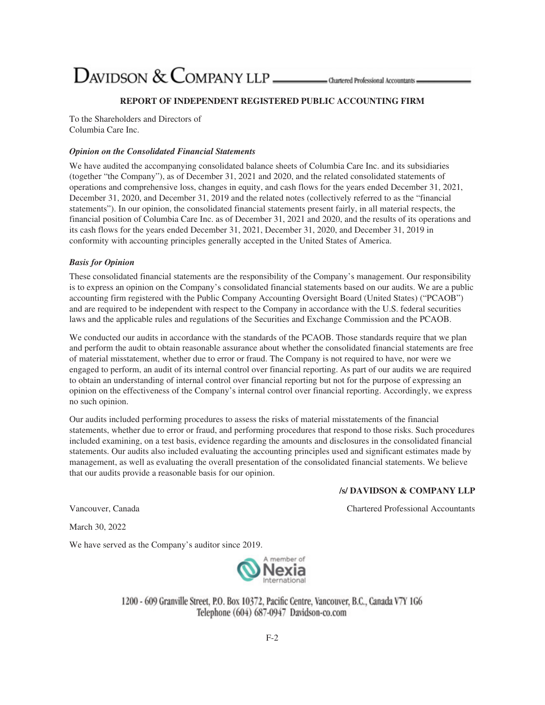# $D$ AVIDSON  $\&$  COMPANY LLP  $\_\_\_\_\$ Ohartered Professional Accountants

## **REPORT OF INDEPENDENT REGISTERED PUBLIC ACCOUNTING FIRM**

To the Shareholders and Directors of Columbia Care Inc.

# *Opinion on the Consolidated Financial Statements*

We have audited the accompanying consolidated balance sheets of Columbia Care Inc. and its subsidiaries (together "the Company"), as of December 31, 2021 and 2020, and the related consolidated statements of operations and comprehensive loss, changes in equity, and cash flows for the years ended December 31, 2021, December 31, 2020, and December 31, 2019 and the related notes (collectively referred to as the "financial statements"). In our opinion, the consolidated financial statements present fairly, in all material respects, the financial position of Columbia Care Inc. as of December 31, 2021 and 2020, and the results of its operations and its cash flows for the years ended December 31, 2021, December 31, 2020, and December 31, 2019 in conformity with accounting principles generally accepted in the United States of America.

#### *Basis for Opinion*

These consolidated financial statements are the responsibility of the Company's management. Our responsibility is to express an opinion on the Company's consolidated financial statements based on our audits. We are a public accounting firm registered with the Public Company Accounting Oversight Board (United States) ("PCAOB") and are required to be independent with respect to the Company in accordance with the U.S. federal securities laws and the applicable rules and regulations of the Securities and Exchange Commission and the PCAOB.

We conducted our audits in accordance with the standards of the PCAOB. Those standards require that we plan and perform the audit to obtain reasonable assurance about whether the consolidated financial statements are free of material misstatement, whether due to error or fraud. The Company is not required to have, nor were we engaged to perform, an audit of its internal control over financial reporting. As part of our audits we are required to obtain an understanding of internal control over financial reporting but not for the purpose of expressing an opinion on the effectiveness of the Company's internal control over financial reporting. Accordingly, we express no such opinion.

Our audits included performing procedures to assess the risks of material misstatements of the financial statements, whether due to error or fraud, and performing procedures that respond to those risks. Such procedures included examining, on a test basis, evidence regarding the amounts and disclosures in the consolidated financial statements. Our audits also included evaluating the accounting principles used and significant estimates made by management, as well as evaluating the overall presentation of the consolidated financial statements. We believe that our audits provide a reasonable basis for our opinion.

#### **/s/ DAVIDSON & COMPANY LLP**

Vancouver, Canada Chartered Professional Accountants

March 30, 2022

We have served as the Company's auditor since 2019.



1200 - 609 Granville Street, P.O. Box 10372, Pacific Centre, Vancouver, B.C., Canada V7Y 1G6 Telephone (604) 687-0947 Davidson-co.com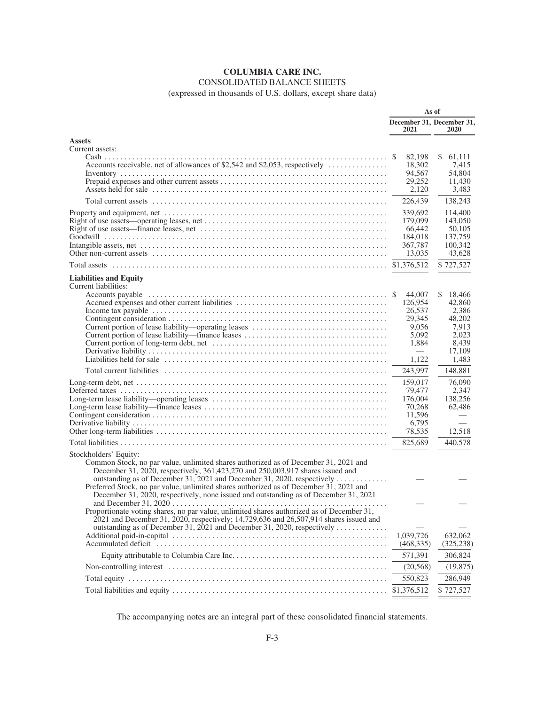# CONSOLIDATED BALANCE SHEETS

(expressed in thousands of U.S. dollars, except share data)

|                                                                                                                                                                                                                                                                                          | As of                             |                                 |
|------------------------------------------------------------------------------------------------------------------------------------------------------------------------------------------------------------------------------------------------------------------------------------------|-----------------------------------|---------------------------------|
|                                                                                                                                                                                                                                                                                          | December 31, December 31,<br>2021 | 2020                            |
| <b>Assets</b>                                                                                                                                                                                                                                                                            |                                   |                                 |
| Current assets:                                                                                                                                                                                                                                                                          |                                   |                                 |
|                                                                                                                                                                                                                                                                                          | 82,198<br>18,302<br>94,567        | 61,111<br>\$<br>7,415<br>54,804 |
|                                                                                                                                                                                                                                                                                          | 29,252<br>2,120                   | 11,430<br>3,483                 |
|                                                                                                                                                                                                                                                                                          | 226,439                           | 138,243                         |
|                                                                                                                                                                                                                                                                                          | 339,692<br>179,099                | 114,400<br>143,050              |
|                                                                                                                                                                                                                                                                                          | 66,442                            | 50,105                          |
|                                                                                                                                                                                                                                                                                          | 184,018<br>367,787                | 137,759<br>100,342              |
|                                                                                                                                                                                                                                                                                          | 13,035                            | 43,628                          |
|                                                                                                                                                                                                                                                                                          | \$1,376,512                       | \$727,527                       |
| <b>Liabilities and Equity</b>                                                                                                                                                                                                                                                            |                                   |                                 |
| Current liabilities:                                                                                                                                                                                                                                                                     |                                   |                                 |
|                                                                                                                                                                                                                                                                                          | 44,007                            | \$<br>18,466                    |
|                                                                                                                                                                                                                                                                                          | 126,954                           | 42,860                          |
|                                                                                                                                                                                                                                                                                          | 26,537<br>29,345                  | 2,386<br>48,202                 |
|                                                                                                                                                                                                                                                                                          | 9,056                             | 7,913                           |
|                                                                                                                                                                                                                                                                                          | 5,092                             | 2,023                           |
|                                                                                                                                                                                                                                                                                          | 1,884                             | 8,439                           |
|                                                                                                                                                                                                                                                                                          | 1,122                             | 17,109<br>1,483                 |
|                                                                                                                                                                                                                                                                                          | 243,997                           | 148,881                         |
|                                                                                                                                                                                                                                                                                          |                                   |                                 |
|                                                                                                                                                                                                                                                                                          | 159,017<br>79,477                 | 76,090<br>2,347                 |
|                                                                                                                                                                                                                                                                                          | 176,004                           | 138,256                         |
|                                                                                                                                                                                                                                                                                          | 70,268                            | 62,486                          |
|                                                                                                                                                                                                                                                                                          | 11,596                            |                                 |
|                                                                                                                                                                                                                                                                                          | 6,795<br>78,535                   | 12,518                          |
|                                                                                                                                                                                                                                                                                          | 825,689                           | 440,578                         |
| Stockholders' Equity:                                                                                                                                                                                                                                                                    |                                   |                                 |
| Common Stock, no par value, unlimited shares authorized as of December 31, 2021 and<br>December 31, 2020, respectively, 361,423,270 and 250,003,917 shares issued and                                                                                                                    |                                   |                                 |
| outstanding as of December 31, 2021 and December 31, 2020, respectively<br>Preferred Stock, no par value, unlimited shares authorized as of December 31, 2021 and<br>December 31, 2020, respectively, none issued and outstanding as of December 31, 2021                                |                                   |                                 |
| and December 31, $2020$<br>Proportionate voting shares, no par value, unlimited shares authorized as of December 31,<br>2021 and December 31, 2020, respectively; 14,729,636 and 26,507,914 shares issued and<br>outstanding as of December 31, 2021 and December 31, 2020, respectively |                                   |                                 |
|                                                                                                                                                                                                                                                                                          | 1,039,726                         | 632,062                         |
|                                                                                                                                                                                                                                                                                          | (468, 335)                        | (325, 238)                      |
|                                                                                                                                                                                                                                                                                          | 571,391                           | 306,824                         |
|                                                                                                                                                                                                                                                                                          | (20, 568)                         | (19, 875)                       |
|                                                                                                                                                                                                                                                                                          | 550,823                           | 286,949                         |
|                                                                                                                                                                                                                                                                                          | \$1,376,512                       | \$727,527                       |

The accompanying notes are an integral part of these consolidated financial statements.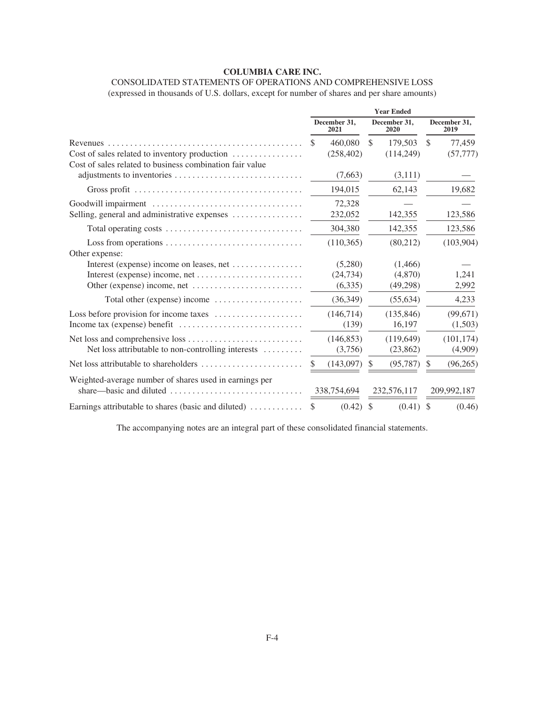# CONSOLIDATED STATEMENTS OF OPERATIONS AND COMPREHENSIVE LOSS

(expressed in thousands of U.S. dollars, except for number of shares and per share amounts)

|                                                                                    |                            | <b>Year Ended</b>         |                         |
|------------------------------------------------------------------------------------|----------------------------|---------------------------|-------------------------|
|                                                                                    | December 31,<br>2021       | December 31,<br>2020      | December 31,<br>2019    |
| Revenues                                                                           | 460,080<br><sup>\$</sup>   | <sup>\$</sup><br>179.503  | <sup>\$</sup><br>77,459 |
| Cost of sales related to inventory production                                      | (258, 402)                 | (114,249)                 | (57, 777)               |
| Cost of sales related to business combination fair value                           |                            |                           |                         |
|                                                                                    | (7,663)                    | (3,111)                   |                         |
|                                                                                    | 194,015                    | 62,143                    | 19,682                  |
| Goodwill impairment                                                                | 72,328                     |                           |                         |
| Selling, general and administrative expenses                                       | 232,052                    | 142,355                   | 123,586                 |
|                                                                                    | 304,380                    | 142,355                   | 123,586                 |
| Loss from operations $\dots \dots \dots \dots \dots \dots \dots \dots \dots \dots$ | (110, 365)                 | (80,212)                  | (103,904)               |
| Other expense:                                                                     |                            |                           |                         |
| Interest (expense) income on leases, net $\dots \dots \dots \dots$                 | (5,280)                    | (1,466)                   |                         |
|                                                                                    | (24, 734)                  | (4,870)                   | 1,241                   |
|                                                                                    | (6,335)                    | (49,298)                  | 2,992                   |
| Total other (expense) income                                                       | (36, 349)                  | (55, 634)                 | 4,233                   |
| Loss before provision for income taxes $\dots\dots\dots\dots\dots\dots\dots$       | (146,714)                  | (135, 846)                | (99, 671)               |
|                                                                                    | (139)                      | 16,197                    | (1,503)                 |
|                                                                                    | (146.853)                  | (119.649)                 | (101, 174)              |
| Net loss attributable to non-controlling interests                                 | (3,756)                    | (23, 862)                 | (4,909)                 |
|                                                                                    | (143,097)<br><sup>\$</sup> | $\mathbb{S}$<br>(95, 787) | (96, 265)<br>\$         |
| Weighted-average number of shares used in earnings per                             |                            |                           |                         |
| share—basic and diluted $\dots \dots \dots \dots \dots \dots \dots \dots \dots$    | 338,754,694                | 232,576,117               | 209,992,187             |
| Earnings attributable to shares (basic and diluted)                                | (0.42)<br>S                | (0.41)<br>$\mathcal{S}$   | (0.46)<br>-S            |

The accompanying notes are an integral part of these consolidated financial statements.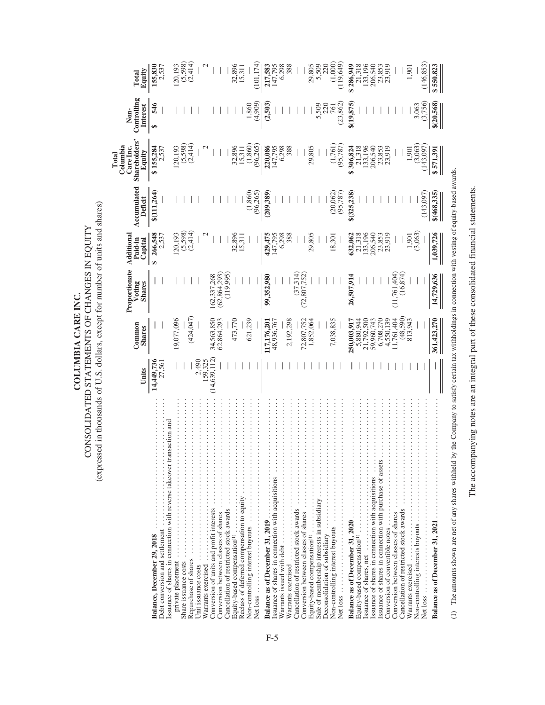| COLUMBIA CARE INC. | CONSOLIDATED STATEMENTS OF CHANGES IN EQUITY | ressed in thousands of U.S. dollars, except for number of units and share |
|--------------------|----------------------------------------------|---------------------------------------------------------------------------|
|--------------------|----------------------------------------------|---------------------------------------------------------------------------|

**Total**

|                                                                                                                                                                                                                                                                                                                                                             |                      |                         | Proportionate                   | Additional             |                          | Columbia<br>Care Inc.                                      | Non-                    |                                     |
|-------------------------------------------------------------------------------------------------------------------------------------------------------------------------------------------------------------------------------------------------------------------------------------------------------------------------------------------------------------|----------------------|-------------------------|---------------------------------|------------------------|--------------------------|------------------------------------------------------------|-------------------------|-------------------------------------|
|                                                                                                                                                                                                                                                                                                                                                             | Units                | Common<br><b>Shares</b> | Voting<br><b>Shares</b>         | Paid-in<br>Capital     | Accumulated<br>Deficit   | <b>Shareholders'</b><br>Equity                             | Controlling<br>Interest | Equity<br>Total                     |
| .<br>Balance, December 29, 2018                                                                                                                                                                                                                                                                                                                             | 14,449,736<br>27,561 |                         |                                 | 266,548                | \$(111, 264)             | $$155,284$<br>$2,537$                                      | 546<br>€Ĥ               | 155,830<br>2,537                    |
| Debt conversion and settlement                                                                                                                                                                                                                                                                                                                              |                      |                         |                                 | 2,537                  |                          |                                                            |                         |                                     |
| Issuance of shares in connection with reverse takeover transaction and                                                                                                                                                                                                                                                                                      |                      | 19,077,096              |                                 | 20,193                 |                          |                                                            |                         |                                     |
| private placement<br>Share issuance costs                                                                                                                                                                                                                                                                                                                   |                      |                         |                                 |                        |                          | $120,193$<br>$(5,598)$<br>$(2,414)$                        |                         | $120,193$<br>$(5,598)$<br>$(2,414)$ |
| Repurchase of shares                                                                                                                                                                                                                                                                                                                                        |                      | (424, 047)              |                                 | $(5,598)$<br>$(2,414)$ |                          |                                                            |                         |                                     |
| Unit issuance costs                                                                                                                                                                                                                                                                                                                                         | 2,490                |                         |                                 |                        |                          |                                                            |                         |                                     |
| Warrants exercised                                                                                                                                                                                                                                                                                                                                          | 159,325              |                         |                                 |                        |                          |                                                            |                         |                                     |
| Conversion of units and profit interests                                                                                                                                                                                                                                                                                                                    | 14,639,112)          | 34,563,850              | 162,337,268                     |                        |                          |                                                            |                         |                                     |
| Conversion between classes of shares                                                                                                                                                                                                                                                                                                                        |                      | 62,864,293              | 62,864,293                      |                        |                          |                                                            |                         |                                     |
| .<br>Cancellation of restricted stock awards                                                                                                                                                                                                                                                                                                                |                      |                         | (119,995                        |                        |                          |                                                            |                         |                                     |
| Equity-based compensation <sup>(1)</sup>                                                                                                                                                                                                                                                                                                                    |                      | 473,770                 |                                 | 32,896                 |                          |                                                            |                         | 32,896<br>15,311                    |
| Reclass of deferred compensation to equity                                                                                                                                                                                                                                                                                                                  |                      |                         |                                 | 15,311                 |                          |                                                            |                         |                                     |
|                                                                                                                                                                                                                                                                                                                                                             |                      | 621,239                 |                                 |                        | $(1,860)$<br>$(96,265)$  | $\begin{array}{c} 32,896 \\ 15,311 \\ (1,860) \end{array}$ | 1,860                   |                                     |
| .<br>Net loss.                                                                                                                                                                                                                                                                                                                                              |                      |                         |                                 |                        |                          | (96, 265)                                                  | (4,909)                 | (101, 174)                          |
| <b>Balance as of December 31, 2019</b> $\dots$ $\dots$ $\dots$ $\dots$ $\dots$ .                                                                                                                                                                                                                                                                            |                      | 17,176,201              | 99,352,980                      | 429,475                | (209, 389)               | 220,086                                                    | (2,503)                 | 217,583                             |
| $\frac{1}{2}$                                                                                                                                                                                                                                                                                                                                               |                      | 48,936,767              |                                 | 147,795                |                          | 147,795                                                    |                         | 147,795                             |
| Warrants issued with debt                                                                                                                                                                                                                                                                                                                                   |                      |                         |                                 | 6,298                  |                          | 6,298                                                      |                         | 6.298                               |
| Warrants exercised $\cdots \cdots \cdots \cdots \cdots$                                                                                                                                                                                                                                                                                                     |                      | 2,192,298               |                                 | 388                    |                          | 388                                                        |                         |                                     |
| .<br>Cancellation of restricted stock awards                                                                                                                                                                                                                                                                                                                |                      |                         | (37, 314)                       |                        |                          |                                                            |                         |                                     |
| $\frac{1}{2}$ $\frac{1}{2}$ $\frac{1}{2}$ $\frac{1}{2}$ $\frac{1}{2}$ $\frac{1}{2}$ $\frac{1}{2}$ $\frac{1}{2}$ $\frac{1}{2}$ $\frac{1}{2}$ $\frac{1}{2}$ $\frac{1}{2}$ $\frac{1}{2}$ $\frac{1}{2}$ $\frac{1}{2}$ $\frac{1}{2}$ $\frac{1}{2}$ $\frac{1}{2}$ $\frac{1}{2}$ $\frac{1}{2}$ $\frac{1}{2}$ $\frac{1}{2}$<br>Conversion between classes of shares |                      | 72,807,752<br>1,852,064 | 72,807,752                      |                        |                          |                                                            |                         |                                     |
|                                                                                                                                                                                                                                                                                                                                                             |                      |                         |                                 | 29,805                 |                          | 29,805                                                     |                         | 29,805                              |
| Sale of membership interests in subsidiary                                                                                                                                                                                                                                                                                                                  |                      |                         |                                 |                        |                          |                                                            |                         | 5,509                               |
| Deconsolidation of subsidiary                                                                                                                                                                                                                                                                                                                               |                      |                         |                                 |                        |                          |                                                            |                         |                                     |
| Non-controlling interest buyouts controlling                                                                                                                                                                                                                                                                                                                |                      | 7,038,835               |                                 | 18,301                 | $(20,062)$<br>$(95,787)$ | $(1,761)$<br>$(95,787)$                                    | 761                     | (1,000)                             |
| Net loss                                                                                                                                                                                                                                                                                                                                                    |                      |                         |                                 |                        |                          |                                                            | (23, 862)               | (119, 649)                          |
|                                                                                                                                                                                                                                                                                                                                                             |                      | 250,003,917             | 26,507,914                      | 632,062                | \$(325,238)              | $$306,824$<br>21,318                                       | \$(19,875               | \$286,949                           |
|                                                                                                                                                                                                                                                                                                                                                             |                      | 5,880,944<br>21,792,500 |                                 | 21,318                 |                          |                                                            |                         | 21,318                              |
| $\frac{1}{2}$<br>Issuance of shares, net                                                                                                                                                                                                                                                                                                                    |                      |                         |                                 | 133,196                |                          | 133,196                                                    |                         | 133,196                             |
| Issuance of shares in connection with acquisitions                                                                                                                                                                                                                                                                                                          |                      | 59,960,743<br>6,708,270 |                                 | 206,540                |                          | 206,540                                                    |                         | 206,540                             |
| Issuance of shares in connection with purchase of assets.                                                                                                                                                                                                                                                                                                   |                      |                         |                                 | 23,853<br>23,919       |                          | 23,853<br>23,919                                           |                         | 23,853<br>23,919                    |
|                                                                                                                                                                                                                                                                                                                                                             |                      | 4,550,139               |                                 |                        |                          |                                                            |                         |                                     |
| .<br>Conversion between classes of shares                                                                                                                                                                                                                                                                                                                   |                      | 1,761,404               | $(11, 761, 404)$<br>$(16, 874)$ |                        |                          |                                                            |                         |                                     |
| Cancellation of restricted stock awards                                                                                                                                                                                                                                                                                                                     |                      | $(48,590)$<br>813,943   |                                 |                        |                          |                                                            |                         |                                     |
| Warrants exercised                                                                                                                                                                                                                                                                                                                                          |                      |                         |                                 | ,901                   |                          | $-901$                                                     |                         | $-901$                              |
| Non-controlling interests buyouts                                                                                                                                                                                                                                                                                                                           |                      |                         |                                 | (3,063)                |                          | (3,063)                                                    | 3,063                   |                                     |
| Net loss                                                                                                                                                                                                                                                                                                                                                    |                      |                         |                                 |                        | (143,097)                | 143,097                                                    | (3,756)                 | (146, 853)                          |
| Balance as of December 31, 2021                                                                                                                                                                                                                                                                                                                             |                      | 361,423,270             | 14,729,636                      | 1,039,726              | \$(468, 335)             | \$571,391                                                  | \$(20,568)              | \$550,823                           |
|                                                                                                                                                                                                                                                                                                                                                             |                      |                         |                                 |                        |                          |                                                            |                         |                                     |

The accompanying notes are an integral part of these consolidated financial statements. The accompanying notes are an integral part of these consolidated financial statements.

(1) The amounts shown are net of any shares withheld by the Company to satisfy certain tax withholdings in connection with vesting of equity-based awards.

(1) The amounts shown are net of any shares withheld by the Company to satisfy certain tax withholdings in connection with vesting of equity-based awards.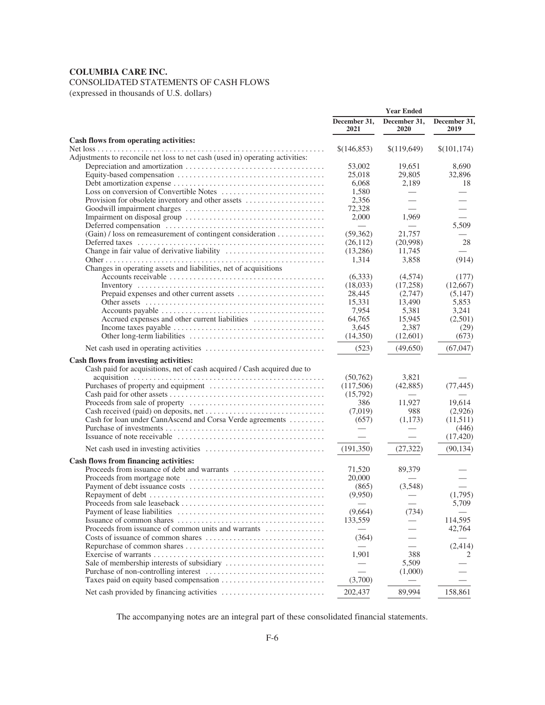# CONSOLIDATED STATEMENTS OF CASH FLOWS

(expressed in thousands of U.S. dollars)

|                                                                                                                  |                      | <b>Year Ended</b>        |                      |
|------------------------------------------------------------------------------------------------------------------|----------------------|--------------------------|----------------------|
|                                                                                                                  | December 31,<br>2021 | December 31,<br>2020     | December 31,<br>2019 |
| Cash flows from operating activities:                                                                            |                      |                          |                      |
| Adjustments to reconcile net loss to net cash (used in) operating activities:                                    | \$(146,853)          | \$(119,649)              | \$(101, 174)         |
|                                                                                                                  | 53,002               | 19.651                   | 8.690                |
|                                                                                                                  | 25,018               | 29,805                   | 32,896               |
|                                                                                                                  | 6,068                | 2,189                    | 18                   |
|                                                                                                                  | 1,580                |                          |                      |
| Provision for obsolete inventory and other assets                                                                | 2,356                |                          |                      |
|                                                                                                                  | 72,328               |                          |                      |
|                                                                                                                  | 2,000                | 1.969                    |                      |
|                                                                                                                  |                      |                          | 5,509                |
| (Gain) / loss on remeasurement of contingent consideration                                                       | (59,362)             | 21,757                   |                      |
|                                                                                                                  | (26, 112)            | (20,998)                 | 28                   |
|                                                                                                                  | (13,286)             | 11,745                   |                      |
|                                                                                                                  | 1,314                | 3,858                    | (914)                |
| Changes in operating assets and liabilities, net of acquisitions                                                 |                      |                          |                      |
|                                                                                                                  | (6,333)              | (4,574)                  | (177)                |
|                                                                                                                  | (18,033)             | (17,258)                 | (12,667)             |
|                                                                                                                  | 28,445               | (2,747)                  | (5,147)              |
|                                                                                                                  | 15,331               | 13,490                   | 5,853                |
|                                                                                                                  | 7,954                | 5,381                    | 3,241                |
| Accrued expenses and other current liabilities                                                                   | 64.765               | 15,945                   | (2,501)              |
|                                                                                                                  | 3,645                | 2,387                    | (29)                 |
|                                                                                                                  | (14,350)             | (12,601)                 | (673)                |
|                                                                                                                  |                      |                          |                      |
|                                                                                                                  | (523)                | (49,650)                 | (67, 047)            |
| Cash flows from investing activities:<br>Cash paid for acquisitions, net of cash acquired / Cash acquired due to |                      |                          |                      |
|                                                                                                                  | (50, 762)            | 3,821                    |                      |
|                                                                                                                  | (117,506)            | (42, 885)                | (77, 445)            |
|                                                                                                                  | (15,792)             |                          |                      |
|                                                                                                                  | 386                  | 11,927                   | 19,614               |
|                                                                                                                  | (7,019)              | 988                      | (2,926)              |
| Cash for loan under CannAscend and Corsa Verde agreements                                                        | (657)                | (1,173)                  | (11,511)             |
|                                                                                                                  |                      |                          | (446)                |
|                                                                                                                  |                      |                          | (17, 420)            |
| Net cash used in investing activities $\dots \dots \dots \dots \dots \dots \dots \dots \dots \dots$              | (191,350)            | (27, 322)                | (90, 134)            |
|                                                                                                                  |                      |                          |                      |
| Cash flows from financing activities:                                                                            |                      |                          |                      |
|                                                                                                                  | 71,520               | 89,379                   |                      |
|                                                                                                                  | 20,000               |                          |                      |
|                                                                                                                  | (865)                | (3.548)                  |                      |
|                                                                                                                  | (9,950)              |                          | (1,795)              |
|                                                                                                                  |                      |                          | 5,709                |
|                                                                                                                  | (9,664)              | (734)                    |                      |
|                                                                                                                  | 133,559              |                          | 114,595              |
| Proceeds from issuance of common units and warrants                                                              |                      |                          | 42,764               |
|                                                                                                                  | (364)                |                          |                      |
|                                                                                                                  |                      | $\overline{\phantom{0}}$ | (2, 414)             |
|                                                                                                                  | 1,901                | 388                      | 2                    |
|                                                                                                                  |                      | 5,509                    |                      |
|                                                                                                                  |                      | (1,000)                  |                      |
|                                                                                                                  | (3,700)              | —                        |                      |
|                                                                                                                  | 202,437              | 89,994                   | 158,861              |

The accompanying notes are an integral part of these consolidated financial statements.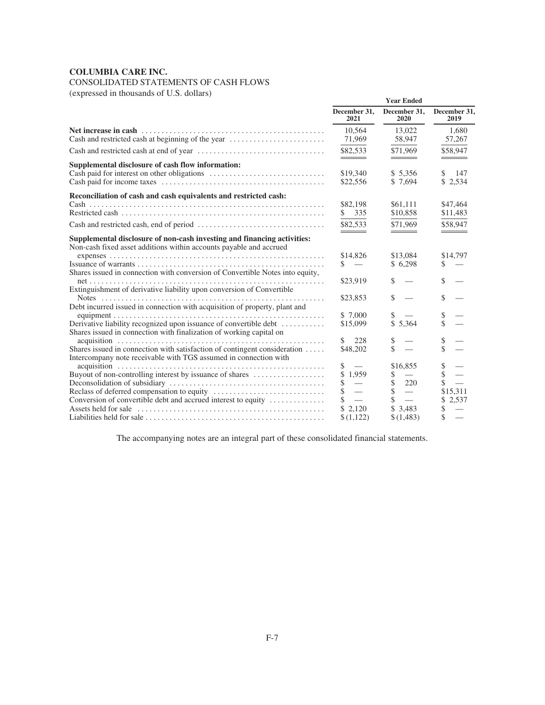# CONSOLIDATED STATEMENTS OF CASH FLOWS

(expressed in thousands of U.S. dollars)

| $(0.8)$ capit esset in thousands of $0.9$ . Gondes                                                                                                                                                                                                                                                                                                                                                                                                                                                                                |                                                                                                         | <b>Year Ended</b>                                                                                                                 |                                                                                                        |
|-----------------------------------------------------------------------------------------------------------------------------------------------------------------------------------------------------------------------------------------------------------------------------------------------------------------------------------------------------------------------------------------------------------------------------------------------------------------------------------------------------------------------------------|---------------------------------------------------------------------------------------------------------|-----------------------------------------------------------------------------------------------------------------------------------|--------------------------------------------------------------------------------------------------------|
|                                                                                                                                                                                                                                                                                                                                                                                                                                                                                                                                   | December 31,<br>2021                                                                                    | December 31,<br>2020                                                                                                              | December 31,<br>2019                                                                                   |
| Cash and restricted cash at beginning of the year                                                                                                                                                                                                                                                                                                                                                                                                                                                                                 | 10.564<br>71,969                                                                                        | 13,022<br>58,947                                                                                                                  | 1,680<br>57,267                                                                                        |
|                                                                                                                                                                                                                                                                                                                                                                                                                                                                                                                                   | \$82,533                                                                                                | \$71.969                                                                                                                          | \$58,947                                                                                               |
| Supplemental disclosure of cash flow information:                                                                                                                                                                                                                                                                                                                                                                                                                                                                                 | \$19,340<br>\$22,556                                                                                    | \$ 5,356<br>\$ 7.694                                                                                                              | \$<br>147<br>\$2,534                                                                                   |
| Reconciliation of cash and cash equivalents and restricted cash:                                                                                                                                                                                                                                                                                                                                                                                                                                                                  |                                                                                                         |                                                                                                                                   |                                                                                                        |
|                                                                                                                                                                                                                                                                                                                                                                                                                                                                                                                                   | \$82,198<br>335                                                                                         | \$61,111<br>\$10,858                                                                                                              | \$47,464<br>\$11,483                                                                                   |
|                                                                                                                                                                                                                                                                                                                                                                                                                                                                                                                                   | \$82,533                                                                                                | \$71.969                                                                                                                          | \$58,947                                                                                               |
| Supplemental disclosure of non-cash investing and financing activities:<br>Non-cash fixed asset additions within accounts payable and accrued<br>Shares issued in connection with conversion of Convertible Notes into equity,<br>Extinguishment of derivative liability upon conversion of Convertible<br>Debt incurred issued in connection with acquisition of property, plant and<br>Derivative liability recognized upon issuance of convertible debt<br>Shares issued in connection with finalization of working capital on | \$14,826<br>S.<br>$\overline{\phantom{a}}$<br>\$23,919<br>\$23,853<br>\$ 7,000<br>\$15,099<br>228<br>\$ | ___<br>\$13,084<br>\$6,298<br>\$<br>\$<br>\$<br>\$5,364                                                                           | \$14,797<br>\$<br>\$<br>\$<br>\$<br>\$<br>\$                                                           |
| Shares issued in connection with satisfaction of contingent consideration                                                                                                                                                                                                                                                                                                                                                                                                                                                         | \$48,202                                                                                                | \$<br>\$                                                                                                                          | \$                                                                                                     |
| Intercompany note receivable with TGS assumed in connection with<br>Buyout of non-controlling interest by issuance of shares<br>Conversion of convertible debt and accrued interest to equity                                                                                                                                                                                                                                                                                                                                     | \$<br>$\frac{1}{1}$<br>\$<br>1,959<br>S<br>$\equiv$<br>$\overline{\phantom{a}}$<br>2.120<br>\$(1,122)   | \$16,855<br>S.<br>$\mathbb{S}$<br>220<br>\$<br>$\overline{\phantom{0}}$<br>\$<br>$\overline{\phantom{a}}$<br>\$3,483<br>\$(1,483) | \$<br>$\dot{\mathbb{S}}$<br>$\frac{1}{2}$<br>\$15,311<br>2,537<br>\$<br>$\overline{\phantom{a}}$<br>\$ |

The accompanying notes are an integral part of these consolidated financial statements.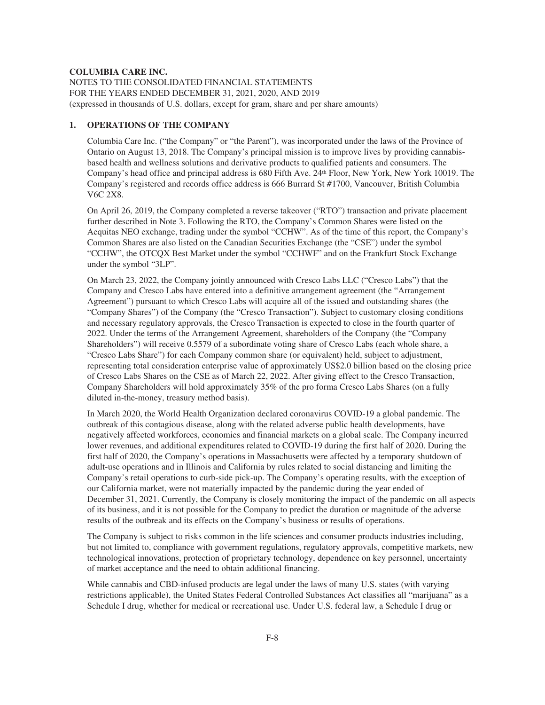NOTES TO THE CONSOLIDATED FINANCIAL STATEMENTS FOR THE YEARS ENDED DECEMBER 31, 2021, 2020, AND 2019 (expressed in thousands of U.S. dollars, except for gram, share and per share amounts)

# **1. OPERATIONS OF THE COMPANY**

Columbia Care Inc. ("the Company" or "the Parent"), was incorporated under the laws of the Province of Ontario on August 13, 2018. The Company's principal mission is to improve lives by providing cannabisbased health and wellness solutions and derivative products to qualified patients and consumers. The Company's head office and principal address is 680 Fifth Ave. 24<sup>th</sup> Floor, New York, New York 10019. The Company's registered and records office address is 666 Burrard St #1700, Vancouver, British Columbia V6C 2X8.

On April 26, 2019, the Company completed a reverse takeover ("RTO") transaction and private placement further described in Note 3. Following the RTO, the Company's Common Shares were listed on the Aequitas NEO exchange, trading under the symbol "CCHW". As of the time of this report, the Company's Common Shares are also listed on the Canadian Securities Exchange (the "CSE") under the symbol "CCHW", the OTCQX Best Market under the symbol "CCHWF" and on the Frankfurt Stock Exchange under the symbol "3LP".

On March 23, 2022, the Company jointly announced with Cresco Labs LLC ("Cresco Labs") that the Company and Cresco Labs have entered into a definitive arrangement agreement (the "Arrangement Agreement") pursuant to which Cresco Labs will acquire all of the issued and outstanding shares (the "Company Shares") of the Company (the "Cresco Transaction"). Subject to customary closing conditions and necessary regulatory approvals, the Cresco Transaction is expected to close in the fourth quarter of 2022. Under the terms of the Arrangement Agreement, shareholders of the Company (the "Company Shareholders") will receive 0.5579 of a subordinate voting share of Cresco Labs (each whole share, a "Cresco Labs Share") for each Company common share (or equivalent) held, subject to adjustment, representing total consideration enterprise value of approximately US\$2.0 billion based on the closing price of Cresco Labs Shares on the CSE as of March 22, 2022. After giving effect to the Cresco Transaction, Company Shareholders will hold approximately 35% of the pro forma Cresco Labs Shares (on a fully diluted in-the-money, treasury method basis).

In March 2020, the World Health Organization declared coronavirus COVID-19 a global pandemic. The outbreak of this contagious disease, along with the related adverse public health developments, have negatively affected workforces, economies and financial markets on a global scale. The Company incurred lower revenues, and additional expenditures related to COVID-19 during the first half of 2020. During the first half of 2020, the Company's operations in Massachusetts were affected by a temporary shutdown of adult-use operations and in Illinois and California by rules related to social distancing and limiting the Company's retail operations to curb-side pick-up. The Company's operating results, with the exception of our California market, were not materially impacted by the pandemic during the year ended of December 31, 2021. Currently, the Company is closely monitoring the impact of the pandemic on all aspects of its business, and it is not possible for the Company to predict the duration or magnitude of the adverse results of the outbreak and its effects on the Company's business or results of operations.

The Company is subject to risks common in the life sciences and consumer products industries including, but not limited to, compliance with government regulations, regulatory approvals, competitive markets, new technological innovations, protection of proprietary technology, dependence on key personnel, uncertainty of market acceptance and the need to obtain additional financing.

While cannabis and CBD-infused products are legal under the laws of many U.S. states (with varying restrictions applicable), the United States Federal Controlled Substances Act classifies all "marijuana" as a Schedule I drug, whether for medical or recreational use. Under U.S. federal law, a Schedule I drug or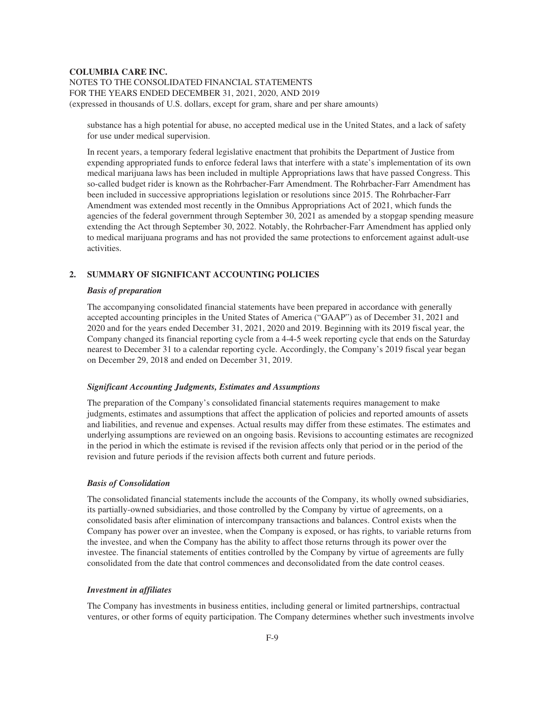substance has a high potential for abuse, no accepted medical use in the United States, and a lack of safety for use under medical supervision.

In recent years, a temporary federal legislative enactment that prohibits the Department of Justice from expending appropriated funds to enforce federal laws that interfere with a state's implementation of its own medical marijuana laws has been included in multiple Appropriations laws that have passed Congress. This so-called budget rider is known as the Rohrbacher-Farr Amendment. The Rohrbacher-Farr Amendment has been included in successive appropriations legislation or resolutions since 2015. The Rohrbacher-Farr Amendment was extended most recently in the Omnibus Appropriations Act of 2021, which funds the agencies of the federal government through September 30, 2021 as amended by a stopgap spending measure extending the Act through September 30, 2022. Notably, the Rohrbacher-Farr Amendment has applied only to medical marijuana programs and has not provided the same protections to enforcement against adult-use activities.

# **2. SUMMARY OF SIGNIFICANT ACCOUNTING POLICIES**

#### *Basis of preparation*

The accompanying consolidated financial statements have been prepared in accordance with generally accepted accounting principles in the United States of America ("GAAP") as of December 31, 2021 and 2020 and for the years ended December 31, 2021, 2020 and 2019. Beginning with its 2019 fiscal year, the Company changed its financial reporting cycle from a 4-4-5 week reporting cycle that ends on the Saturday nearest to December 31 to a calendar reporting cycle. Accordingly, the Company's 2019 fiscal year began on December 29, 2018 and ended on December 31, 2019.

## *Significant Accounting Judgments, Estimates and Assumptions*

The preparation of the Company's consolidated financial statements requires management to make judgments, estimates and assumptions that affect the application of policies and reported amounts of assets and liabilities, and revenue and expenses. Actual results may differ from these estimates. The estimates and underlying assumptions are reviewed on an ongoing basis. Revisions to accounting estimates are recognized in the period in which the estimate is revised if the revision affects only that period or in the period of the revision and future periods if the revision affects both current and future periods.

## *Basis of Consolidation*

The consolidated financial statements include the accounts of the Company, its wholly owned subsidiaries, its partially-owned subsidiaries, and those controlled by the Company by virtue of agreements, on a consolidated basis after elimination of intercompany transactions and balances. Control exists when the Company has power over an investee, when the Company is exposed, or has rights, to variable returns from the investee, and when the Company has the ability to affect those returns through its power over the investee. The financial statements of entities controlled by the Company by virtue of agreements are fully consolidated from the date that control commences and deconsolidated from the date control ceases.

#### *Investment in affiliates*

The Company has investments in business entities, including general or limited partnerships, contractual ventures, or other forms of equity participation. The Company determines whether such investments involve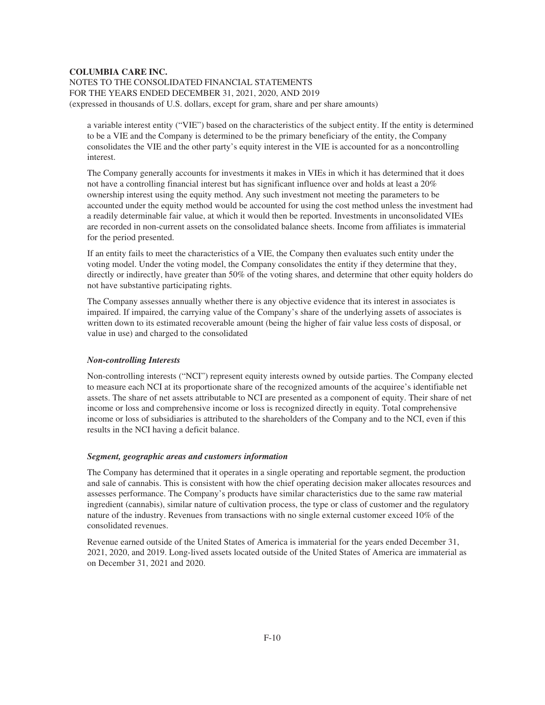NOTES TO THE CONSOLIDATED FINANCIAL STATEMENTS FOR THE YEARS ENDED DECEMBER 31, 2021, 2020, AND 2019 (expressed in thousands of U.S. dollars, except for gram, share and per share amounts)

a variable interest entity ("VIE") based on the characteristics of the subject entity. If the entity is determined to be a VIE and the Company is determined to be the primary beneficiary of the entity, the Company consolidates the VIE and the other party's equity interest in the VIE is accounted for as a noncontrolling interest.

The Company generally accounts for investments it makes in VIEs in which it has determined that it does not have a controlling financial interest but has significant influence over and holds at least a 20% ownership interest using the equity method. Any such investment not meeting the parameters to be accounted under the equity method would be accounted for using the cost method unless the investment had a readily determinable fair value, at which it would then be reported. Investments in unconsolidated VIEs are recorded in non-current assets on the consolidated balance sheets. Income from affiliates is immaterial for the period presented.

If an entity fails to meet the characteristics of a VIE, the Company then evaluates such entity under the voting model. Under the voting model, the Company consolidates the entity if they determine that they, directly or indirectly, have greater than 50% of the voting shares, and determine that other equity holders do not have substantive participating rights.

The Company assesses annually whether there is any objective evidence that its interest in associates is impaired. If impaired, the carrying value of the Company's share of the underlying assets of associates is written down to its estimated recoverable amount (being the higher of fair value less costs of disposal, or value in use) and charged to the consolidated

#### *Non-controlling Interests*

Non-controlling interests ("NCI") represent equity interests owned by outside parties. The Company elected to measure each NCI at its proportionate share of the recognized amounts of the acquiree's identifiable net assets. The share of net assets attributable to NCI are presented as a component of equity. Their share of net income or loss and comprehensive income or loss is recognized directly in equity. Total comprehensive income or loss of subsidiaries is attributed to the shareholders of the Company and to the NCI, even if this results in the NCI having a deficit balance.

# *Segment, geographic areas and customers information*

The Company has determined that it operates in a single operating and reportable segment, the production and sale of cannabis. This is consistent with how the chief operating decision maker allocates resources and assesses performance. The Company's products have similar characteristics due to the same raw material ingredient (cannabis), similar nature of cultivation process, the type or class of customer and the regulatory nature of the industry. Revenues from transactions with no single external customer exceed 10% of the consolidated revenues.

Revenue earned outside of the United States of America is immaterial for the years ended December 31, 2021, 2020, and 2019. Long-lived assets located outside of the United States of America are immaterial as on December 31, 2021 and 2020.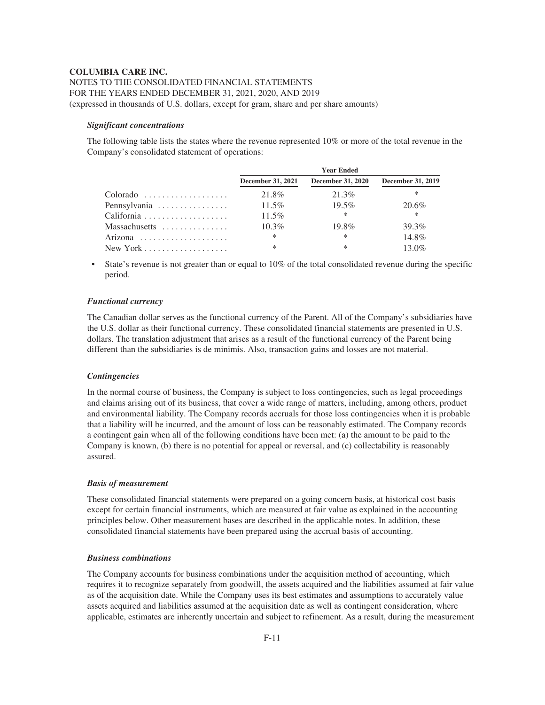NOTES TO THE CONSOLIDATED FINANCIAL STATEMENTS FOR THE YEARS ENDED DECEMBER 31, 2021, 2020, AND 2019 (expressed in thousands of U.S. dollars, except for gram, share and per share amounts)

## *Significant concentrations*

The following table lists the states where the revenue represented 10% or more of the total revenue in the Company's consolidated statement of operations:

|                                                |                   | <b>Year Ended</b>        |                   |
|------------------------------------------------|-------------------|--------------------------|-------------------|
|                                                | December 31, 2021 | <b>December 31, 2020</b> | December 31, 2019 |
| Colorado                                       | 21.8%             | 21.3%                    | ∗                 |
| Pennsylvania                                   | $11.5\%$          | $19.5\%$                 | 20.6%             |
|                                                | 11.5%             | $\ast$                   | $\ast$            |
| Massachusetts                                  | $10.3\%$          | $19.8\%$                 | 39.3%             |
| Arizona                                        | $\ast$            | $\ast$                   | 14.8%             |
| New York $\dots\dots\dots\dots\dots\dots\dots$ | $\ast$            | $\ast$                   | $13.0\%$          |

• State's revenue is not greater than or equal to 10% of the total consolidated revenue during the specific period.

#### *Functional currency*

The Canadian dollar serves as the functional currency of the Parent. All of the Company's subsidiaries have the U.S. dollar as their functional currency. These consolidated financial statements are presented in U.S. dollars. The translation adjustment that arises as a result of the functional currency of the Parent being different than the subsidiaries is de minimis. Also, transaction gains and losses are not material.

## *Contingencies*

In the normal course of business, the Company is subject to loss contingencies, such as legal proceedings and claims arising out of its business, that cover a wide range of matters, including, among others, product and environmental liability. The Company records accruals for those loss contingencies when it is probable that a liability will be incurred, and the amount of loss can be reasonably estimated. The Company records a contingent gain when all of the following conditions have been met: (a) the amount to be paid to the Company is known, (b) there is no potential for appeal or reversal, and (c) collectability is reasonably assured.

## *Basis of measurement*

These consolidated financial statements were prepared on a going concern basis, at historical cost basis except for certain financial instruments, which are measured at fair value as explained in the accounting principles below. Other measurement bases are described in the applicable notes. In addition, these consolidated financial statements have been prepared using the accrual basis of accounting.

## *Business combinations*

The Company accounts for business combinations under the acquisition method of accounting, which requires it to recognize separately from goodwill, the assets acquired and the liabilities assumed at fair value as of the acquisition date. While the Company uses its best estimates and assumptions to accurately value assets acquired and liabilities assumed at the acquisition date as well as contingent consideration, where applicable, estimates are inherently uncertain and subject to refinement. As a result, during the measurement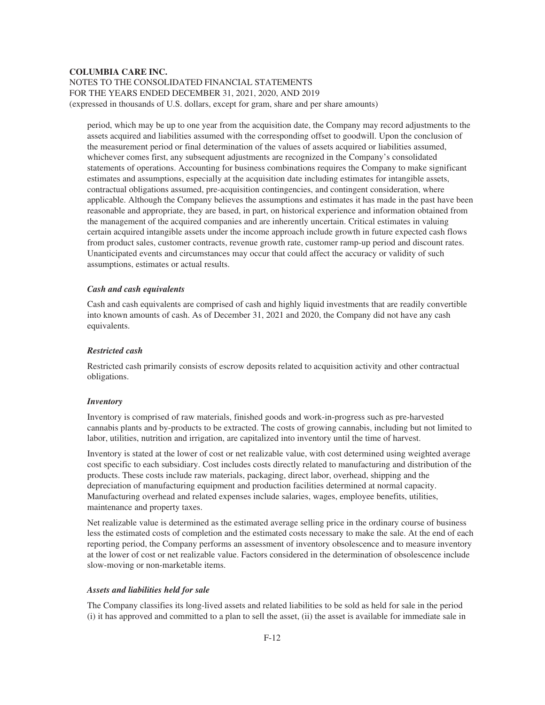period, which may be up to one year from the acquisition date, the Company may record adjustments to the assets acquired and liabilities assumed with the corresponding offset to goodwill. Upon the conclusion of the measurement period or final determination of the values of assets acquired or liabilities assumed, whichever comes first, any subsequent adjustments are recognized in the Company's consolidated statements of operations. Accounting for business combinations requires the Company to make significant estimates and assumptions, especially at the acquisition date including estimates for intangible assets, contractual obligations assumed, pre-acquisition contingencies, and contingent consideration, where applicable. Although the Company believes the assumptions and estimates it has made in the past have been reasonable and appropriate, they are based, in part, on historical experience and information obtained from the management of the acquired companies and are inherently uncertain. Critical estimates in valuing certain acquired intangible assets under the income approach include growth in future expected cash flows from product sales, customer contracts, revenue growth rate, customer ramp-up period and discount rates. Unanticipated events and circumstances may occur that could affect the accuracy or validity of such assumptions, estimates or actual results.

## *Cash and cash equivalents*

Cash and cash equivalents are comprised of cash and highly liquid investments that are readily convertible into known amounts of cash. As of December 31, 2021 and 2020, the Company did not have any cash equivalents.

## *Restricted cash*

Restricted cash primarily consists of escrow deposits related to acquisition activity and other contractual obligations.

## *Inventory*

Inventory is comprised of raw materials, finished goods and work-in-progress such as pre-harvested cannabis plants and by-products to be extracted. The costs of growing cannabis, including but not limited to labor, utilities, nutrition and irrigation, are capitalized into inventory until the time of harvest.

Inventory is stated at the lower of cost or net realizable value, with cost determined using weighted average cost specific to each subsidiary. Cost includes costs directly related to manufacturing and distribution of the products. These costs include raw materials, packaging, direct labor, overhead, shipping and the depreciation of manufacturing equipment and production facilities determined at normal capacity. Manufacturing overhead and related expenses include salaries, wages, employee benefits, utilities, maintenance and property taxes.

Net realizable value is determined as the estimated average selling price in the ordinary course of business less the estimated costs of completion and the estimated costs necessary to make the sale. At the end of each reporting period, the Company performs an assessment of inventory obsolescence and to measure inventory at the lower of cost or net realizable value. Factors considered in the determination of obsolescence include slow-moving or non-marketable items.

#### *Assets and liabilities held for sale*

The Company classifies its long-lived assets and related liabilities to be sold as held for sale in the period (i) it has approved and committed to a plan to sell the asset, (ii) the asset is available for immediate sale in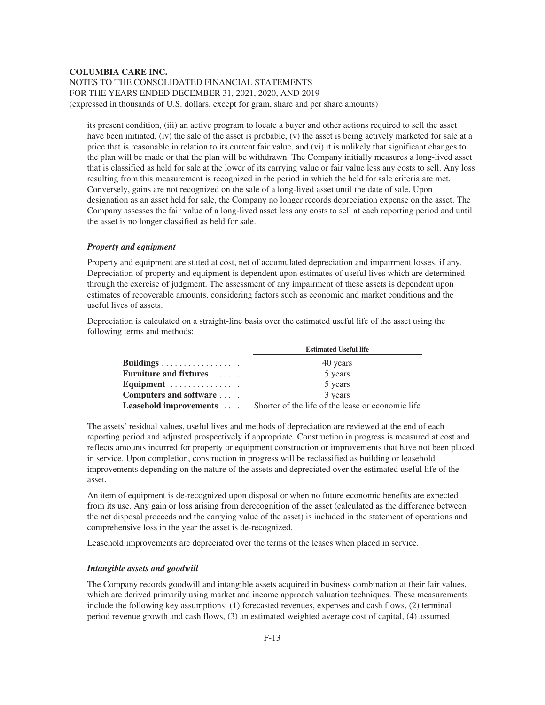its present condition, (iii) an active program to locate a buyer and other actions required to sell the asset have been initiated, (iv) the sale of the asset is probable, (v) the asset is being actively marketed for sale at a price that is reasonable in relation to its current fair value, and (vi) it is unlikely that significant changes to the plan will be made or that the plan will be withdrawn. The Company initially measures a long-lived asset that is classified as held for sale at the lower of its carrying value or fair value less any costs to sell. Any loss resulting from this measurement is recognized in the period in which the held for sale criteria are met. Conversely, gains are not recognized on the sale of a long-lived asset until the date of sale. Upon designation as an asset held for sale, the Company no longer records depreciation expense on the asset. The Company assesses the fair value of a long-lived asset less any costs to sell at each reporting period and until the asset is no longer classified as held for sale.

## *Property and equipment*

Property and equipment are stated at cost, net of accumulated depreciation and impairment losses, if any. Depreciation of property and equipment is dependent upon estimates of useful lives which are determined through the exercise of judgment. The assessment of any impairment of these assets is dependent upon estimates of recoverable amounts, considering factors such as economic and market conditions and the useful lives of assets.

Depreciation is calculated on a straight-line basis over the estimated useful life of the asset using the following terms and methods:

|                               | <b>Estimated Useful life</b>                      |  |  |
|-------------------------------|---------------------------------------------------|--|--|
|                               | 40 years                                          |  |  |
| <b>Furniture and fixtures</b> | 5 years                                           |  |  |
| Equipment                     | 5 years                                           |  |  |
| Computers and software        | 3 years                                           |  |  |
| Leasehold improvements        | Shorter of the life of the lease or economic life |  |  |

The assets' residual values, useful lives and methods of depreciation are reviewed at the end of each reporting period and adjusted prospectively if appropriate. Construction in progress is measured at cost and reflects amounts incurred for property or equipment construction or improvements that have not been placed in service. Upon completion, construction in progress will be reclassified as building or leasehold improvements depending on the nature of the assets and depreciated over the estimated useful life of the asset.

An item of equipment is de-recognized upon disposal or when no future economic benefits are expected from its use. Any gain or loss arising from derecognition of the asset (calculated as the difference between the net disposal proceeds and the carrying value of the asset) is included in the statement of operations and comprehensive loss in the year the asset is de-recognized.

Leasehold improvements are depreciated over the terms of the leases when placed in service.

## *Intangible assets and goodwill*

The Company records goodwill and intangible assets acquired in business combination at their fair values, which are derived primarily using market and income approach valuation techniques. These measurements include the following key assumptions: (1) forecasted revenues, expenses and cash flows, (2) terminal period revenue growth and cash flows, (3) an estimated weighted average cost of capital, (4) assumed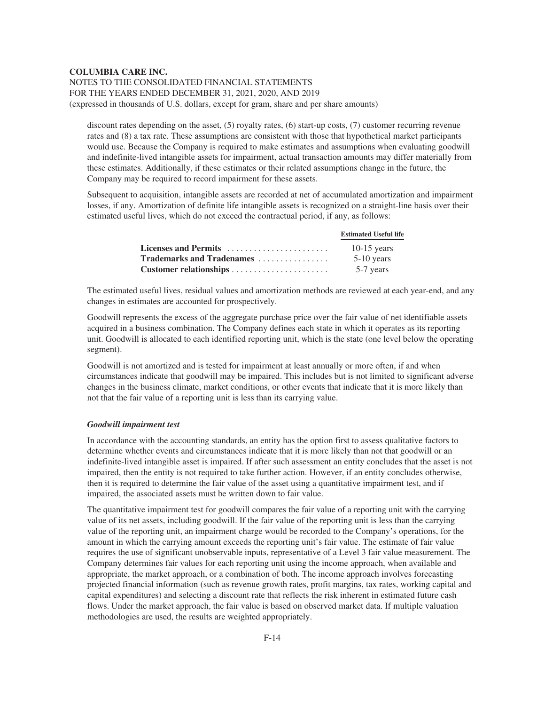discount rates depending on the asset, (5) royalty rates, (6) start-up costs, (7) customer recurring revenue rates and (8) a tax rate. These assumptions are consistent with those that hypothetical market participants would use. Because the Company is required to make estimates and assumptions when evaluating goodwill and indefinite-lived intangible assets for impairment, actual transaction amounts may differ materially from these estimates. Additionally, if these estimates or their related assumptions change in the future, the Company may be required to record impairment for these assets.

Subsequent to acquisition, intangible assets are recorded at net of accumulated amortization and impairment losses, if any. Amortization of definite life intangible assets is recognized on a straight-line basis over their estimated useful lives, which do not exceed the contractual period, if any, as follows:

|                           | <b>Estimated Useful life</b> |
|---------------------------|------------------------------|
|                           | 10-15 years                  |
| Trademarks and Tradenames | $5-10$ years                 |
|                           | 5-7 years                    |

The estimated useful lives, residual values and amortization methods are reviewed at each year-end, and any changes in estimates are accounted for prospectively.

Goodwill represents the excess of the aggregate purchase price over the fair value of net identifiable assets acquired in a business combination. The Company defines each state in which it operates as its reporting unit. Goodwill is allocated to each identified reporting unit, which is the state (one level below the operating segment).

Goodwill is not amortized and is tested for impairment at least annually or more often, if and when circumstances indicate that goodwill may be impaired. This includes but is not limited to significant adverse changes in the business climate, market conditions, or other events that indicate that it is more likely than not that the fair value of a reporting unit is less than its carrying value.

## *Goodwill impairment test*

In accordance with the accounting standards, an entity has the option first to assess qualitative factors to determine whether events and circumstances indicate that it is more likely than not that goodwill or an indefinite-lived intangible asset is impaired. If after such assessment an entity concludes that the asset is not impaired, then the entity is not required to take further action. However, if an entity concludes otherwise, then it is required to determine the fair value of the asset using a quantitative impairment test, and if impaired, the associated assets must be written down to fair value.

The quantitative impairment test for goodwill compares the fair value of a reporting unit with the carrying value of its net assets, including goodwill. If the fair value of the reporting unit is less than the carrying value of the reporting unit, an impairment charge would be recorded to the Company's operations, for the amount in which the carrying amount exceeds the reporting unit's fair value. The estimate of fair value requires the use of significant unobservable inputs, representative of a Level 3 fair value measurement. The Company determines fair values for each reporting unit using the income approach, when available and appropriate, the market approach, or a combination of both. The income approach involves forecasting projected financial information (such as revenue growth rates, profit margins, tax rates, working capital and capital expenditures) and selecting a discount rate that reflects the risk inherent in estimated future cash flows. Under the market approach, the fair value is based on observed market data. If multiple valuation methodologies are used, the results are weighted appropriately.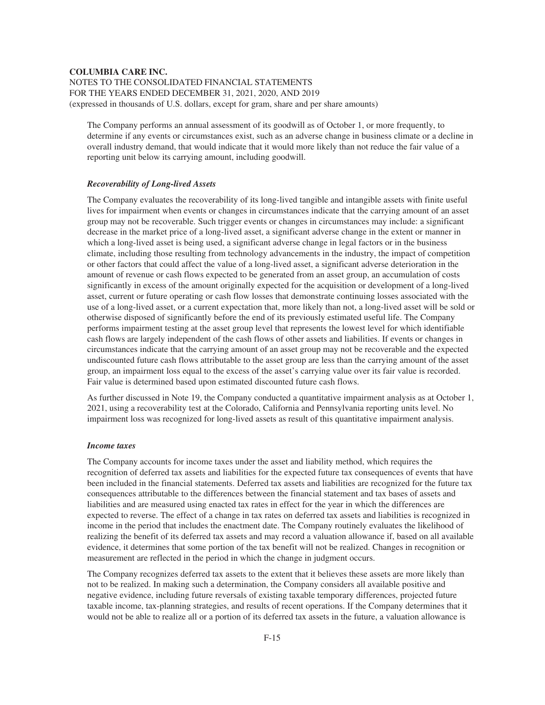The Company performs an annual assessment of its goodwill as of October 1, or more frequently, to determine if any events or circumstances exist, such as an adverse change in business climate or a decline in overall industry demand, that would indicate that it would more likely than not reduce the fair value of a reporting unit below its carrying amount, including goodwill.

#### *Recoverability of Long-lived Assets*

The Company evaluates the recoverability of its long-lived tangible and intangible assets with finite useful lives for impairment when events or changes in circumstances indicate that the carrying amount of an asset group may not be recoverable. Such trigger events or changes in circumstances may include: a significant decrease in the market price of a long-lived asset, a significant adverse change in the extent or manner in which a long-lived asset is being used, a significant adverse change in legal factors or in the business climate, including those resulting from technology advancements in the industry, the impact of competition or other factors that could affect the value of a long-lived asset, a significant adverse deterioration in the amount of revenue or cash flows expected to be generated from an asset group, an accumulation of costs significantly in excess of the amount originally expected for the acquisition or development of a long-lived asset, current or future operating or cash flow losses that demonstrate continuing losses associated with the use of a long-lived asset, or a current expectation that, more likely than not, a long-lived asset will be sold or otherwise disposed of significantly before the end of its previously estimated useful life. The Company performs impairment testing at the asset group level that represents the lowest level for which identifiable cash flows are largely independent of the cash flows of other assets and liabilities. If events or changes in circumstances indicate that the carrying amount of an asset group may not be recoverable and the expected undiscounted future cash flows attributable to the asset group are less than the carrying amount of the asset group, an impairment loss equal to the excess of the asset's carrying value over its fair value is recorded. Fair value is determined based upon estimated discounted future cash flows.

As further discussed in Note 19, the Company conducted a quantitative impairment analysis as at October 1, 2021, using a recoverability test at the Colorado, California and Pennsylvania reporting units level. No impairment loss was recognized for long-lived assets as result of this quantitative impairment analysis.

## *Income taxes*

The Company accounts for income taxes under the asset and liability method, which requires the recognition of deferred tax assets and liabilities for the expected future tax consequences of events that have been included in the financial statements. Deferred tax assets and liabilities are recognized for the future tax consequences attributable to the differences between the financial statement and tax bases of assets and liabilities and are measured using enacted tax rates in effect for the year in which the differences are expected to reverse. The effect of a change in tax rates on deferred tax assets and liabilities is recognized in income in the period that includes the enactment date. The Company routinely evaluates the likelihood of realizing the benefit of its deferred tax assets and may record a valuation allowance if, based on all available evidence, it determines that some portion of the tax benefit will not be realized. Changes in recognition or measurement are reflected in the period in which the change in judgment occurs.

The Company recognizes deferred tax assets to the extent that it believes these assets are more likely than not to be realized. In making such a determination, the Company considers all available positive and negative evidence, including future reversals of existing taxable temporary differences, projected future taxable income, tax-planning strategies, and results of recent operations. If the Company determines that it would not be able to realize all or a portion of its deferred tax assets in the future, a valuation allowance is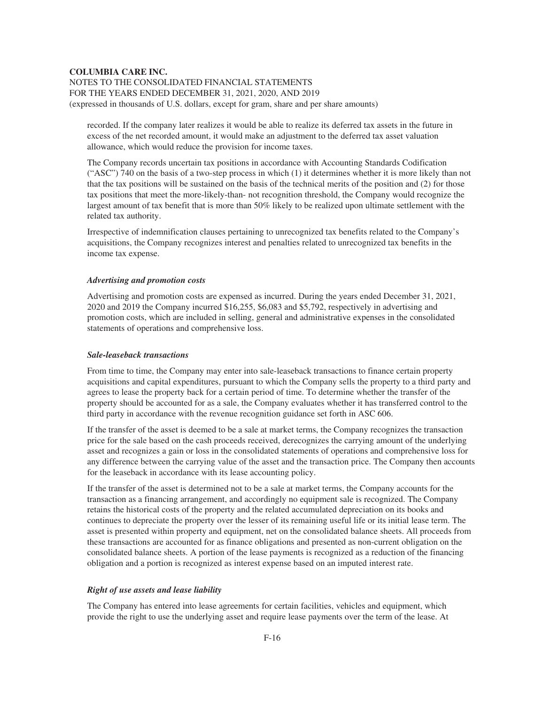NOTES TO THE CONSOLIDATED FINANCIAL STATEMENTS FOR THE YEARS ENDED DECEMBER 31, 2021, 2020, AND 2019 (expressed in thousands of U.S. dollars, except for gram, share and per share amounts)

recorded. If the company later realizes it would be able to realize its deferred tax assets in the future in excess of the net recorded amount, it would make an adjustment to the deferred tax asset valuation allowance, which would reduce the provision for income taxes.

The Company records uncertain tax positions in accordance with Accounting Standards Codification ("ASC") 740 on the basis of a two-step process in which (1) it determines whether it is more likely than not that the tax positions will be sustained on the basis of the technical merits of the position and (2) for those tax positions that meet the more-likely-than- not recognition threshold, the Company would recognize the largest amount of tax benefit that is more than 50% likely to be realized upon ultimate settlement with the related tax authority.

Irrespective of indemnification clauses pertaining to unrecognized tax benefits related to the Company's acquisitions, the Company recognizes interest and penalties related to unrecognized tax benefits in the income tax expense.

## *Advertising and promotion costs*

Advertising and promotion costs are expensed as incurred. During the years ended December 31, 2021, 2020 and 2019 the Company incurred \$16,255, \$6,083 and \$5,792, respectively in advertising and promotion costs, which are included in selling, general and administrative expenses in the consolidated statements of operations and comprehensive loss.

## *Sale-leaseback transactions*

From time to time, the Company may enter into sale-leaseback transactions to finance certain property acquisitions and capital expenditures, pursuant to which the Company sells the property to a third party and agrees to lease the property back for a certain period of time. To determine whether the transfer of the property should be accounted for as a sale, the Company evaluates whether it has transferred control to the third party in accordance with the revenue recognition guidance set forth in ASC 606.

If the transfer of the asset is deemed to be a sale at market terms, the Company recognizes the transaction price for the sale based on the cash proceeds received, derecognizes the carrying amount of the underlying asset and recognizes a gain or loss in the consolidated statements of operations and comprehensive loss for any difference between the carrying value of the asset and the transaction price. The Company then accounts for the leaseback in accordance with its lease accounting policy.

If the transfer of the asset is determined not to be a sale at market terms, the Company accounts for the transaction as a financing arrangement, and accordingly no equipment sale is recognized. The Company retains the historical costs of the property and the related accumulated depreciation on its books and continues to depreciate the property over the lesser of its remaining useful life or its initial lease term. The asset is presented within property and equipment, net on the consolidated balance sheets. All proceeds from these transactions are accounted for as finance obligations and presented as non-current obligation on the consolidated balance sheets. A portion of the lease payments is recognized as a reduction of the financing obligation and a portion is recognized as interest expense based on an imputed interest rate.

#### *Right of use assets and lease liability*

The Company has entered into lease agreements for certain facilities, vehicles and equipment, which provide the right to use the underlying asset and require lease payments over the term of the lease. At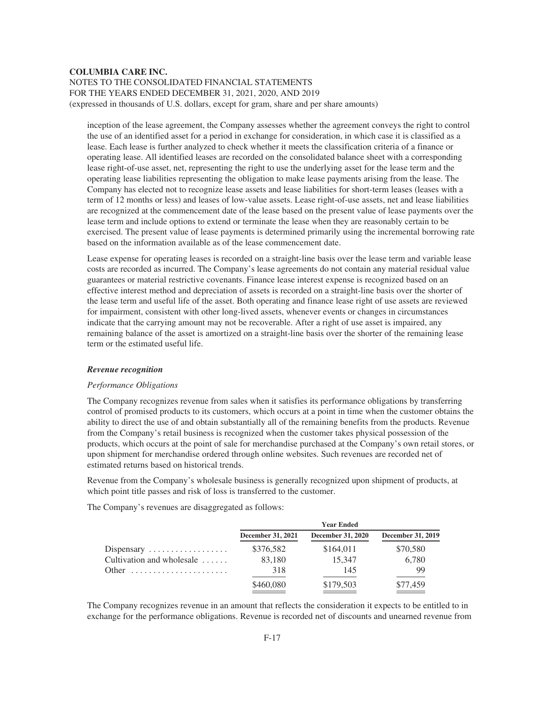inception of the lease agreement, the Company assesses whether the agreement conveys the right to control the use of an identified asset for a period in exchange for consideration, in which case it is classified as a lease. Each lease is further analyzed to check whether it meets the classification criteria of a finance or operating lease. All identified leases are recorded on the consolidated balance sheet with a corresponding lease right-of-use asset, net, representing the right to use the underlying asset for the lease term and the operating lease liabilities representing the obligation to make lease payments arising from the lease. The Company has elected not to recognize lease assets and lease liabilities for short-term leases (leases with a term of 12 months or less) and leases of low-value assets. Lease right-of-use assets, net and lease liabilities are recognized at the commencement date of the lease based on the present value of lease payments over the lease term and include options to extend or terminate the lease when they are reasonably certain to be exercised. The present value of lease payments is determined primarily using the incremental borrowing rate based on the information available as of the lease commencement date.

Lease expense for operating leases is recorded on a straight-line basis over the lease term and variable lease costs are recorded as incurred. The Company's lease agreements do not contain any material residual value guarantees or material restrictive covenants. Finance lease interest expense is recognized based on an effective interest method and depreciation of assets is recorded on a straight-line basis over the shorter of the lease term and useful life of the asset. Both operating and finance lease right of use assets are reviewed for impairment, consistent with other long-lived assets, whenever events or changes in circumstances indicate that the carrying amount may not be recoverable. After a right of use asset is impaired, any remaining balance of the asset is amortized on a straight-line basis over the shorter of the remaining lease term or the estimated useful life.

#### *Revenue recognition*

#### *Performance Obligations*

The Company recognizes revenue from sales when it satisfies its performance obligations by transferring control of promised products to its customers, which occurs at a point in time when the customer obtains the ability to direct the use of and obtain substantially all of the remaining benefits from the products. Revenue from the Company's retail business is recognized when the customer takes physical possession of the products, which occurs at the point of sale for merchandise purchased at the Company's own retail stores, or upon shipment for merchandise ordered through online websites. Such revenues are recorded net of estimated returns based on historical trends.

Revenue from the Company's wholesale business is generally recognized upon shipment of products, at which point title passes and risk of loss is transferred to the customer.

The Company's revenues are disaggregated as follows:

|                                            |                   | <b>Year Ended</b>        |                   |
|--------------------------------------------|-------------------|--------------------------|-------------------|
|                                            | December 31, 2021 | <b>December 31, 2020</b> | December 31, 2019 |
| Dispensary $\dots \dots \dots \dots \dots$ | \$376,582         | \$164,011                | \$70,580          |
| Cultivation and wholesale                  | 83,180            | 15.347                   | 6,780             |
| Other                                      | 318               | 145                      | 99                |
|                                            | \$460,080         | \$179,503                | \$77,459          |

The Company recognizes revenue in an amount that reflects the consideration it expects to be entitled to in exchange for the performance obligations. Revenue is recorded net of discounts and unearned revenue from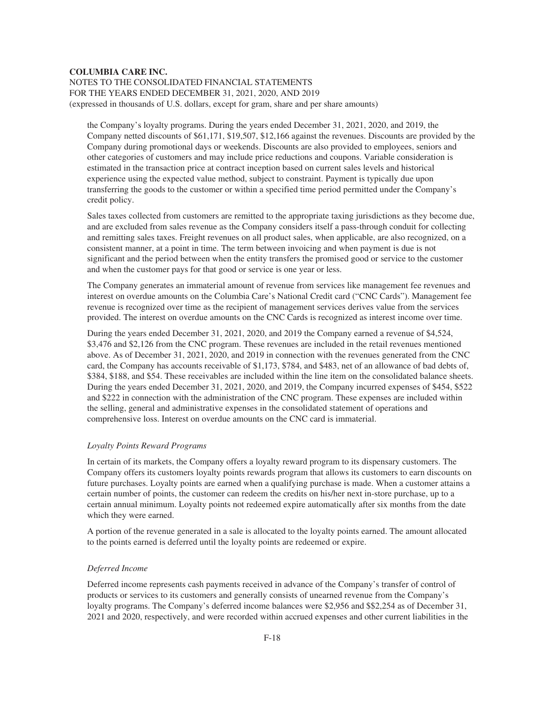the Company's loyalty programs. During the years ended December 31, 2021, 2020, and 2019, the Company netted discounts of \$61,171, \$19,507, \$12,166 against the revenues. Discounts are provided by the Company during promotional days or weekends. Discounts are also provided to employees, seniors and other categories of customers and may include price reductions and coupons. Variable consideration is estimated in the transaction price at contract inception based on current sales levels and historical experience using the expected value method, subject to constraint. Payment is typically due upon transferring the goods to the customer or within a specified time period permitted under the Company's credit policy.

Sales taxes collected from customers are remitted to the appropriate taxing jurisdictions as they become due, and are excluded from sales revenue as the Company considers itself a pass-through conduit for collecting and remitting sales taxes. Freight revenues on all product sales, when applicable, are also recognized, on a consistent manner, at a point in time. The term between invoicing and when payment is due is not significant and the period between when the entity transfers the promised good or service to the customer and when the customer pays for that good or service is one year or less.

The Company generates an immaterial amount of revenue from services like management fee revenues and interest on overdue amounts on the Columbia Care's National Credit card ("CNC Cards"). Management fee revenue is recognized over time as the recipient of management services derives value from the services provided. The interest on overdue amounts on the CNC Cards is recognized as interest income over time.

During the years ended December 31, 2021, 2020, and 2019 the Company earned a revenue of \$4,524, \$3,476 and \$2,126 from the CNC program. These revenues are included in the retail revenues mentioned above. As of December 31, 2021, 2020, and 2019 in connection with the revenues generated from the CNC card, the Company has accounts receivable of \$1,173, \$784, and \$483, net of an allowance of bad debts of, \$384, \$188, and \$54. These receivables are included within the line item on the consolidated balance sheets. During the years ended December 31, 2021, 2020, and 2019, the Company incurred expenses of \$454, \$522 and \$222 in connection with the administration of the CNC program. These expenses are included within the selling, general and administrative expenses in the consolidated statement of operations and comprehensive loss. Interest on overdue amounts on the CNC card is immaterial.

## *Loyalty Points Reward Programs*

In certain of its markets, the Company offers a loyalty reward program to its dispensary customers. The Company offers its customers loyalty points rewards program that allows its customers to earn discounts on future purchases. Loyalty points are earned when a qualifying purchase is made. When a customer attains a certain number of points, the customer can redeem the credits on his/her next in-store purchase, up to a certain annual minimum. Loyalty points not redeemed expire automatically after six months from the date which they were earned.

A portion of the revenue generated in a sale is allocated to the loyalty points earned. The amount allocated to the points earned is deferred until the loyalty points are redeemed or expire.

# *Deferred Income*

Deferred income represents cash payments received in advance of the Company's transfer of control of products or services to its customers and generally consists of unearned revenue from the Company's loyalty programs. The Company's deferred income balances were \$2,956 and \$\$2,254 as of December 31, 2021 and 2020, respectively, and were recorded within accrued expenses and other current liabilities in the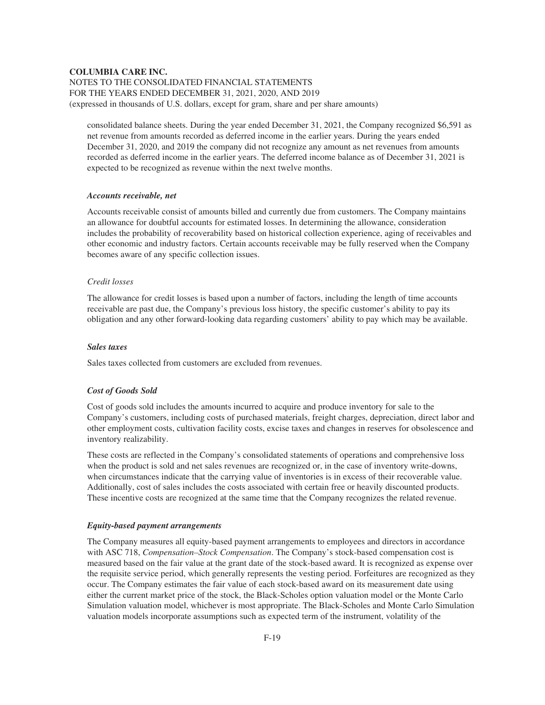NOTES TO THE CONSOLIDATED FINANCIAL STATEMENTS FOR THE YEARS ENDED DECEMBER 31, 2021, 2020, AND 2019 (expressed in thousands of U.S. dollars, except for gram, share and per share amounts)

consolidated balance sheets. During the year ended December 31, 2021, the Company recognized \$6,591 as net revenue from amounts recorded as deferred income in the earlier years. During the years ended December 31, 2020, and 2019 the company did not recognize any amount as net revenues from amounts recorded as deferred income in the earlier years. The deferred income balance as of December 31, 2021 is expected to be recognized as revenue within the next twelve months.

## *Accounts receivable, net*

Accounts receivable consist of amounts billed and currently due from customers. The Company maintains an allowance for doubtful accounts for estimated losses. In determining the allowance, consideration includes the probability of recoverability based on historical collection experience, aging of receivables and other economic and industry factors. Certain accounts receivable may be fully reserved when the Company becomes aware of any specific collection issues.

#### *Credit losses*

The allowance for credit losses is based upon a number of factors, including the length of time accounts receivable are past due, the Company's previous loss history, the specific customer's ability to pay its obligation and any other forward-looking data regarding customers' ability to pay which may be available.

# *Sales taxes*

Sales taxes collected from customers are excluded from revenues.

## *Cost of Goods Sold*

Cost of goods sold includes the amounts incurred to acquire and produce inventory for sale to the Company's customers, including costs of purchased materials, freight charges, depreciation, direct labor and other employment costs, cultivation facility costs, excise taxes and changes in reserves for obsolescence and inventory realizability.

These costs are reflected in the Company's consolidated statements of operations and comprehensive loss when the product is sold and net sales revenues are recognized or, in the case of inventory write-downs, when circumstances indicate that the carrying value of inventories is in excess of their recoverable value. Additionally, cost of sales includes the costs associated with certain free or heavily discounted products. These incentive costs are recognized at the same time that the Company recognizes the related revenue.

#### *Equity-based payment arrangements*

The Company measures all equity-based payment arrangements to employees and directors in accordance with ASC 718, *Compensation–Stock Compensation*. The Company's stock-based compensation cost is measured based on the fair value at the grant date of the stock-based award. It is recognized as expense over the requisite service period, which generally represents the vesting period. Forfeitures are recognized as they occur. The Company estimates the fair value of each stock-based award on its measurement date using either the current market price of the stock, the Black-Scholes option valuation model or the Monte Carlo Simulation valuation model, whichever is most appropriate. The Black-Scholes and Monte Carlo Simulation valuation models incorporate assumptions such as expected term of the instrument, volatility of the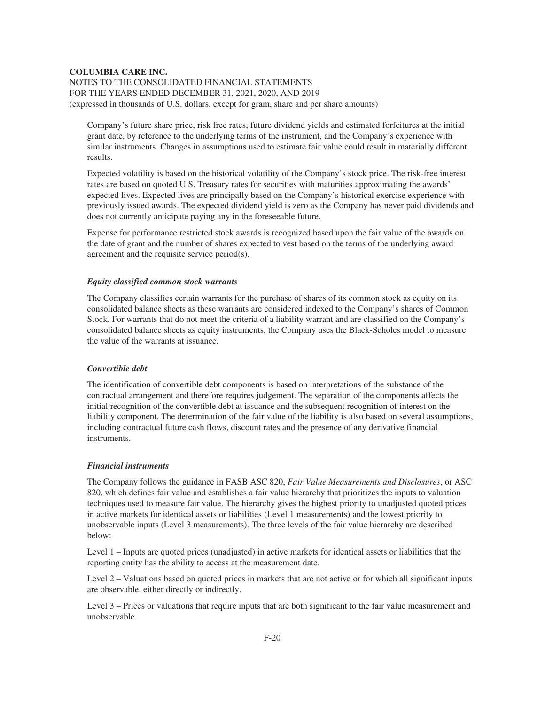NOTES TO THE CONSOLIDATED FINANCIAL STATEMENTS FOR THE YEARS ENDED DECEMBER 31, 2021, 2020, AND 2019 (expressed in thousands of U.S. dollars, except for gram, share and per share amounts)

Company's future share price, risk free rates, future dividend yields and estimated forfeitures at the initial grant date, by reference to the underlying terms of the instrument, and the Company's experience with similar instruments. Changes in assumptions used to estimate fair value could result in materially different results.

Expected volatility is based on the historical volatility of the Company's stock price. The risk-free interest rates are based on quoted U.S. Treasury rates for securities with maturities approximating the awards' expected lives. Expected lives are principally based on the Company's historical exercise experience with previously issued awards. The expected dividend yield is zero as the Company has never paid dividends and does not currently anticipate paying any in the foreseeable future.

Expense for performance restricted stock awards is recognized based upon the fair value of the awards on the date of grant and the number of shares expected to vest based on the terms of the underlying award agreement and the requisite service period(s).

#### *Equity classified common stock warrants*

The Company classifies certain warrants for the purchase of shares of its common stock as equity on its consolidated balance sheets as these warrants are considered indexed to the Company's shares of Common Stock. For warrants that do not meet the criteria of a liability warrant and are classified on the Company's consolidated balance sheets as equity instruments, the Company uses the Black-Scholes model to measure the value of the warrants at issuance.

#### *Convertible debt*

The identification of convertible debt components is based on interpretations of the substance of the contractual arrangement and therefore requires judgement. The separation of the components affects the initial recognition of the convertible debt at issuance and the subsequent recognition of interest on the liability component. The determination of the fair value of the liability is also based on several assumptions, including contractual future cash flows, discount rates and the presence of any derivative financial instruments.

## *Financial instruments*

The Company follows the guidance in FASB ASC 820, *Fair Value Measurements and Disclosures*, or ASC 820, which defines fair value and establishes a fair value hierarchy that prioritizes the inputs to valuation techniques used to measure fair value. The hierarchy gives the highest priority to unadjusted quoted prices in active markets for identical assets or liabilities (Level 1 measurements) and the lowest priority to unobservable inputs (Level 3 measurements). The three levels of the fair value hierarchy are described below:

Level 1 – Inputs are quoted prices (unadjusted) in active markets for identical assets or liabilities that the reporting entity has the ability to access at the measurement date.

Level 2 – Valuations based on quoted prices in markets that are not active or for which all significant inputs are observable, either directly or indirectly.

Level 3 – Prices or valuations that require inputs that are both significant to the fair value measurement and unobservable.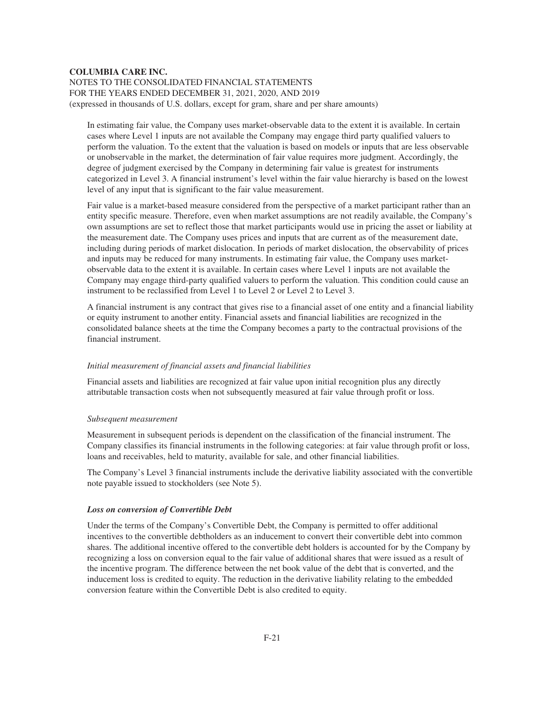In estimating fair value, the Company uses market-observable data to the extent it is available. In certain cases where Level 1 inputs are not available the Company may engage third party qualified valuers to perform the valuation. To the extent that the valuation is based on models or inputs that are less observable or unobservable in the market, the determination of fair value requires more judgment. Accordingly, the degree of judgment exercised by the Company in determining fair value is greatest for instruments categorized in Level 3. A financial instrument's level within the fair value hierarchy is based on the lowest level of any input that is significant to the fair value measurement.

Fair value is a market-based measure considered from the perspective of a market participant rather than an entity specific measure. Therefore, even when market assumptions are not readily available, the Company's own assumptions are set to reflect those that market participants would use in pricing the asset or liability at the measurement date. The Company uses prices and inputs that are current as of the measurement date, including during periods of market dislocation. In periods of market dislocation, the observability of prices and inputs may be reduced for many instruments. In estimating fair value, the Company uses marketobservable data to the extent it is available. In certain cases where Level 1 inputs are not available the Company may engage third-party qualified valuers to perform the valuation. This condition could cause an instrument to be reclassified from Level 1 to Level 2 or Level 2 to Level 3.

A financial instrument is any contract that gives rise to a financial asset of one entity and a financial liability or equity instrument to another entity. Financial assets and financial liabilities are recognized in the consolidated balance sheets at the time the Company becomes a party to the contractual provisions of the financial instrument.

## *Initial measurement of financial assets and financial liabilities*

Financial assets and liabilities are recognized at fair value upon initial recognition plus any directly attributable transaction costs when not subsequently measured at fair value through profit or loss.

## *Subsequent measurement*

Measurement in subsequent periods is dependent on the classification of the financial instrument. The Company classifies its financial instruments in the following categories: at fair value through profit or loss, loans and receivables, held to maturity, available for sale, and other financial liabilities.

The Company's Level 3 financial instruments include the derivative liability associated with the convertible note payable issued to stockholders (see Note 5).

#### *Loss on conversion of Convertible Debt*

Under the terms of the Company's Convertible Debt, the Company is permitted to offer additional incentives to the convertible debtholders as an inducement to convert their convertible debt into common shares. The additional incentive offered to the convertible debt holders is accounted for by the Company by recognizing a loss on conversion equal to the fair value of additional shares that were issued as a result of the incentive program. The difference between the net book value of the debt that is converted, and the inducement loss is credited to equity. The reduction in the derivative liability relating to the embedded conversion feature within the Convertible Debt is also credited to equity.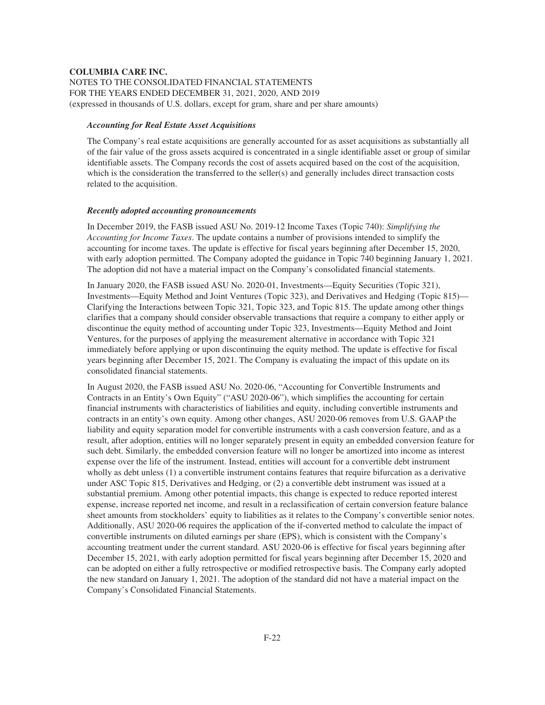# *Accounting for Real Estate Asset Acquisitions*

The Company's real estate acquisitions are generally accounted for as asset acquisitions as substantially all of the fair value of the gross assets acquired is concentrated in a single identifiable asset or group of similar identifiable assets. The Company records the cost of assets acquired based on the cost of the acquisition, which is the consideration the transferred to the seller(s) and generally includes direct transaction costs related to the acquisition.

#### *Recently adopted accounting pronouncements*

In December 2019, the FASB issued ASU No. 2019-12 Income Taxes (Topic 740): *Simplifying the Accounting for Income Taxes*. The update contains a number of provisions intended to simplify the accounting for income taxes. The update is effective for fiscal years beginning after December 15, 2020, with early adoption permitted. The Company adopted the guidance in Topic 740 beginning January 1, 2021. The adoption did not have a material impact on the Company's consolidated financial statements.

In January 2020, the FASB issued ASU No. 2020-01, Investments—Equity Securities (Topic 321), Investments—Equity Method and Joint Ventures (Topic 323), and Derivatives and Hedging (Topic 815)— Clarifying the Interactions between Topic 321, Topic 323, and Topic 815. The update among other things clarifies that a company should consider observable transactions that require a company to either apply or discontinue the equity method of accounting under Topic 323, Investments—Equity Method and Joint Ventures, for the purposes of applying the measurement alternative in accordance with Topic 321 immediately before applying or upon discontinuing the equity method. The update is effective for fiscal years beginning after December 15, 2021. The Company is evaluating the impact of this update on its consolidated financial statements.

In August 2020, the FASB issued ASU No. 2020-06, "Accounting for Convertible Instruments and Contracts in an Entity's Own Equity" ("ASU 2020-06"), which simplifies the accounting for certain financial instruments with characteristics of liabilities and equity, including convertible instruments and contracts in an entity's own equity. Among other changes, ASU 2020-06 removes from U.S. GAAP the liability and equity separation model for convertible instruments with a cash conversion feature, and as a result, after adoption, entities will no longer separately present in equity an embedded conversion feature for such debt. Similarly, the embedded conversion feature will no longer be amortized into income as interest expense over the life of the instrument. Instead, entities will account for a convertible debt instrument wholly as debt unless (1) a convertible instrument contains features that require bifurcation as a derivative under ASC Topic 815, Derivatives and Hedging, or (2) a convertible debt instrument was issued at a substantial premium. Among other potential impacts, this change is expected to reduce reported interest expense, increase reported net income, and result in a reclassification of certain conversion feature balance sheet amounts from stockholders' equity to liabilities as it relates to the Company's convertible senior notes. Additionally, ASU 2020-06 requires the application of the if-converted method to calculate the impact of convertible instruments on diluted earnings per share (EPS), which is consistent with the Company's accounting treatment under the current standard. ASU 2020-06 is effective for fiscal years beginning after December 15, 2021, with early adoption permitted for fiscal years beginning after December 15, 2020 and can be adopted on either a fully retrospective or modified retrospective basis. The Company early adopted the new standard on January 1, 2021. The adoption of the standard did not have a material impact on the Company's Consolidated Financial Statements.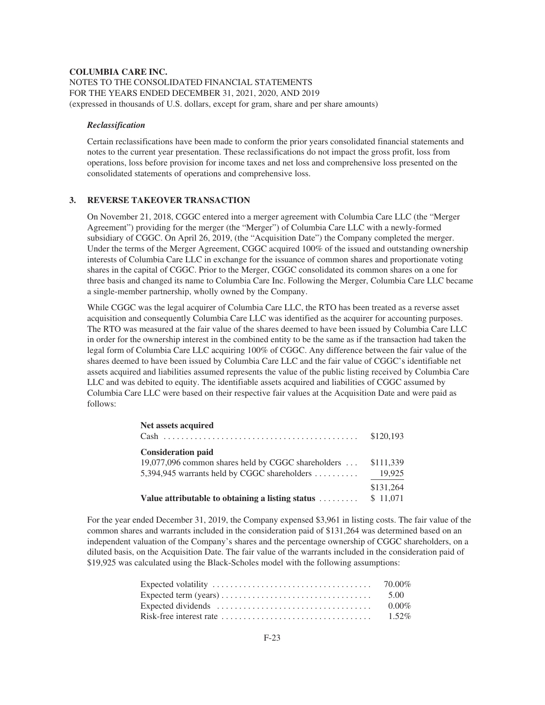## *Reclassification*

Certain reclassifications have been made to conform the prior years consolidated financial statements and notes to the current year presentation. These reclassifications do not impact the gross profit, loss from operations, loss before provision for income taxes and net loss and comprehensive loss presented on the consolidated statements of operations and comprehensive loss.

# **3. REVERSE TAKEOVER TRANSACTION**

On November 21, 2018, CGGC entered into a merger agreement with Columbia Care LLC (the "Merger Agreement") providing for the merger (the "Merger") of Columbia Care LLC with a newly-formed subsidiary of CGGC. On April 26, 2019, (the "Acquisition Date") the Company completed the merger. Under the terms of the Merger Agreement, CGGC acquired 100% of the issued and outstanding ownership interests of Columbia Care LLC in exchange for the issuance of common shares and proportionate voting shares in the capital of CGGC. Prior to the Merger, CGGC consolidated its common shares on a one for three basis and changed its name to Columbia Care Inc. Following the Merger, Columbia Care LLC became a single-member partnership, wholly owned by the Company.

While CGGC was the legal acquirer of Columbia Care LLC, the RTO has been treated as a reverse asset acquisition and consequently Columbia Care LLC was identified as the acquirer for accounting purposes. The RTO was measured at the fair value of the shares deemed to have been issued by Columbia Care LLC in order for the ownership interest in the combined entity to be the same as if the transaction had taken the legal form of Columbia Care LLC acquiring 100% of CGGC. Any difference between the fair value of the shares deemed to have been issued by Columbia Care LLC and the fair value of CGGC's identifiable net assets acquired and liabilities assumed represents the value of the public listing received by Columbia Care LLC and was debited to equity. The identifiable assets acquired and liabilities of CGGC assumed by Columbia Care LLC were based on their respective fair values at the Acquisition Date and were paid as follows:

| Net assets acquired                                | \$120,193 |
|----------------------------------------------------|-----------|
| <b>Consideration paid</b>                          |           |
| 19,077,096 common shares held by CGGC shareholders | \$111,339 |
| 5,394,945 warrants held by CGGC shareholders       | 19,925    |
|                                                    | \$131,264 |
| Value attributable to obtaining a listing status   | \$11,071  |

For the year ended December 31, 2019, the Company expensed \$3,961 in listing costs. The fair value of the common shares and warrants included in the consideration paid of \$131,264 was determined based on an independent valuation of the Company's shares and the percentage ownership of CGGC shareholders, on a diluted basis, on the Acquisition Date. The fair value of the warrants included in the consideration paid of \$19,925 was calculated using the Black-Scholes model with the following assumptions:

| 5.00     |
|----------|
| $0.00\%$ |
|          |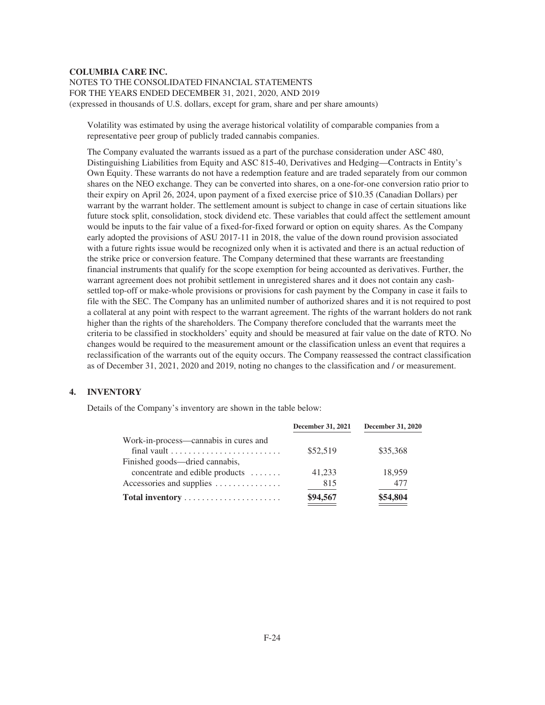Volatility was estimated by using the average historical volatility of comparable companies from a representative peer group of publicly traded cannabis companies.

The Company evaluated the warrants issued as a part of the purchase consideration under ASC 480, Distinguishing Liabilities from Equity and ASC 815-40, Derivatives and Hedging—Contracts in Entity's Own Equity. These warrants do not have a redemption feature and are traded separately from our common shares on the NEO exchange. They can be converted into shares, on a one-for-one conversion ratio prior to their expiry on April 26, 2024, upon payment of a fixed exercise price of \$10.35 (Canadian Dollars) per warrant by the warrant holder. The settlement amount is subject to change in case of certain situations like future stock split, consolidation, stock dividend etc. These variables that could affect the settlement amount would be inputs to the fair value of a fixed-for-fixed forward or option on equity shares. As the Company early adopted the provisions of ASU 2017-11 in 2018, the value of the down round provision associated with a future rights issue would be recognized only when it is activated and there is an actual reduction of the strike price or conversion feature. The Company determined that these warrants are freestanding financial instruments that qualify for the scope exemption for being accounted as derivatives. Further, the warrant agreement does not prohibit settlement in unregistered shares and it does not contain any cashsettled top-off or make-whole provisions or provisions for cash payment by the Company in case it fails to file with the SEC. The Company has an unlimited number of authorized shares and it is not required to post a collateral at any point with respect to the warrant agreement. The rights of the warrant holders do not rank higher than the rights of the shareholders. The Company therefore concluded that the warrants meet the criteria to be classified in stockholders' equity and should be measured at fair value on the date of RTO. No changes would be required to the measurement amount or the classification unless an event that requires a reclassification of the warrants out of the equity occurs. The Company reassessed the contract classification as of December 31, 2021, 2020 and 2019, noting no changes to the classification and / or measurement.

# **4. INVENTORY**

Details of the Company's inventory are shown in the table below:

| December 31, 2021 | <b>December 31, 2020</b> |
|-------------------|--------------------------|
|                   | \$35,368                 |
|                   |                          |
| 41,233            | 18,959                   |
| 815               | 477                      |
| \$94,567          | \$54,804                 |
|                   | \$52,519                 |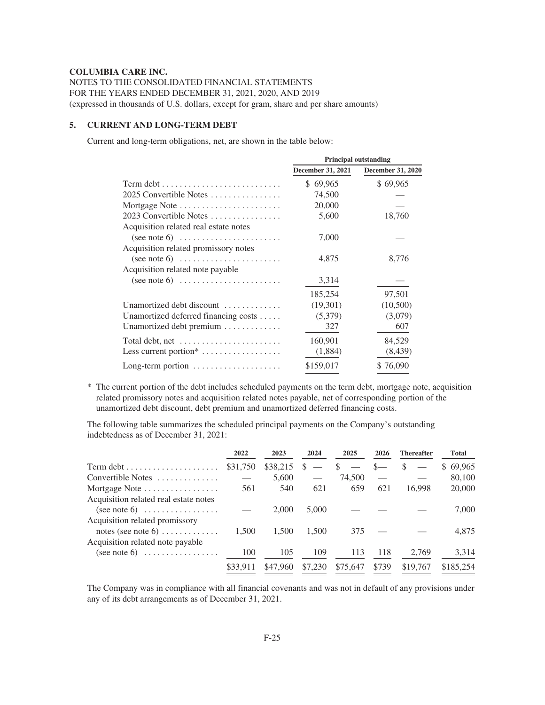NOTES TO THE CONSOLIDATED FINANCIAL STATEMENTS FOR THE YEARS ENDED DECEMBER 31, 2021, 2020, AND 2019 (expressed in thousands of U.S. dollars, except for gram, share and per share amounts)

## **5. CURRENT AND LONG-TERM DEBT**

Current and long-term obligations, net, are shown in the table below:

|                                                                                                                                           | <b>Principal outstanding</b> |                          |  |
|-------------------------------------------------------------------------------------------------------------------------------------------|------------------------------|--------------------------|--|
|                                                                                                                                           | <b>December 31, 2021</b>     | <b>December 31, 2020</b> |  |
| $Term \text{ debt} \dots \dots \dots \dots \dots \dots \dots \dots \dots$                                                                 | \$69,965                     | \$69,965                 |  |
| 2025 Convertible Notes                                                                                                                    | 74,500                       |                          |  |
| Mortgage Note                                                                                                                             | 20,000                       |                          |  |
| 2023 Convertible Notes                                                                                                                    | 5,600                        | 18,760                   |  |
| Acquisition related real estate notes<br>(see note 6) $\dots \dots \dots \dots \dots \dots \dots$<br>Acquisition related promissory notes | 7,000                        |                          |  |
| (see note 6) $\dots \dots \dots \dots \dots \dots \dots$                                                                                  | 4,875                        | 8,776                    |  |
| Acquisition related note payable                                                                                                          |                              |                          |  |
| (see note 6) $\dots \dots \dots \dots \dots \dots \dots$                                                                                  | 3,314                        |                          |  |
|                                                                                                                                           | 185,254                      | 97,501                   |  |
| Unamortized debt discount                                                                                                                 | (19,301)                     | (10,500)                 |  |
| Unamortized deferred financing costs $\dots$ .                                                                                            | (5,379)                      | (3,079)                  |  |
| Unamortized debt premium                                                                                                                  | 327                          | 607                      |  |
| Total debt, net                                                                                                                           | 160,901                      | 84,529                   |  |
| Less current portion $*$                                                                                                                  | (1,884)                      | (8, 439)                 |  |
| Long-term portion                                                                                                                         | \$159,017                    | \$76,090                 |  |

\* The current portion of the debt includes scheduled payments on the term debt, mortgage note, acquisition related promissory notes and acquisition related notes payable, net of corresponding portion of the unamortized debt discount, debt premium and unamortized deferred financing costs.

The following table summarizes the scheduled principal payments on the Company's outstanding indebtedness as of December 31, 2021:

|                                                                                       | 2022     | 2023     | 2024    | 2025          | 2026  | <b>Thereafter</b> | <b>Total</b> |
|---------------------------------------------------------------------------------------|----------|----------|---------|---------------|-------|-------------------|--------------|
| $Term \text{ debt} \dots \dots \dots \dots \dots \dots \dots$                         | \$31,750 | \$38,215 | \$.     | <sup>\$</sup> | $S-$  | <sup>\$</sup>     | \$69,965     |
| Convertible Notes                                                                     |          | 5,600    |         | 74.500        |       |                   | 80,100       |
| Mortgage Note                                                                         | 561      | 540      | 621     | 659           | 621   | 16.998            | 20,000       |
| Acquisition related real estate notes<br>(see note 6) $\dots \dots \dots \dots \dots$ |          | 2,000    | 5,000   |               |       |                   | 7,000        |
| Acquisition related promissory<br>notes (see note 6) $\dots$                          | 1.500    | 1.500    | 1,500   | 375           |       |                   | 4,875        |
| Acquisition related note payable<br>(see note 6) $\dots \dots \dots \dots \dots$      | 100      | 105      | 109     | 113           | 118   | 2,769             | 3,314        |
|                                                                                       | \$33.911 | \$47,960 | \$7,230 | \$75,647      | \$739 | \$19,767          | \$185,254    |

The Company was in compliance with all financial covenants and was not in default of any provisions under any of its debt arrangements as of December 31, 2021.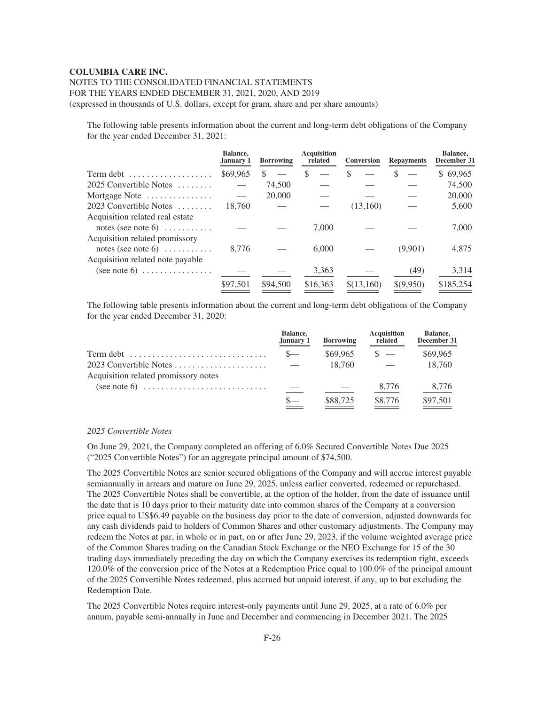# NOTES TO THE CONSOLIDATED FINANCIAL STATEMENTS FOR THE YEARS ENDED DECEMBER 31, 2021, 2020, AND 2019

(expressed in thousands of U.S. dollars, except for gram, share and per share amounts)

The following table presents information about the current and long-term debt obligations of the Company for the year ended December 31, 2021:

|                                                                                  | Balance,<br>January 1 | <b>Borrowing</b> | <b>Acquisition</b><br>related | Conversion | <b>Repayments</b> | Balance,<br>December 31 |
|----------------------------------------------------------------------------------|-----------------------|------------------|-------------------------------|------------|-------------------|-------------------------|
| Term debt                                                                        | \$69,965              | \$.              | \$                            | S          |                   | \$69,965                |
| 2025 Convertible Notes                                                           |                       | 74,500           |                               |            |                   | 74,500                  |
| Mortgage Note                                                                    |                       | 20,000           |                               |            |                   | 20,000                  |
| $2023$ Convertible Notes                                                         | 18.760                |                  |                               | (13,160)   |                   | 5,600                   |
| Acquisition related real estate<br>notes (see note 6) $\dots$                    |                       |                  | 7.000                         |            |                   | 7,000                   |
| Acquisition related promissory<br>notes (see note 6) $\dots$                     | 8.776                 |                  | 6.000                         |            | (9,901)           | 4,875                   |
| Acquisition related note payable<br>$(see note 6) \dots \dots \dots \dots \dots$ |                       |                  | 3,363                         |            | (49)              | 3,314                   |
|                                                                                  | \$97,501              | \$94,500         | \$16,363                      | \$(13,160) | \$(9,950)         | \$185,254               |

The following table presents information about the current and long-term debt obligations of the Company for the year ended December 31, 2020:

|                                                                                 | <b>Balance.</b><br>January 1 | <b>Borrowing</b> | <b>Acquisition</b><br>related | <b>Balance,</b><br>December 31 |
|---------------------------------------------------------------------------------|------------------------------|------------------|-------------------------------|--------------------------------|
| $Term \text{ debt} \dots \dots \dots \dots \dots \dots \dots \dots \dots \dots$ | $S-$                         | \$69,965         |                               | \$69,965                       |
| 2023 Convertible Notes                                                          | $\sim$ 100 $\sim$            | 18.760           |                               | 18.760                         |
| Acquisition related promissory notes                                            |                              |                  |                               |                                |
|                                                                                 |                              |                  | 8,776                         | 8,776                          |
|                                                                                 |                              | \$88,725         | \$8,776                       | \$97,501                       |

## *2025 Convertible Notes*

On June 29, 2021, the Company completed an offering of 6.0% Secured Convertible Notes Due 2025 ("2025 Convertible Notes") for an aggregate principal amount of \$74,500.

The 2025 Convertible Notes are senior secured obligations of the Company and will accrue interest payable semiannually in arrears and mature on June 29, 2025, unless earlier converted, redeemed or repurchased. The 2025 Convertible Notes shall be convertible, at the option of the holder, from the date of issuance until the date that is 10 days prior to their maturity date into common shares of the Company at a conversion price equal to US\$6.49 payable on the business day prior to the date of conversion, adjusted downwards for any cash dividends paid to holders of Common Shares and other customary adjustments. The Company may redeem the Notes at par, in whole or in part, on or after June 29, 2023, if the volume weighted average price of the Common Shares trading on the Canadian Stock Exchange or the NEO Exchange for 15 of the 30 trading days immediately preceding the day on which the Company exercises its redemption right, exceeds 120.0% of the conversion price of the Notes at a Redemption Price equal to 100.0% of the principal amount of the 2025 Convertible Notes redeemed, plus accrued but unpaid interest, if any, up to but excluding the Redemption Date.

The 2025 Convertible Notes require interest-only payments until June 29, 2025, at a rate of 6.0% per annum, payable semi-annually in June and December and commencing in December 2021. The 2025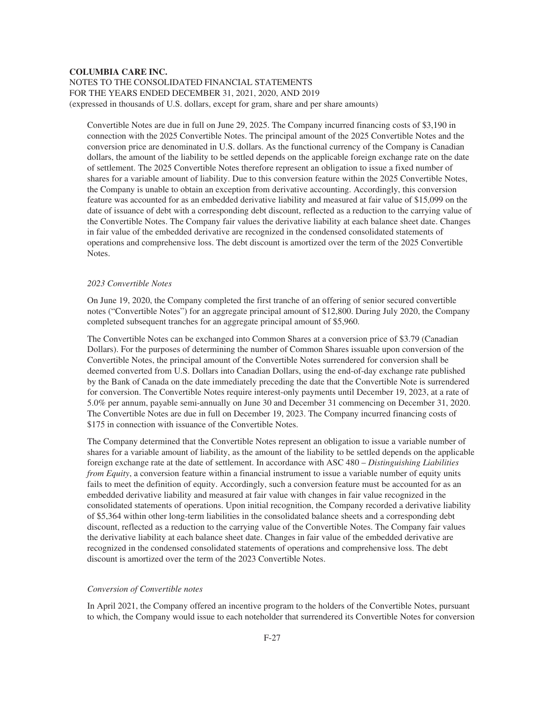Convertible Notes are due in full on June 29, 2025. The Company incurred financing costs of \$3,190 in connection with the 2025 Convertible Notes. The principal amount of the 2025 Convertible Notes and the conversion price are denominated in U.S. dollars. As the functional currency of the Company is Canadian dollars, the amount of the liability to be settled depends on the applicable foreign exchange rate on the date of settlement. The 2025 Convertible Notes therefore represent an obligation to issue a fixed number of shares for a variable amount of liability. Due to this conversion feature within the 2025 Convertible Notes, the Company is unable to obtain an exception from derivative accounting. Accordingly, this conversion feature was accounted for as an embedded derivative liability and measured at fair value of \$15,099 on the date of issuance of debt with a corresponding debt discount, reflected as a reduction to the carrying value of the Convertible Notes. The Company fair values the derivative liability at each balance sheet date. Changes in fair value of the embedded derivative are recognized in the condensed consolidated statements of operations and comprehensive loss. The debt discount is amortized over the term of the 2025 Convertible Notes.

## *2023 Convertible Notes*

On June 19, 2020, the Company completed the first tranche of an offering of senior secured convertible notes ("Convertible Notes") for an aggregate principal amount of \$12,800. During July 2020, the Company completed subsequent tranches for an aggregate principal amount of \$5,960.

The Convertible Notes can be exchanged into Common Shares at a conversion price of \$3.79 (Canadian Dollars). For the purposes of determining the number of Common Shares issuable upon conversion of the Convertible Notes, the principal amount of the Convertible Notes surrendered for conversion shall be deemed converted from U.S. Dollars into Canadian Dollars, using the end-of-day exchange rate published by the Bank of Canada on the date immediately preceding the date that the Convertible Note is surrendered for conversion. The Convertible Notes require interest-only payments until December 19, 2023, at a rate of 5.0% per annum, payable semi-annually on June 30 and December 31 commencing on December 31, 2020. The Convertible Notes are due in full on December 19, 2023. The Company incurred financing costs of \$175 in connection with issuance of the Convertible Notes.

The Company determined that the Convertible Notes represent an obligation to issue a variable number of shares for a variable amount of liability, as the amount of the liability to be settled depends on the applicable foreign exchange rate at the date of settlement. In accordance with ASC 480 – *Distinguishing Liabilities from Equity*, a conversion feature within a financial instrument to issue a variable number of equity units fails to meet the definition of equity. Accordingly, such a conversion feature must be accounted for as an embedded derivative liability and measured at fair value with changes in fair value recognized in the consolidated statements of operations. Upon initial recognition, the Company recorded a derivative liability of \$5,364 within other long-term liabilities in the consolidated balance sheets and a corresponding debt discount, reflected as a reduction to the carrying value of the Convertible Notes. The Company fair values the derivative liability at each balance sheet date. Changes in fair value of the embedded derivative are recognized in the condensed consolidated statements of operations and comprehensive loss. The debt discount is amortized over the term of the 2023 Convertible Notes.

## *Conversion of Convertible notes*

In April 2021, the Company offered an incentive program to the holders of the Convertible Notes, pursuant to which, the Company would issue to each noteholder that surrendered its Convertible Notes for conversion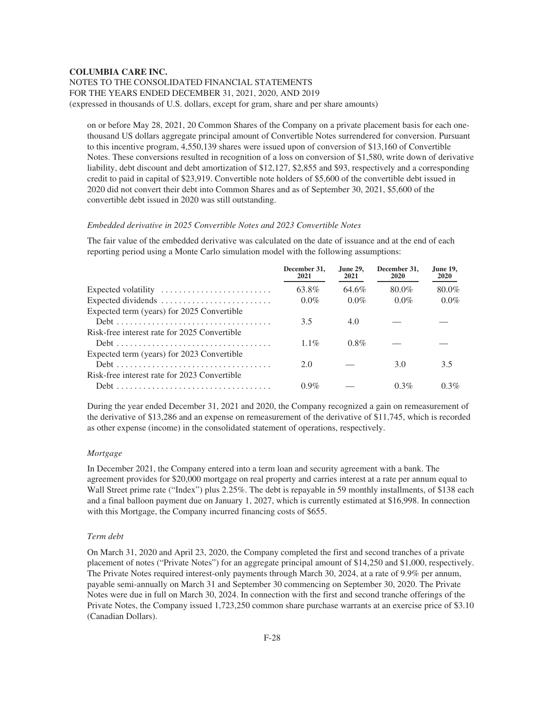# NOTES TO THE CONSOLIDATED FINANCIAL STATEMENTS FOR THE YEARS ENDED DECEMBER 31, 2021, 2020, AND 2019 (expressed in thousands of U.S. dollars, except for gram, share and per share amounts)

on or before May 28, 2021, 20 Common Shares of the Company on a private placement basis for each onethousand US dollars aggregate principal amount of Convertible Notes surrendered for conversion. Pursuant to this incentive program, 4,550,139 shares were issued upon of conversion of \$13,160 of Convertible Notes. These conversions resulted in recognition of a loss on conversion of \$1,580, write down of derivative liability, debt discount and debt amortization of \$12,127, \$2,855 and \$93, respectively and a corresponding credit to paid in capital of \$23,919. Convertible note holders of \$5,600 of the convertible debt issued in 2020 did not convert their debt into Common Shares and as of September 30, 2021, \$5,600 of the convertible debt issued in 2020 was still outstanding.

## *Embedded derivative in 2025 Convertible Notes and 2023 Convertible Notes*

The fair value of the embedded derivative was calculated on the date of issuance and at the end of each reporting period using a Monte Carlo simulation model with the following assumptions:

|                                              | December 31.<br>2021 | <b>June 29.</b><br>2021 | December 31.<br>2020 | <b>June 19,</b><br>2020 |
|----------------------------------------------|----------------------|-------------------------|----------------------|-------------------------|
| Expected volatility                          | 63.8%                | 64.6%                   | 80.0%                | 80.0%                   |
|                                              | $0.0\%$              | $0.0\%$                 | $0.0\%$              | $0.0\%$                 |
| Expected term (years) for 2025 Convertible   |                      |                         |                      |                         |
|                                              | 3.5                  | 4.0                     |                      |                         |
| Risk-free interest rate for 2025 Convertible |                      |                         |                      |                         |
|                                              | $1.1\%$              | $0.8\%$                 |                      |                         |
| Expected term (years) for 2023 Convertible   |                      |                         |                      |                         |
|                                              | 2.0                  |                         | 3.0                  | 3.5                     |
| Risk-free interest rate for 2023 Convertible |                      |                         |                      |                         |
|                                              | $0.9\%$              |                         | 0.3%                 | 0.3%                    |

During the year ended December 31, 2021 and 2020, the Company recognized a gain on remeasurement of the derivative of \$13,286 and an expense on remeasurement of the derivative of \$11,745, which is recorded as other expense (income) in the consolidated statement of operations, respectively.

#### *Mortgage*

In December 2021, the Company entered into a term loan and security agreement with a bank. The agreement provides for \$20,000 mortgage on real property and carries interest at a rate per annum equal to Wall Street prime rate ("Index") plus 2.25%. The debt is repayable in 59 monthly installments, of \$138 each and a final balloon payment due on January 1, 2027, which is currently estimated at \$16,998. In connection with this Mortgage, the Company incurred financing costs of \$655.

#### *Term debt*

On March 31, 2020 and April 23, 2020, the Company completed the first and second tranches of a private placement of notes ("Private Notes") for an aggregate principal amount of \$14,250 and \$1,000, respectively. The Private Notes required interest-only payments through March 30, 2024, at a rate of 9.9% per annum, payable semi-annually on March 31 and September 30 commencing on September 30, 2020. The Private Notes were due in full on March 30, 2024. In connection with the first and second tranche offerings of the Private Notes, the Company issued 1,723,250 common share purchase warrants at an exercise price of \$3.10 (Canadian Dollars).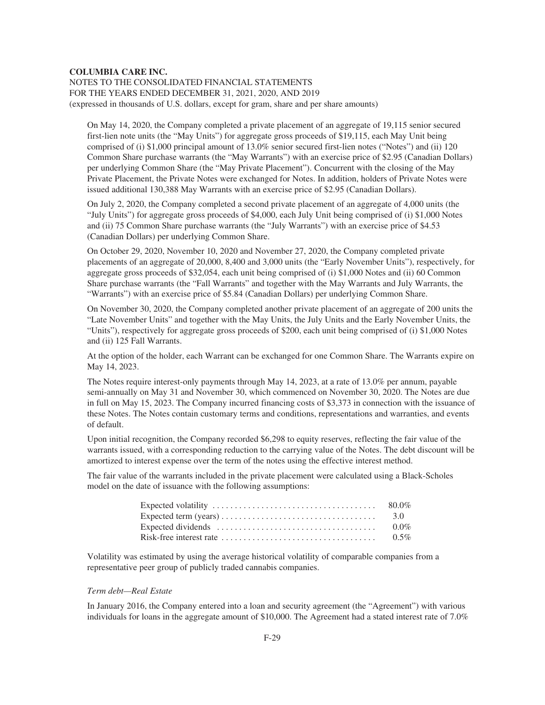# NOTES TO THE CONSOLIDATED FINANCIAL STATEMENTS FOR THE YEARS ENDED DECEMBER 31, 2021, 2020, AND 2019 (expressed in thousands of U.S. dollars, except for gram, share and per share amounts)

On May 14, 2020, the Company completed a private placement of an aggregate of 19,115 senior secured first-lien note units (the "May Units") for aggregate gross proceeds of \$19,115, each May Unit being comprised of (i) \$1,000 principal amount of 13.0% senior secured first-lien notes ("Notes") and (ii) 120 Common Share purchase warrants (the "May Warrants") with an exercise price of \$2.95 (Canadian Dollars) per underlying Common Share (the "May Private Placement"). Concurrent with the closing of the May Private Placement, the Private Notes were exchanged for Notes. In addition, holders of Private Notes were issued additional 130,388 May Warrants with an exercise price of \$2.95 (Canadian Dollars).

On July 2, 2020, the Company completed a second private placement of an aggregate of 4,000 units (the "July Units") for aggregate gross proceeds of \$4,000, each July Unit being comprised of (i) \$1,000 Notes and (ii) 75 Common Share purchase warrants (the "July Warrants") with an exercise price of \$4.53 (Canadian Dollars) per underlying Common Share.

On October 29, 2020, November 10, 2020 and November 27, 2020, the Company completed private placements of an aggregate of 20,000, 8,400 and 3,000 units (the "Early November Units"), respectively, for aggregate gross proceeds of \$32,054, each unit being comprised of (i) \$1,000 Notes and (ii) 60 Common Share purchase warrants (the "Fall Warrants" and together with the May Warrants and July Warrants, the "Warrants") with an exercise price of \$5.84 (Canadian Dollars) per underlying Common Share.

On November 30, 2020, the Company completed another private placement of an aggregate of 200 units the "Late November Units" and together with the May Units, the July Units and the Early November Units, the "Units"), respectively for aggregate gross proceeds of \$200, each unit being comprised of (i) \$1,000 Notes and (ii) 125 Fall Warrants.

At the option of the holder, each Warrant can be exchanged for one Common Share. The Warrants expire on May 14, 2023.

The Notes require interest-only payments through May 14, 2023, at a rate of 13.0% per annum, payable semi-annually on May 31 and November 30, which commenced on November 30, 2020. The Notes are due in full on May 15, 2023. The Company incurred financing costs of \$3,373 in connection with the issuance of these Notes. The Notes contain customary terms and conditions, representations and warranties, and events of default.

Upon initial recognition, the Company recorded \$6,298 to equity reserves, reflecting the fair value of the warrants issued, with a corresponding reduction to the carrying value of the Notes. The debt discount will be amortized to interest expense over the term of the notes using the effective interest method.

The fair value of the warrants included in the private placement were calculated using a Black-Scholes model on the date of issuance with the following assumptions:

| $0.0\%$ |
|---------|
|         |

Volatility was estimated by using the average historical volatility of comparable companies from a representative peer group of publicly traded cannabis companies.

## *Term debt—Real Estate*

In January 2016, the Company entered into a loan and security agreement (the "Agreement") with various individuals for loans in the aggregate amount of \$10,000. The Agreement had a stated interest rate of 7.0%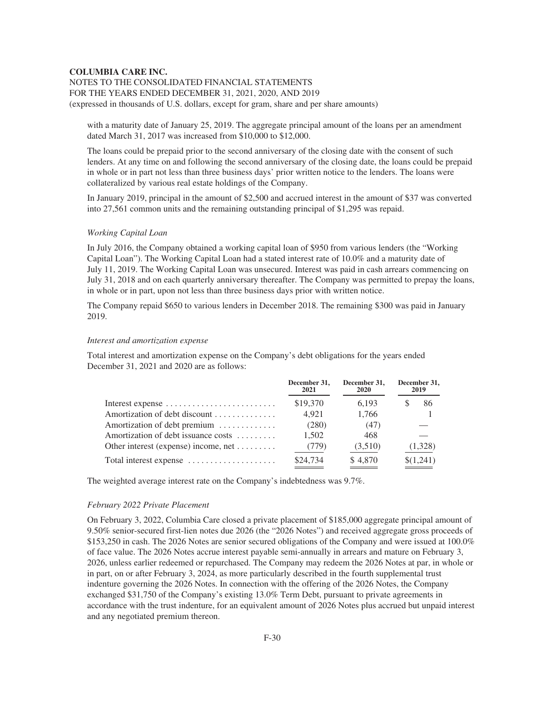# NOTES TO THE CONSOLIDATED FINANCIAL STATEMENTS FOR THE YEARS ENDED DECEMBER 31, 2021, 2020, AND 2019 (expressed in thousands of U.S. dollars, except for gram, share and per share amounts)

with a maturity date of January 25, 2019. The aggregate principal amount of the loans per an amendment dated March 31, 2017 was increased from \$10,000 to \$12,000.

The loans could be prepaid prior to the second anniversary of the closing date with the consent of such lenders. At any time on and following the second anniversary of the closing date, the loans could be prepaid in whole or in part not less than three business days' prior written notice to the lenders. The loans were collateralized by various real estate holdings of the Company.

In January 2019, principal in the amount of \$2,500 and accrued interest in the amount of \$37 was converted into 27,561 common units and the remaining outstanding principal of \$1,295 was repaid.

## *Working Capital Loan*

In July 2016, the Company obtained a working capital loan of \$950 from various lenders (the "Working Capital Loan"). The Working Capital Loan had a stated interest rate of 10.0% and a maturity date of July 11, 2019. The Working Capital Loan was unsecured. Interest was paid in cash arrears commencing on July 31, 2018 and on each quarterly anniversary thereafter. The Company was permitted to prepay the loans, in whole or in part, upon not less than three business days prior with written notice.

The Company repaid \$650 to various lenders in December 2018. The remaining \$300 was paid in January 2019.

#### *Interest and amortization expense*

Total interest and amortization expense on the Company's debt obligations for the years ended December 31, 2021 and 2020 are as follows:

|                                                                       | December 31,<br>2021 | December 31,<br>2020 | December 31,<br>2019 |
|-----------------------------------------------------------------------|----------------------|----------------------|----------------------|
| Interest expense $\dots\dots\dots\dots\dots\dots\dots\dots\dots\dots$ | \$19,370             | 6.193                | 86                   |
| Amortization of debt discount                                         | 4.921                | 1,766                |                      |
| Amortization of debt premium                                          | (280)                | (47)                 |                      |
| Amortization of debt issuance costs                                   | 1.502                | 468                  |                      |
| Other interest (expense) income, net                                  | (779)                | (3,510)              | (1,328)              |
| Total interest expense                                                | \$24,734             | \$4,870              | \$(1,241)            |

The weighted average interest rate on the Company's indebtedness was 9.7%.

## *February 2022 Private Placement*

On February 3, 2022, Columbia Care closed a private placement of \$185,000 aggregate principal amount of 9.50% senior-secured first-lien notes due 2026 (the "2026 Notes") and received aggregate gross proceeds of \$153,250 in cash. The 2026 Notes are senior secured obligations of the Company and were issued at 100.0% of face value. The 2026 Notes accrue interest payable semi-annually in arrears and mature on February 3, 2026, unless earlier redeemed or repurchased. The Company may redeem the 2026 Notes at par, in whole or in part, on or after February 3, 2024, as more particularly described in the fourth supplemental trust indenture governing the 2026 Notes. In connection with the offering of the 2026 Notes, the Company exchanged \$31,750 of the Company's existing 13.0% Term Debt, pursuant to private agreements in accordance with the trust indenture, for an equivalent amount of 2026 Notes plus accrued but unpaid interest and any negotiated premium thereon.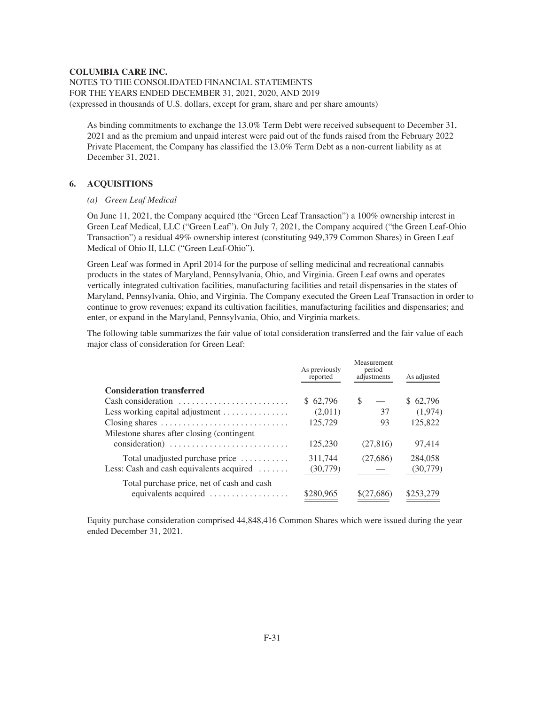NOTES TO THE CONSOLIDATED FINANCIAL STATEMENTS FOR THE YEARS ENDED DECEMBER 31, 2021, 2020, AND 2019 (expressed in thousands of U.S. dollars, except for gram, share and per share amounts)

As binding commitments to exchange the 13.0% Term Debt were received subsequent to December 31, 2021 and as the premium and unpaid interest were paid out of the funds raised from the February 2022 Private Placement, the Company has classified the 13.0% Term Debt as a non-current liability as at December 31, 2021.

# **6. ACQUISITIONS**

## *(a) Green Leaf Medical*

On June 11, 2021, the Company acquired (the "Green Leaf Transaction") a 100% ownership interest in Green Leaf Medical, LLC ("Green Leaf"). On July 7, 2021, the Company acquired ("the Green Leaf-Ohio Transaction") a residual 49% ownership interest (constituting 949,379 Common Shares) in Green Leaf Medical of Ohio II, LLC ("Green Leaf-Ohio").

Green Leaf was formed in April 2014 for the purpose of selling medicinal and recreational cannabis products in the states of Maryland, Pennsylvania, Ohio, and Virginia. Green Leaf owns and operates vertically integrated cultivation facilities, manufacturing facilities and retail dispensaries in the states of Maryland, Pennsylvania, Ohio, and Virginia. The Company executed the Green Leaf Transaction in order to continue to grow revenues; expand its cultivation facilities, manufacturing facilities and dispensaries; and enter, or expand in the Maryland, Pennsylvania, Ohio, and Virginia markets.

The following table summarizes the fair value of total consideration transferred and the fair value of each major class of consideration for Green Leaf:

|                                                             | As previously<br>reported | Measurement<br>period<br>adjustments | As adjusted |
|-------------------------------------------------------------|---------------------------|--------------------------------------|-------------|
| <b>Consideration transferred</b>                            |                           |                                      |             |
| Cash consideration                                          | \$62,796                  | <sup>\$</sup>                        | \$62,796    |
| Less working capital adjustment $\dots\dots\dots\dots\dots$ | (2,011)                   | 37                                   | (1,974)     |
| Closing shares                                              | 125,729                   | 93                                   | 125,822     |
| Milestone shares after closing (contingent                  |                           |                                      |             |
| consideration)                                              | 125,230                   | (27, 816)                            | 97,414      |
| Total unadjusted purchase price $\dots\dots\dots$           | 311.744                   | (27,686)                             | 284,058     |
| Less: Cash and cash equivalents acquired                    | (30, 779)                 |                                      | (30, 779)   |
| Total purchase price, net of cash and cash                  |                           |                                      |             |
| equivalents acquired                                        | \$280,965                 | $$^{(27,686)}$                       | \$253,279   |

Equity purchase consideration comprised 44,848,416 Common Shares which were issued during the year ended December 31, 2021.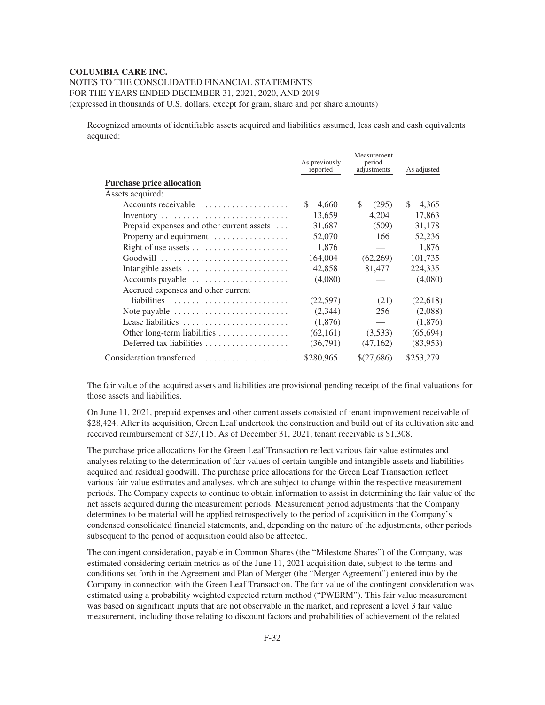NOTES TO THE CONSOLIDATED FINANCIAL STATEMENTS

FOR THE YEARS ENDED DECEMBER 31, 2021, 2020, AND 2019

(expressed in thousands of U.S. dollars, except for gram, share and per share amounts)

Recognized amounts of identifiable assets acquired and liabilities assumed, less cash and cash equivalents acquired:

|                                                             | As previously<br>reported | Measurement<br>period<br>adjustments | As adjusted |
|-------------------------------------------------------------|---------------------------|--------------------------------------|-------------|
| <b>Purchase price allocation</b>                            |                           |                                      |             |
| Assets acquired:                                            |                           |                                      |             |
| Accounts receivable                                         | S<br>4,660                | \$.<br>(295)                         | S.<br>4,365 |
|                                                             | 13,659                    | 4,204                                | 17,863      |
| Prepaid expenses and other current assets                   | 31,687                    | (509)                                | 31,178      |
| Property and equipment                                      | 52,070                    | 166                                  | 52,236      |
| Right of use assets                                         | 1.876                     |                                      | 1,876       |
|                                                             | 164,004                   | (62,269)                             | 101,735     |
| Intangible assets                                           | 142,858                   | 81,477                               | 224,335     |
| Accounts payable $\dots\dots\dots\dots\dots\dots\dots\dots$ | (4,080)                   |                                      | (4,080)     |
| Accrued expenses and other current                          |                           |                                      |             |
| liabilities                                                 | (22, 597)                 | (21)                                 | (22,618)    |
| Note payable                                                | (2,344)                   | 256                                  | (2,088)     |
| Lease liabilities                                           | (1,876)                   |                                      | (1,876)     |
| Other long-term liabilities                                 | (62,161)                  | (3,533)                              | (65, 694)   |
| Deferred tax liabilities                                    | (36,791)                  | (47,162)                             | (83,953)    |
| Consideration transferred                                   | \$280,965                 | \$(27,686)                           | \$253,279   |

The fair value of the acquired assets and liabilities are provisional pending receipt of the final valuations for those assets and liabilities.

On June 11, 2021, prepaid expenses and other current assets consisted of tenant improvement receivable of \$28,424. After its acquisition, Green Leaf undertook the construction and build out of its cultivation site and received reimbursement of \$27,115. As of December 31, 2021, tenant receivable is \$1,308.

The purchase price allocations for the Green Leaf Transaction reflect various fair value estimates and analyses relating to the determination of fair values of certain tangible and intangible assets and liabilities acquired and residual goodwill. The purchase price allocations for the Green Leaf Transaction reflect various fair value estimates and analyses, which are subject to change within the respective measurement periods. The Company expects to continue to obtain information to assist in determining the fair value of the net assets acquired during the measurement periods. Measurement period adjustments that the Company determines to be material will be applied retrospectively to the period of acquisition in the Company's condensed consolidated financial statements, and, depending on the nature of the adjustments, other periods subsequent to the period of acquisition could also be affected.

The contingent consideration, payable in Common Shares (the "Milestone Shares") of the Company, was estimated considering certain metrics as of the June 11, 2021 acquisition date, subject to the terms and conditions set forth in the Agreement and Plan of Merger (the "Merger Agreement") entered into by the Company in connection with the Green Leaf Transaction. The fair value of the contingent consideration was estimated using a probability weighted expected return method ("PWERM"). This fair value measurement was based on significant inputs that are not observable in the market, and represent a level 3 fair value measurement, including those relating to discount factors and probabilities of achievement of the related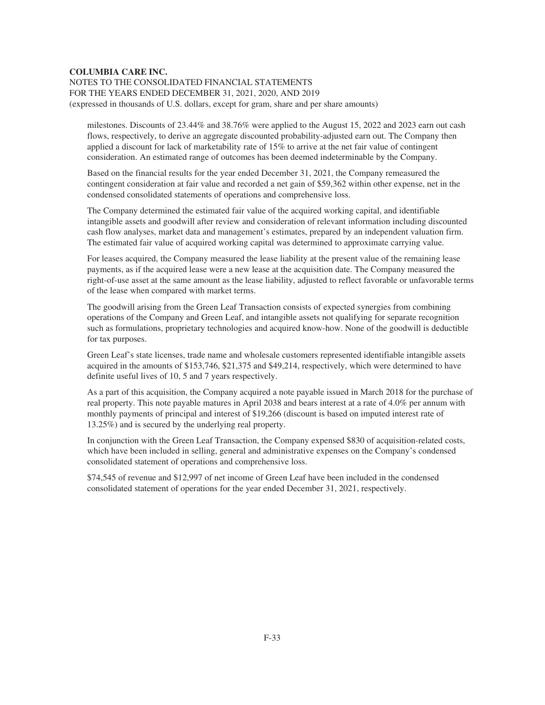# NOTES TO THE CONSOLIDATED FINANCIAL STATEMENTS FOR THE YEARS ENDED DECEMBER 31, 2021, 2020, AND 2019 (expressed in thousands of U.S. dollars, except for gram, share and per share amounts)

milestones. Discounts of 23.44% and 38.76% were applied to the August 15, 2022 and 2023 earn out cash flows, respectively, to derive an aggregate discounted probability-adjusted earn out. The Company then applied a discount for lack of marketability rate of 15% to arrive at the net fair value of contingent consideration. An estimated range of outcomes has been deemed indeterminable by the Company.

Based on the financial results for the year ended December 31, 2021, the Company remeasured the contingent consideration at fair value and recorded a net gain of \$59,362 within other expense, net in the condensed consolidated statements of operations and comprehensive loss.

The Company determined the estimated fair value of the acquired working capital, and identifiable intangible assets and goodwill after review and consideration of relevant information including discounted cash flow analyses, market data and management's estimates, prepared by an independent valuation firm. The estimated fair value of acquired working capital was determined to approximate carrying value.

For leases acquired, the Company measured the lease liability at the present value of the remaining lease payments, as if the acquired lease were a new lease at the acquisition date. The Company measured the right-of-use asset at the same amount as the lease liability, adjusted to reflect favorable or unfavorable terms of the lease when compared with market terms.

The goodwill arising from the Green Leaf Transaction consists of expected synergies from combining operations of the Company and Green Leaf, and intangible assets not qualifying for separate recognition such as formulations, proprietary technologies and acquired know-how. None of the goodwill is deductible for tax purposes.

Green Leaf's state licenses, trade name and wholesale customers represented identifiable intangible assets acquired in the amounts of \$153,746, \$21,375 and \$49,214, respectively, which were determined to have definite useful lives of 10, 5 and 7 years respectively.

As a part of this acquisition, the Company acquired a note payable issued in March 2018 for the purchase of real property. This note payable matures in April 2038 and bears interest at a rate of 4.0% per annum with monthly payments of principal and interest of \$19,266 (discount is based on imputed interest rate of 13.25%) and is secured by the underlying real property.

In conjunction with the Green Leaf Transaction, the Company expensed \$830 of acquisition-related costs, which have been included in selling, general and administrative expenses on the Company's condensed consolidated statement of operations and comprehensive loss.

\$74,545 of revenue and \$12,997 of net income of Green Leaf have been included in the condensed consolidated statement of operations for the year ended December 31, 2021, respectively.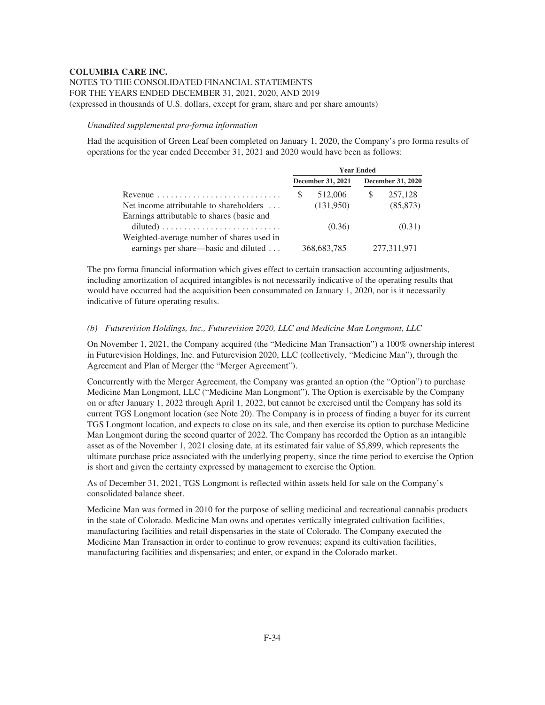## *Unaudited supplemental pro-forma information*

Had the acquisition of Green Leaf been completed on January 1, 2020, the Company's pro forma results of operations for the year ended December 31, 2021 and 2020 would have been as follows:

| <b>Year Ended</b> |           |                                    |                          |
|-------------------|-----------|------------------------------------|--------------------------|
|                   |           |                                    | <b>December 31, 2020</b> |
| \$.               | 512,006   | <sup>S</sup>                       | 257,128                  |
|                   | (131,950) |                                    | (85, 873)                |
|                   |           |                                    |                          |
|                   | (0.36)    |                                    | (0.31)                   |
|                   |           |                                    |                          |
|                   |           |                                    | 277,311,971              |
|                   |           | December 31, 2021<br>368, 683, 785 |                          |

The pro forma financial information which gives effect to certain transaction accounting adjustments, including amortization of acquired intangibles is not necessarily indicative of the operating results that would have occurred had the acquisition been consummated on January 1, 2020, nor is it necessarily indicative of future operating results.

## *(b) Futurevision Holdings, Inc., Futurevision 2020, LLC and Medicine Man Longmont, LLC*

On November 1, 2021, the Company acquired (the "Medicine Man Transaction") a 100% ownership interest in Futurevision Holdings, Inc. and Futurevision 2020, LLC (collectively, "Medicine Man"), through the Agreement and Plan of Merger (the "Merger Agreement").

Concurrently with the Merger Agreement, the Company was granted an option (the "Option") to purchase Medicine Man Longmont, LLC ("Medicine Man Longmont"). The Option is exercisable by the Company on or after January 1, 2022 through April 1, 2022, but cannot be exercised until the Company has sold its current TGS Longmont location (see Note 20). The Company is in process of finding a buyer for its current TGS Longmont location, and expects to close on its sale, and then exercise its option to purchase Medicine Man Longmont during the second quarter of 2022. The Company has recorded the Option as an intangible asset as of the November 1, 2021 closing date, at its estimated fair value of \$5,899, which represents the ultimate purchase price associated with the underlying property, since the time period to exercise the Option is short and given the certainty expressed by management to exercise the Option.

As of December 31, 2021, TGS Longmont is reflected within assets held for sale on the Company's consolidated balance sheet.

Medicine Man was formed in 2010 for the purpose of selling medicinal and recreational cannabis products in the state of Colorado. Medicine Man owns and operates vertically integrated cultivation facilities, manufacturing facilities and retail dispensaries in the state of Colorado. The Company executed the Medicine Man Transaction in order to continue to grow revenues; expand its cultivation facilities, manufacturing facilities and dispensaries; and enter, or expand in the Colorado market.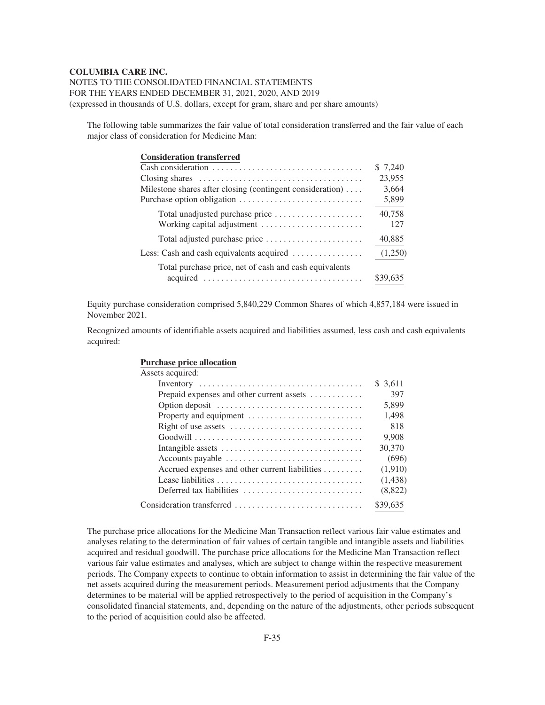NOTES TO THE CONSOLIDATED FINANCIAL STATEMENTS FOR THE YEARS ENDED DECEMBER 31, 2021, 2020, AND 2019 (expressed in thousands of U.S. dollars, except for gram, share and per share amounts)

The following table summarizes the fair value of total consideration transferred and the fair value of each major class of consideration for Medicine Man:

| <b>Consideration transferred</b>                          |          |
|-----------------------------------------------------------|----------|
|                                                           | \$7,240  |
|                                                           | 23,955   |
| Milestone shares after closing (contingent consideration) | 3,664    |
|                                                           | 5,899    |
| Total unadjusted purchase price                           | 40,758   |
|                                                           | 127      |
|                                                           | 40,885   |
| Less: Cash and cash equivalents acquired                  | (1,250)  |
| Total purchase price, net of cash and cash equivalents    |          |
| acquired                                                  | \$39,635 |

Equity purchase consideration comprised 5,840,229 Common Shares of which 4,857,184 were issued in November 2021.

Recognized amounts of identifiable assets acquired and liabilities assumed, less cash and cash equivalents acquired:

| <b>Purchase price allocation</b> |
|----------------------------------|
| Assets acquired:                 |

| Assets acquired.                                                                                      |          |
|-------------------------------------------------------------------------------------------------------|----------|
|                                                                                                       | \$ 3.611 |
| Prepaid expenses and other current assets                                                             | 397      |
| Option deposit                                                                                        | 5.899    |
|                                                                                                       | 1,498    |
|                                                                                                       | 818      |
| $Good will \dots \dots \dots \dots \dots \dots \dots \dots \dots \dots \dots \dots \dots \dots \dots$ | 9,908    |
| Intangible assets $\dots \dots \dots \dots \dots \dots \dots \dots \dots \dots \dots$                 | 30,370   |
| Accounts payable                                                                                      | (696)    |
| Accrued expenses and other current liabilities                                                        | (1,910)  |
|                                                                                                       | (1,438)  |
| Deferred tax liabilities $\ldots, \ldots, \ldots, \ldots, \ldots, \ldots, \ldots$                     | (8,822)  |
| Consideration transferred                                                                             | \$39,635 |
|                                                                                                       |          |

The purchase price allocations for the Medicine Man Transaction reflect various fair value estimates and analyses relating to the determination of fair values of certain tangible and intangible assets and liabilities acquired and residual goodwill. The purchase price allocations for the Medicine Man Transaction reflect various fair value estimates and analyses, which are subject to change within the respective measurement periods. The Company expects to continue to obtain information to assist in determining the fair value of the net assets acquired during the measurement periods. Measurement period adjustments that the Company determines to be material will be applied retrospectively to the period of acquisition in the Company's consolidated financial statements, and, depending on the nature of the adjustments, other periods subsequent to the period of acquisition could also be affected.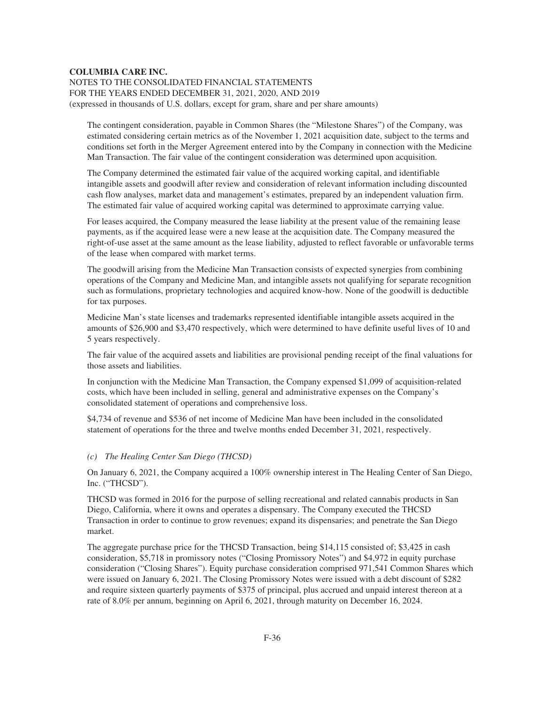NOTES TO THE CONSOLIDATED FINANCIAL STATEMENTS FOR THE YEARS ENDED DECEMBER 31, 2021, 2020, AND 2019 (expressed in thousands of U.S. dollars, except for gram, share and per share amounts)

The contingent consideration, payable in Common Shares (the "Milestone Shares") of the Company, was estimated considering certain metrics as of the November 1, 2021 acquisition date, subject to the terms and conditions set forth in the Merger Agreement entered into by the Company in connection with the Medicine Man Transaction. The fair value of the contingent consideration was determined upon acquisition.

The Company determined the estimated fair value of the acquired working capital, and identifiable intangible assets and goodwill after review and consideration of relevant information including discounted cash flow analyses, market data and management's estimates, prepared by an independent valuation firm. The estimated fair value of acquired working capital was determined to approximate carrying value.

For leases acquired, the Company measured the lease liability at the present value of the remaining lease payments, as if the acquired lease were a new lease at the acquisition date. The Company measured the right-of-use asset at the same amount as the lease liability, adjusted to reflect favorable or unfavorable terms of the lease when compared with market terms.

The goodwill arising from the Medicine Man Transaction consists of expected synergies from combining operations of the Company and Medicine Man, and intangible assets not qualifying for separate recognition such as formulations, proprietary technologies and acquired know-how. None of the goodwill is deductible for tax purposes.

Medicine Man's state licenses and trademarks represented identifiable intangible assets acquired in the amounts of \$26,900 and \$3,470 respectively, which were determined to have definite useful lives of 10 and 5 years respectively.

The fair value of the acquired assets and liabilities are provisional pending receipt of the final valuations for those assets and liabilities.

In conjunction with the Medicine Man Transaction, the Company expensed \$1,099 of acquisition-related costs, which have been included in selling, general and administrative expenses on the Company's consolidated statement of operations and comprehensive loss.

\$4,734 of revenue and \$536 of net income of Medicine Man have been included in the consolidated statement of operations for the three and twelve months ended December 31, 2021, respectively.

#### *(c) The Healing Center San Diego (THCSD)*

On January 6, 2021, the Company acquired a 100% ownership interest in The Healing Center of San Diego, Inc. ("THCSD").

THCSD was formed in 2016 for the purpose of selling recreational and related cannabis products in San Diego, California, where it owns and operates a dispensary. The Company executed the THCSD Transaction in order to continue to grow revenues; expand its dispensaries; and penetrate the San Diego market.

The aggregate purchase price for the THCSD Transaction, being \$14,115 consisted of; \$3,425 in cash consideration, \$5,718 in promissory notes ("Closing Promissory Notes") and \$4,972 in equity purchase consideration ("Closing Shares"). Equity purchase consideration comprised 971,541 Common Shares which were issued on January 6, 2021. The Closing Promissory Notes were issued with a debt discount of \$282 and require sixteen quarterly payments of \$375 of principal, plus accrued and unpaid interest thereon at a rate of 8.0% per annum, beginning on April 6, 2021, through maturity on December 16, 2024.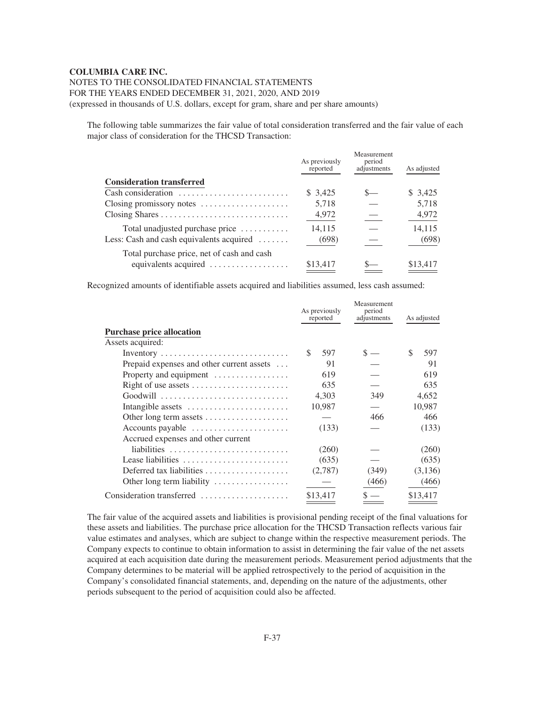# NOTES TO THE CONSOLIDATED FINANCIAL STATEMENTS

FOR THE YEARS ENDED DECEMBER 31, 2021, 2020, AND 2019

(expressed in thousands of U.S. dollars, except for gram, share and per share amounts)

The following table summarizes the fair value of total consideration transferred and the fair value of each major class of consideration for the THCSD Transaction:

|                                                       | As previously<br>reported | Measurement<br>period<br>adjustments | As adjusted |
|-------------------------------------------------------|---------------------------|--------------------------------------|-------------|
| <b>Consideration transferred</b>                      |                           |                                      |             |
| Cash consideration                                    | \$ 3,425                  |                                      | \$ 3,425    |
| Closing promissory notes                              | 5,718                     |                                      | 5,718       |
|                                                       | 4,972                     |                                      | 4,972       |
| Total unadjusted purchase price                       | 14,115                    |                                      | 14,115      |
| Less: Cash and cash equivalents acquired $\dots\dots$ | (698)                     |                                      | (698)       |
| Total purchase price, net of cash and cash            |                           |                                      |             |
| equivalents acquired                                  | \$13,417                  |                                      | \$13,417    |

Recognized amounts of identifiable assets acquired and liabilities assumed, less cash assumed:

|                                                                      | As previously<br>reported | Measurement<br>period<br>adjustments | As adjusted |
|----------------------------------------------------------------------|---------------------------|--------------------------------------|-------------|
| <b>Purchase price allocation</b>                                     |                           |                                      |             |
| Assets acquired:                                                     |                           |                                      |             |
|                                                                      | \$.<br>597                |                                      | \$<br>597   |
| Prepaid expenses and other current assets                            | 91                        |                                      | 91          |
| Property and equipment $\dots\dots\dots\dots\dots$                   | 619                       |                                      | 619         |
| Right of use assets                                                  | 635                       |                                      | 635         |
|                                                                      | 4,303                     | 349                                  | 4,652       |
| Intangible assets                                                    | 10,987                    |                                      | 10,987      |
| Other long term assets                                               |                           | 466                                  | 466         |
| $\Delta$ ccounts payable $\dots \dots \dots \dots \dots \dots \dots$ | (133)                     |                                      | (133)       |
| Accrued expenses and other current                                   |                           |                                      |             |
| liabilities                                                          | (260)                     |                                      | (260)       |
| Lease liabilities                                                    | (635)                     |                                      | (635)       |
| Deferred tax liabilities                                             | (2,787)                   | (349)                                | (3,136)     |
| Other long term liability                                            |                           | (466)                                | (466)       |
| Consideration transferred                                            | \$13,417                  |                                      | \$13,417    |

The fair value of the acquired assets and liabilities is provisional pending receipt of the final valuations for these assets and liabilities. The purchase price allocation for the THCSD Transaction reflects various fair value estimates and analyses, which are subject to change within the respective measurement periods. The Company expects to continue to obtain information to assist in determining the fair value of the net assets acquired at each acquisition date during the measurement periods. Measurement period adjustments that the Company determines to be material will be applied retrospectively to the period of acquisition in the Company's consolidated financial statements, and, depending on the nature of the adjustments, other periods subsequent to the period of acquisition could also be affected.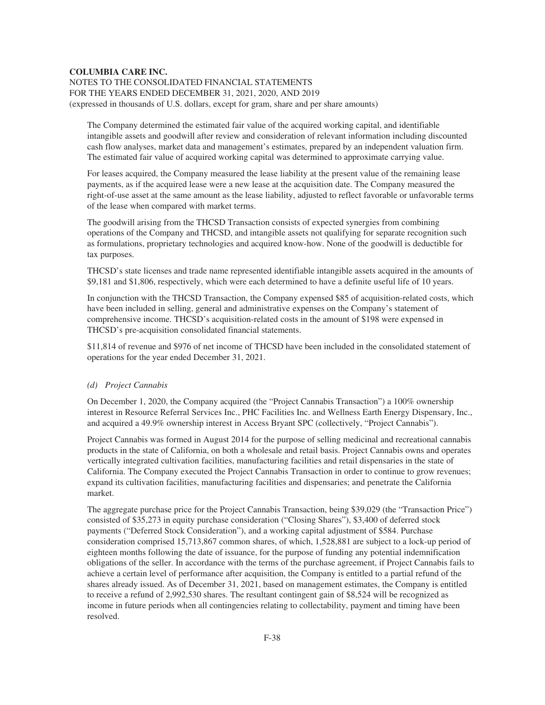NOTES TO THE CONSOLIDATED FINANCIAL STATEMENTS FOR THE YEARS ENDED DECEMBER 31, 2021, 2020, AND 2019 (expressed in thousands of U.S. dollars, except for gram, share and per share amounts)

The Company determined the estimated fair value of the acquired working capital, and identifiable intangible assets and goodwill after review and consideration of relevant information including discounted cash flow analyses, market data and management's estimates, prepared by an independent valuation firm. The estimated fair value of acquired working capital was determined to approximate carrying value.

For leases acquired, the Company measured the lease liability at the present value of the remaining lease payments, as if the acquired lease were a new lease at the acquisition date. The Company measured the right-of-use asset at the same amount as the lease liability, adjusted to reflect favorable or unfavorable terms of the lease when compared with market terms.

The goodwill arising from the THCSD Transaction consists of expected synergies from combining operations of the Company and THCSD, and intangible assets not qualifying for separate recognition such as formulations, proprietary technologies and acquired know-how. None of the goodwill is deductible for tax purposes.

THCSD's state licenses and trade name represented identifiable intangible assets acquired in the amounts of \$9,181 and \$1,806, respectively, which were each determined to have a definite useful life of 10 years.

In conjunction with the THCSD Transaction, the Company expensed \$85 of acquisition-related costs, which have been included in selling, general and administrative expenses on the Company's statement of comprehensive income. THCSD's acquisition-related costs in the amount of \$198 were expensed in THCSD's pre-acquisition consolidated financial statements.

\$11,814 of revenue and \$976 of net income of THCSD have been included in the consolidated statement of operations for the year ended December 31, 2021.

# *(d) Project Cannabis*

On December 1, 2020, the Company acquired (the "Project Cannabis Transaction") a 100% ownership interest in Resource Referral Services Inc., PHC Facilities Inc. and Wellness Earth Energy Dispensary, Inc., and acquired a 49.9% ownership interest in Access Bryant SPC (collectively, "Project Cannabis").

Project Cannabis was formed in August 2014 for the purpose of selling medicinal and recreational cannabis products in the state of California, on both a wholesale and retail basis. Project Cannabis owns and operates vertically integrated cultivation facilities, manufacturing facilities and retail dispensaries in the state of California. The Company executed the Project Cannabis Transaction in order to continue to grow revenues; expand its cultivation facilities, manufacturing facilities and dispensaries; and penetrate the California market.

The aggregate purchase price for the Project Cannabis Transaction, being \$39,029 (the "Transaction Price") consisted of \$35,273 in equity purchase consideration ("Closing Shares"), \$3,400 of deferred stock payments ("Deferred Stock Consideration"), and a working capital adjustment of \$584. Purchase consideration comprised 15,713,867 common shares, of which, 1,528,881 are subject to a lock-up period of eighteen months following the date of issuance, for the purpose of funding any potential indemnification obligations of the seller. In accordance with the terms of the purchase agreement, if Project Cannabis fails to achieve a certain level of performance after acquisition, the Company is entitled to a partial refund of the shares already issued. As of December 31, 2021, based on management estimates, the Company is entitled to receive a refund of 2,992,530 shares. The resultant contingent gain of \$8,524 will be recognized as income in future periods when all contingencies relating to collectability, payment and timing have been resolved.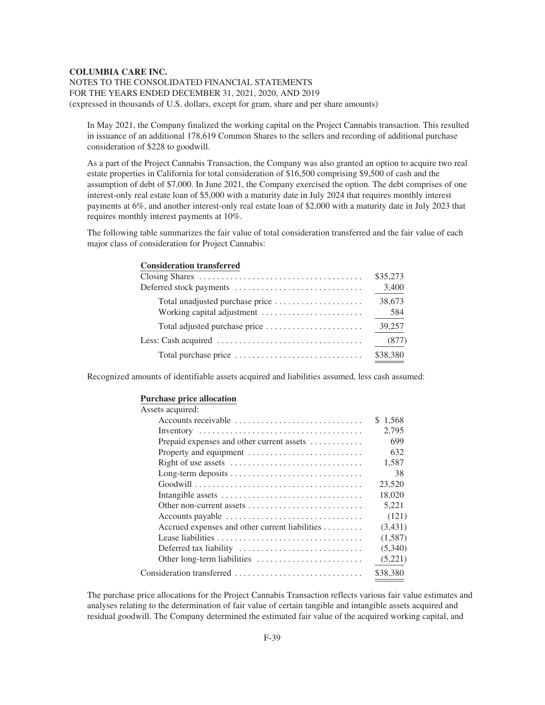NOTES TO THE CONSOLIDATED FINANCIAL STATEMENTS FOR THE YEARS ENDED DECEMBER 31, 2021, 2020, AND 2019 (expressed in thousands of U.S. dollars, except for gram, share and per share amounts)

In May 2021, the Company finalized the working capital on the Project Cannabis transaction. This resulted in issuance of an additional 178,619 Common Shares to the sellers and recording of additional purchase consideration of \$228 to goodwill.

As a part of the Project Cannabis Transaction, the Company was also granted an option to acquire two real estate properties in California for total consideration of \$16,500 comprising \$9,500 of cash and the assumption of debt of \$7,000. In June 2021, the Company exercised the option. The debt comprises of one interest-only real estate loan of \$5,000 with a maturity date in July 2024 that requires monthly interest payments at 6%, and another interest-only real estate loan of \$2,000 with a maturity date in July 2023 that requires monthly interest payments at 10%.

The following table summarizes the fair value of total consideration transferred and the fair value of each major class of consideration for Project Cannabis:

| Consideration transierred |          |
|---------------------------|----------|
|                           | \$35,273 |
|                           | 3,400    |
|                           | 38,673   |
|                           | 584      |
|                           | 39,257   |
|                           | (877)    |
|                           | \$38,380 |
|                           |          |

Recognized amounts of identifiable assets acquired and liabilities assumed, less cash assumed:

#### **Purchase price allocation**

**Consideration transferred**

| Assets acquired:                                                              |          |
|-------------------------------------------------------------------------------|----------|
| Accounts receivable                                                           | \$1,568  |
|                                                                               | 2,795    |
| Prepaid expenses and other current assets                                     | 699      |
| Property and equipment                                                        | 632      |
|                                                                               | 1,587    |
|                                                                               | 38       |
|                                                                               | 23,520   |
|                                                                               | 18,020   |
| Other non-current assets $\dots\dots\dots\dots\dots\dots\dots\dots\dots\dots$ | 5,221    |
| Accounts payable                                                              | (121)    |
| Accrued expenses and other current liabilities                                | (3,431)  |
|                                                                               | (1,587)  |
|                                                                               | (5,340)  |
|                                                                               | (5,221)  |
| Consideration transferred                                                     | \$38.380 |

The purchase price allocations for the Project Cannabis Transaction reflects various fair value estimates and analyses relating to the determination of fair value of certain tangible and intangible assets acquired and residual goodwill. The Company determined the estimated fair value of the acquired working capital, and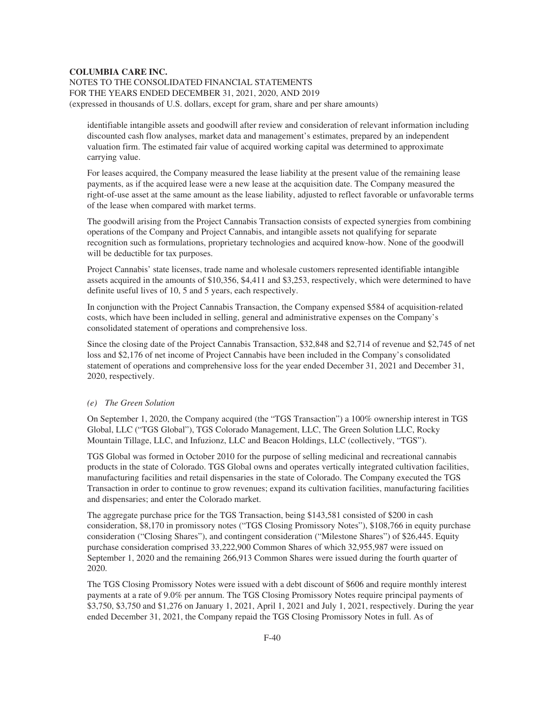NOTES TO THE CONSOLIDATED FINANCIAL STATEMENTS FOR THE YEARS ENDED DECEMBER 31, 2021, 2020, AND 2019 (expressed in thousands of U.S. dollars, except for gram, share and per share amounts)

identifiable intangible assets and goodwill after review and consideration of relevant information including discounted cash flow analyses, market data and management's estimates, prepared by an independent valuation firm. The estimated fair value of acquired working capital was determined to approximate carrying value.

For leases acquired, the Company measured the lease liability at the present value of the remaining lease payments, as if the acquired lease were a new lease at the acquisition date. The Company measured the right-of-use asset at the same amount as the lease liability, adjusted to reflect favorable or unfavorable terms of the lease when compared with market terms.

The goodwill arising from the Project Cannabis Transaction consists of expected synergies from combining operations of the Company and Project Cannabis, and intangible assets not qualifying for separate recognition such as formulations, proprietary technologies and acquired know-how. None of the goodwill will be deductible for tax purposes.

Project Cannabis' state licenses, trade name and wholesale customers represented identifiable intangible assets acquired in the amounts of \$10,356, \$4,411 and \$3,253, respectively, which were determined to have definite useful lives of 10, 5 and 5 years, each respectively.

In conjunction with the Project Cannabis Transaction, the Company expensed \$584 of acquisition-related costs, which have been included in selling, general and administrative expenses on the Company's consolidated statement of operations and comprehensive loss.

Since the closing date of the Project Cannabis Transaction, \$32,848 and \$2,714 of revenue and \$2,745 of net loss and \$2,176 of net income of Project Cannabis have been included in the Company's consolidated statement of operations and comprehensive loss for the year ended December 31, 2021 and December 31, 2020, respectively.

#### *(e) The Green Solution*

On September 1, 2020, the Company acquired (the "TGS Transaction") a 100% ownership interest in TGS Global, LLC ("TGS Global"), TGS Colorado Management, LLC, The Green Solution LLC, Rocky Mountain Tillage, LLC, and Infuzionz, LLC and Beacon Holdings, LLC (collectively, "TGS").

TGS Global was formed in October 2010 for the purpose of selling medicinal and recreational cannabis products in the state of Colorado. TGS Global owns and operates vertically integrated cultivation facilities, manufacturing facilities and retail dispensaries in the state of Colorado. The Company executed the TGS Transaction in order to continue to grow revenues; expand its cultivation facilities, manufacturing facilities and dispensaries; and enter the Colorado market.

The aggregate purchase price for the TGS Transaction, being \$143,581 consisted of \$200 in cash consideration, \$8,170 in promissory notes ("TGS Closing Promissory Notes"), \$108,766 in equity purchase consideration ("Closing Shares"), and contingent consideration ("Milestone Shares") of \$26,445. Equity purchase consideration comprised 33,222,900 Common Shares of which 32,955,987 were issued on September 1, 2020 and the remaining 266,913 Common Shares were issued during the fourth quarter of 2020.

The TGS Closing Promissory Notes were issued with a debt discount of \$606 and require monthly interest payments at a rate of 9.0% per annum. The TGS Closing Promissory Notes require principal payments of \$3,750, \$3,750 and \$1,276 on January 1, 2021, April 1, 2021 and July 1, 2021, respectively. During the year ended December 31, 2021, the Company repaid the TGS Closing Promissory Notes in full. As of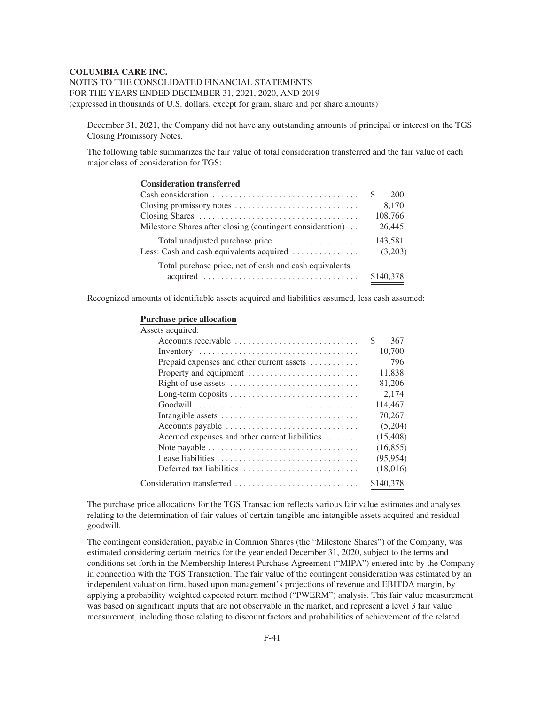NOTES TO THE CONSOLIDATED FINANCIAL STATEMENTS FOR THE YEARS ENDED DECEMBER 31, 2021, 2020, AND 2019 (expressed in thousands of U.S. dollars, except for gram, share and per share amounts)

December 31, 2021, the Company did not have any outstanding amounts of principal or interest on the TGS Closing Promissory Notes.

The following table summarizes the fair value of total consideration transferred and the fair value of each major class of consideration for TGS:

| <b>Consideration transferred</b>                           |           |
|------------------------------------------------------------|-----------|
|                                                            | S.<br>200 |
|                                                            | 8,170     |
|                                                            | 108,766   |
| Milestone Shares after closing (contingent consideration). | 26,445    |
| Total unadjusted purchase price                            | 143,581   |
| Less: Cash and cash equivalents acquired                   | (3,203)   |
| Total purchase price, net of cash and cash equivalents     |           |
|                                                            | \$140,378 |

Recognized amounts of identifiable assets acquired and liabilities assumed, less cash assumed:

#### **Purchase price allocation**

| Assets acquired:                                                                       |           |
|----------------------------------------------------------------------------------------|-----------|
| Accounts receivable                                                                    | S<br>367  |
|                                                                                        | 10.700    |
| Prepaid expenses and other current assets $\dots\dots\dots$                            | 796       |
| Property and equipment                                                                 | 11,838    |
|                                                                                        | 81,206    |
|                                                                                        | 2,174     |
|                                                                                        | 114,467   |
|                                                                                        | 70,267    |
| Accounts payable                                                                       | (5,204)   |
| Accrued expenses and other current liabilities                                         | (15, 408) |
| Note payable $\dots \dots \dots \dots \dots \dots \dots \dots \dots \dots \dots \dots$ | (16, 855) |
|                                                                                        | (95, 954) |
| Deferred tax liabilities                                                               | (18,016)  |
| Consideration transferred                                                              | \$140,378 |
|                                                                                        |           |

The purchase price allocations for the TGS Transaction reflects various fair value estimates and analyses relating to the determination of fair values of certain tangible and intangible assets acquired and residual goodwill.

The contingent consideration, payable in Common Shares (the "Milestone Shares") of the Company, was estimated considering certain metrics for the year ended December 31, 2020, subject to the terms and conditions set forth in the Membership Interest Purchase Agreement ("MIPA") entered into by the Company in connection with the TGS Transaction. The fair value of the contingent consideration was estimated by an independent valuation firm, based upon management's projections of revenue and EBITDA margin, by applying a probability weighted expected return method ("PWERM") analysis. This fair value measurement was based on significant inputs that are not observable in the market, and represent a level 3 fair value measurement, including those relating to discount factors and probabilities of achievement of the related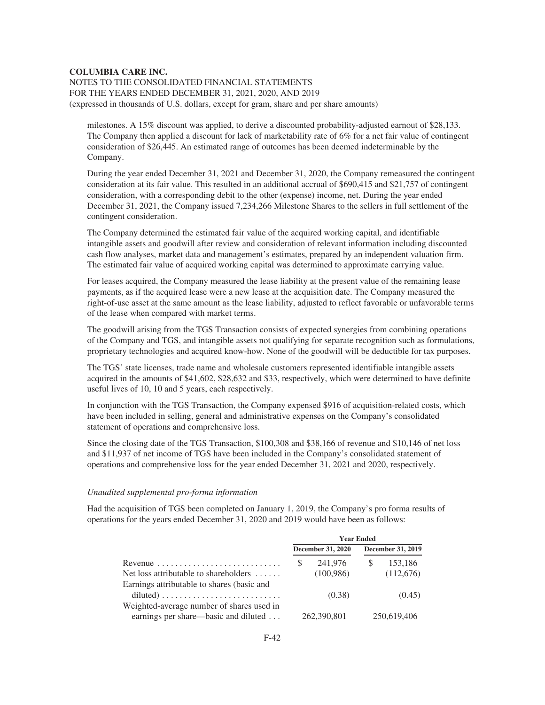NOTES TO THE CONSOLIDATED FINANCIAL STATEMENTS FOR THE YEARS ENDED DECEMBER 31, 2021, 2020, AND 2019 (expressed in thousands of U.S. dollars, except for gram, share and per share amounts)

milestones. A 15% discount was applied, to derive a discounted probability-adjusted earnout of \$28,133. The Company then applied a discount for lack of marketability rate of 6% for a net fair value of contingent consideration of \$26,445. An estimated range of outcomes has been deemed indeterminable by the Company.

During the year ended December 31, 2021 and December 31, 2020, the Company remeasured the contingent consideration at its fair value. This resulted in an additional accrual of \$690,415 and \$21,757 of contingent consideration, with a corresponding debit to the other (expense) income, net. During the year ended December 31, 2021, the Company issued 7,234,266 Milestone Shares to the sellers in full settlement of the contingent consideration.

The Company determined the estimated fair value of the acquired working capital, and identifiable intangible assets and goodwill after review and consideration of relevant information including discounted cash flow analyses, market data and management's estimates, prepared by an independent valuation firm. The estimated fair value of acquired working capital was determined to approximate carrying value.

For leases acquired, the Company measured the lease liability at the present value of the remaining lease payments, as if the acquired lease were a new lease at the acquisition date. The Company measured the right-of-use asset at the same amount as the lease liability, adjusted to reflect favorable or unfavorable terms of the lease when compared with market terms.

The goodwill arising from the TGS Transaction consists of expected synergies from combining operations of the Company and TGS, and intangible assets not qualifying for separate recognition such as formulations, proprietary technologies and acquired know-how. None of the goodwill will be deductible for tax purposes.

The TGS' state licenses, trade name and wholesale customers represented identifiable intangible assets acquired in the amounts of \$41,602, \$28,632 and \$33, respectively, which were determined to have definite useful lives of 10, 10 and 5 years, each respectively.

In conjunction with the TGS Transaction, the Company expensed \$916 of acquisition-related costs, which have been included in selling, general and administrative expenses on the Company's consolidated statement of operations and comprehensive loss.

Since the closing date of the TGS Transaction, \$100,308 and \$38,166 of revenue and \$10,146 of net loss and \$11,937 of net income of TGS have been included in the Company's consolidated statement of operations and comprehensive loss for the year ended December 31, 2021 and 2020, respectively.

#### *Unaudited supplemental pro-forma information*

Had the acquisition of TGS been completed on January 1, 2019, the Company's pro forma results of operations for the years ended December 31, 2020 and 2019 would have been as follows:

|                                                                   | <b>Year Ended</b> |                          |  |                   |
|-------------------------------------------------------------------|-------------------|--------------------------|--|-------------------|
|                                                                   |                   | <b>December 31, 2020</b> |  | December 31, 2019 |
| Revenue $\ldots \ldots \ldots \ldots \ldots \ldots \ldots \ldots$ | S                 | 241,976                  |  | 153,186           |
| Net loss attributable to shareholders                             |                   | (100, 986)               |  | (112,676)         |
| Earnings attributable to shares (basic and                        |                   |                          |  |                   |
| $diluted) \ldots \ldots \ldots \ldots \ldots \ldots \ldots$       |                   | (0.38)                   |  | (0.45)            |
| Weighted-average number of shares used in                         |                   |                          |  |                   |
| earnings per share—basic and diluted                              |                   | 262,390,801              |  | 250,619,406       |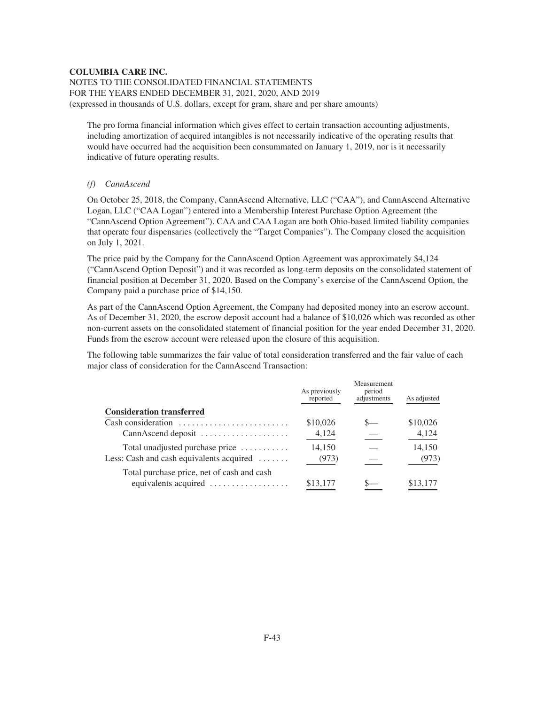NOTES TO THE CONSOLIDATED FINANCIAL STATEMENTS FOR THE YEARS ENDED DECEMBER 31, 2021, 2020, AND 2019 (expressed in thousands of U.S. dollars, except for gram, share and per share amounts)

The pro forma financial information which gives effect to certain transaction accounting adjustments, including amortization of acquired intangibles is not necessarily indicative of the operating results that would have occurred had the acquisition been consummated on January 1, 2019, nor is it necessarily indicative of future operating results.

# *(f) CannAscend*

On October 25, 2018, the Company, CannAscend Alternative, LLC ("CAA"), and CannAscend Alternative Logan, LLC ("CAA Logan") entered into a Membership Interest Purchase Option Agreement (the "CannAscend Option Agreement"). CAA and CAA Logan are both Ohio-based limited liability companies that operate four dispensaries (collectively the "Target Companies"). The Company closed the acquisition on July 1, 2021.

The price paid by the Company for the CannAscend Option Agreement was approximately \$4,124 ("CannAscend Option Deposit") and it was recorded as long-term deposits on the consolidated statement of financial position at December 31, 2020. Based on the Company's exercise of the CannAscend Option, the Company paid a purchase price of \$14,150.

As part of the CannAscend Option Agreement, the Company had deposited money into an escrow account. As of December 31, 2020, the escrow deposit account had a balance of \$10,026 which was recorded as other non-current assets on the consolidated statement of financial position for the year ended December 31, 2020. Funds from the escrow account were released upon the closure of this acquisition.

The following table summarizes the fair value of total consideration transferred and the fair value of each major class of consideration for the CannAscend Transaction:

|                                                       | As previously<br>reported | Measurement<br>period<br>adjustments | As adjusted |
|-------------------------------------------------------|---------------------------|--------------------------------------|-------------|
| <b>Consideration transferred</b>                      |                           |                                      |             |
| Cash consideration                                    | \$10,026                  |                                      | \$10,026    |
| CannAscend deposit                                    | 4,124                     |                                      | 4,124       |
| Total unadjusted purchase price                       | 14,150                    |                                      | 14,150      |
| Less: Cash and cash equivalents acquired $\dots\dots$ | (973)                     |                                      | (973)       |
| Total purchase price, net of cash and cash            |                           |                                      |             |
| equivalents acquired                                  | \$13,177                  |                                      | \$13,177    |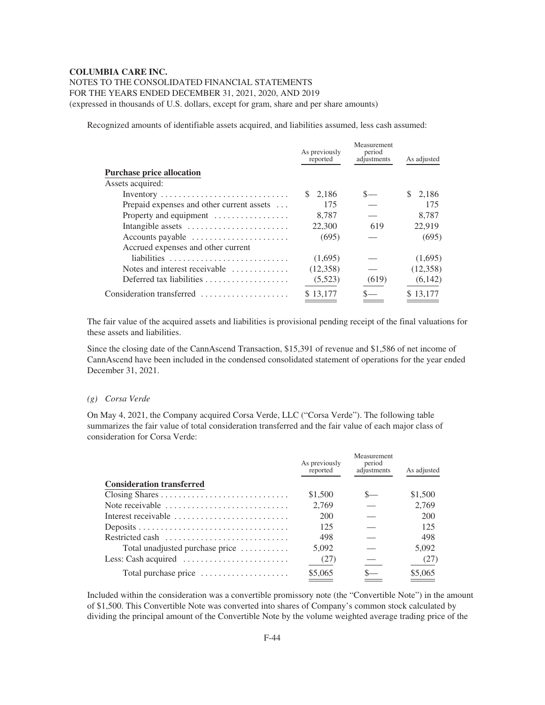# NOTES TO THE CONSOLIDATED FINANCIAL STATEMENTS FOR THE YEARS ENDED DECEMBER 31, 2021, 2020, AND 2019

(expressed in thousands of U.S. dollars, except for gram, share and per share amounts)

Recognized amounts of identifiable assets acquired, and liabilities assumed, less cash assumed:

|                                                      | As previously<br>reported | Measurement<br>period<br>adjustments | As adjusted |
|------------------------------------------------------|---------------------------|--------------------------------------|-------------|
| <b>Purchase price allocation</b>                     |                           |                                      |             |
| Assets acquired:                                     |                           |                                      |             |
|                                                      | \$2.186                   |                                      | S.<br>2.186 |
| Prepaid expenses and other current assets            | 175                       |                                      | 175         |
| Property and equipment                               | 8.787                     |                                      | 8.787       |
| Intangible assets                                    | 22,300                    | 619                                  | 22,919      |
| Accounts payable                                     | (695)                     |                                      | (695)       |
| Accrued expenses and other current                   |                           |                                      |             |
|                                                      | (1,695)                   |                                      | (1,695)     |
| Notes and interest receivable $\dots\dots\dots\dots$ | (12,358)                  |                                      | (12,358)    |
|                                                      | (5,523)                   | (619)                                | (6,142)     |
| Consideration transferred                            | \$13,177                  |                                      | \$13,177    |

The fair value of the acquired assets and liabilities is provisional pending receipt of the final valuations for these assets and liabilities.

Since the closing date of the CannAscend Transaction, \$15,391 of revenue and \$1,586 of net income of CannAscend have been included in the condensed consolidated statement of operations for the year ended December 31, 2021.

#### *(g) Corsa Verde*

On May 4, 2021, the Company acquired Corsa Verde, LLC ("Corsa Verde"). The following table summarizes the fair value of total consideration transferred and the fair value of each major class of consideration for Corsa Verde:

|                                  | As previously<br>reported | Measurement<br>period<br>adjustments | As adjusted |
|----------------------------------|---------------------------|--------------------------------------|-------------|
| <b>Consideration transferred</b> |                           |                                      |             |
|                                  | \$1,500                   | $S-$                                 | \$1,500     |
| Note receivable                  | 2.769                     |                                      | 2.769       |
| Interest receivable              | 200                       |                                      | 200         |
|                                  | 125                       |                                      | 125         |
| Restricted cash                  | 498                       |                                      | 498         |
| Total unadjusted purchase price  | 5,092                     |                                      | 5.092       |
|                                  | (27)                      |                                      | (27)        |
| Total purchase price             | \$5,065                   |                                      | \$5,065     |

Included within the consideration was a convertible promissory note (the "Convertible Note") in the amount of \$1,500. This Convertible Note was converted into shares of Company's common stock calculated by dividing the principal amount of the Convertible Note by the volume weighted average trading price of the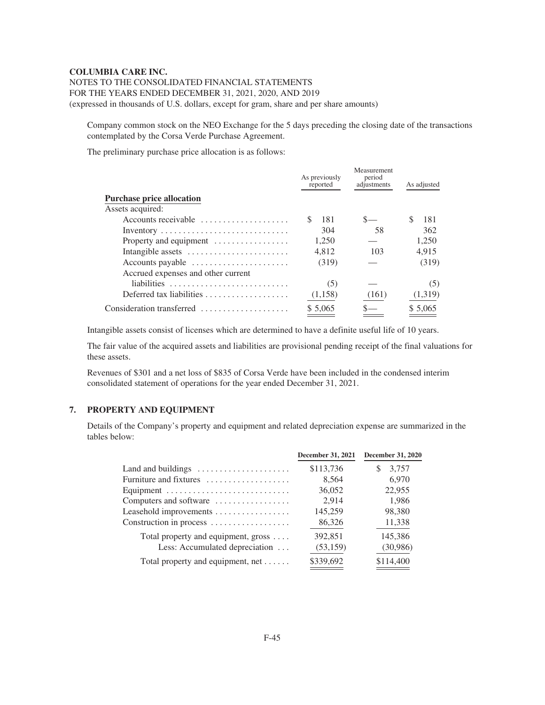NOTES TO THE CONSOLIDATED FINANCIAL STATEMENTS FOR THE YEARS ENDED DECEMBER 31, 2021, 2020, AND 2019 (expressed in thousands of U.S. dollars, except for gram, share and per share amounts)

Company common stock on the NEO Exchange for the 5 days preceding the closing date of the transactions contemplated by the Corsa Verde Purchase Agreement.

The preliminary purchase price allocation is as follows:

|                                                                   | As previously<br>reported | Measurement<br>period<br>adjustments | As adjusted |
|-------------------------------------------------------------------|---------------------------|--------------------------------------|-------------|
| <b>Purchase price allocation</b>                                  |                           |                                      |             |
| Assets acquired:                                                  |                           |                                      |             |
| Accounts receivable $\dots\dots\dots\dots\dots\dots$              | 181<br>£.                 |                                      | S.<br>181   |
|                                                                   | 304                       | 58                                   | 362         |
| Property and equipment                                            | 1,250                     |                                      | 1,250       |
| Intangible assets                                                 | 4.812                     | 103                                  | 4.915       |
| Accounts payable                                                  | (319)                     |                                      | (319)       |
| Accrued expenses and other current                                |                           |                                      |             |
|                                                                   | (5)                       |                                      | (5)         |
| Deferred tax liabilities $\ldots, \ldots, \ldots, \ldots, \ldots$ | (1,158)                   | (161)                                | (1,319)     |
| Consideration transferred                                         | \$ 5,065                  |                                      | \$ 5,065    |

Intangible assets consist of licenses which are determined to have a definite useful life of 10 years.

The fair value of the acquired assets and liabilities are provisional pending receipt of the final valuations for these assets.

Revenues of \$301 and a net loss of \$835 of Corsa Verde have been included in the condensed interim consolidated statement of operations for the year ended December 31, 2021.

# **7. PROPERTY AND EQUIPMENT**

Details of the Company's property and equipment and related depreciation expense are summarized in the tables below:

|                                                          | December 31, 2021 | <b>December 31, 2020</b> |
|----------------------------------------------------------|-------------------|--------------------------|
| Land and buildings $\dots \dots \dots \dots \dots \dots$ | \$113,736         | 3,757<br>\$.             |
| Furniture and fixtures                                   | 8,564             | 6,970                    |
| Equipment                                                | 36,052            | 22,955                   |
| Computers and software                                   | 2,914             | 1,986                    |
| Leasehold improvements                                   | 145,259           | 98,380                   |
| Construction in process                                  | 86,326            | 11,338                   |
| Total property and equipment, gross $\dots$              | 392,851           | 145,386                  |
| Less: Accumulated depreciation                           | (53, 159)         | (30,986)                 |
| Total property and equipment, $net \ldots \ldots$        | \$339,692         | \$114,400                |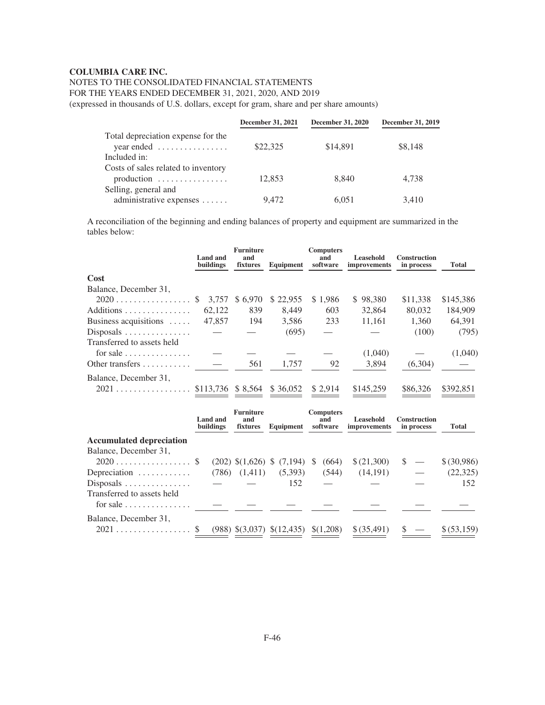# NOTES TO THE CONSOLIDATED FINANCIAL STATEMENTS

FOR THE YEARS ENDED DECEMBER 31, 2021, 2020, AND 2019

(expressed in thousands of U.S. dollars, except for gram, share and per share amounts)

|                                                                                         | December 31, 2021 | <b>December 31, 2020</b> | December 31, 2019 |
|-----------------------------------------------------------------------------------------|-------------------|--------------------------|-------------------|
| Total depreciation expense for the<br>$year$ ended $\ldots \ldots \ldots \ldots \ldots$ | \$22,325          | \$14,891                 | \$8,148           |
| Included in:                                                                            |                   |                          |                   |
| Costs of sales related to inventory<br>production $\dots\dots\dots\dots\dots$           | 12,853            | 8.840                    | 4.738             |
| Selling, general and<br>administrative expenses                                         | 9,472             | 6,051                    | 3,410             |

A reconciliation of the beginning and ending balances of property and equipment are summarized in the tables below:

|                                                                  | <b>Land and</b><br>buildings | <b>Furniture</b><br>and<br>fixtures | Equipment                            | <b>Computers</b><br>and<br>software | Leasehold<br>improvements | <b>Construction</b><br>in process | <b>Total</b> |
|------------------------------------------------------------------|------------------------------|-------------------------------------|--------------------------------------|-------------------------------------|---------------------------|-----------------------------------|--------------|
| Cost                                                             |                              |                                     |                                      |                                     |                           |                                   |              |
| Balance, December 31,                                            |                              |                                     |                                      |                                     |                           |                                   |              |
| $2020$ \$ 3,757                                                  |                              | \$6,970                             | \$22,955                             | \$1,986                             | \$98,380                  | \$11,338                          | \$145,386    |
| Additions                                                        | 62.122                       | 839                                 | 8,449                                | 603                                 | 32,864                    | 80,032                            | 184,909      |
| Business acquisitions $\dots$                                    | 47,857                       | 194                                 | 3,586                                | 233                                 | 11,161                    | 1,360                             | 64,391       |
| $Disposals$                                                      |                              |                                     | (695)                                |                                     |                           | (100)                             | (795)        |
| Transferred to assets held                                       |                              |                                     |                                      |                                     |                           |                                   |              |
| for sale $\dots \dots \dots \dots$                               |                              |                                     |                                      |                                     | (1,040)                   |                                   | (1,040)      |
| Other transfers $\dots \dots$                                    |                              | 561                                 | 1,757                                | 92                                  | 3,894                     | (6,304)                           |              |
| Balance, December 31,                                            |                              |                                     |                                      |                                     |                           |                                   |              |
|                                                                  |                              |                                     | \$36,052                             | \$ 2,914                            | \$145,259                 | \$86,326                          | \$392,851    |
|                                                                  |                              |                                     |                                      |                                     |                           |                                   |              |
|                                                                  | Land and<br>buildings        | <b>Furniture</b><br>and<br>fixtures | Equipment software                   | <b>Computers</b><br>and             | Leasehold<br>improvements | <b>Construction</b><br>in process | <b>Total</b> |
| <b>Accumulated depreciation</b>                                  |                              |                                     |                                      |                                     |                           |                                   |              |
| Balance, December 31,                                            |                              |                                     |                                      |                                     |                           |                                   |              |
|                                                                  |                              |                                     | $(202)$ \$ $(1,626)$ \$ $(7,194)$ \$ | (664)                               | \$(21,300)                | <sup>\$</sup>                     | \$ (30,986)  |
| Depreciation                                                     |                              | $(786)$ $(1,411)$                   | (5,393)                              | (544)                               | (14,191)                  |                                   | (22, 325)    |
| $Disposals$                                                      |                              |                                     | 152                                  |                                     |                           |                                   | 152          |
| Transferred to assets held<br>for sale $\dots \dots \dots \dots$ |                              |                                     |                                      |                                     |                           |                                   |              |
| Balance, December 31,                                            |                              |                                     |                                      |                                     |                           |                                   |              |
| 2021                                                             |                              |                                     | $(988)$ \$ $(3,037)$ \$ $(12,435)$   | \$(1,208)                           | \$ (35,491)               |                                   | \$ (53,159)  |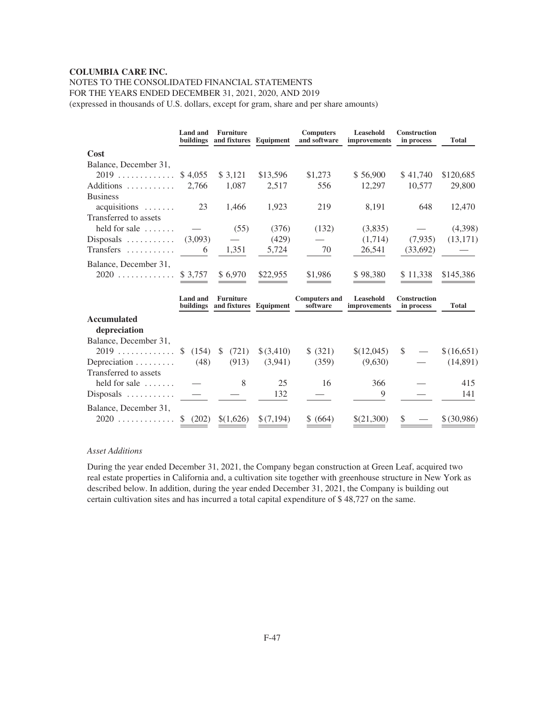# NOTES TO THE CONSOLIDATED FINANCIAL STATEMENTS

FOR THE YEARS ENDED DECEMBER 31, 2021, 2020, AND 2019

(expressed in thousands of U.S. dollars, except for gram, share and per share amounts)

|                                          | <b>Land and</b><br>buildings | <b>Furniture</b><br>and fixtures Equipment |            | <b>Computers</b><br>and software | Leasehold<br>improvements        | <b>Construction</b><br>in process | <b>Total</b> |
|------------------------------------------|------------------------------|--------------------------------------------|------------|----------------------------------|----------------------------------|-----------------------------------|--------------|
| Cost                                     |                              |                                            |            |                                  |                                  |                                   |              |
| Balance, December 31,                    |                              |                                            |            |                                  |                                  |                                   |              |
| $2019$ \$4,055                           |                              | \$3,121                                    | \$13,596   | \$1,273                          | \$56,900                         | \$41,740                          | \$120,685    |
| Additions $2,766$                        |                              | 1,087                                      | 2,517      | 556                              | 12,297                           | 10,577                            | 29,800       |
| <b>Business</b>                          |                              |                                            |            |                                  |                                  |                                   |              |
| $acquisitions \ldots \ldots$             | 23                           | 1,466                                      | 1,923      | 219                              | 8,191                            | 648                               | 12,470       |
| Transferred to assets                    |                              |                                            |            |                                  |                                  |                                   |              |
| held for sale $\dots$                    |                              | (55)                                       | (376)      | (132)                            | (3,835)                          |                                   | (4,398)      |
| Disposals $\ldots \ldots \ldots$ (3,093) |                              |                                            | (429)      |                                  | (1,714)                          | (7,935)                           | (13, 171)    |
|                                          |                              | 1,351                                      | 5,724      | 70                               | 26,541                           | (33,692)                          |              |
| Balance, December 31,                    |                              |                                            |            |                                  |                                  |                                   |              |
| $2020$ \$ 3,757                          |                              | \$6,970                                    | \$22,955   | \$1,986                          | \$98,380                         | \$11,338                          | \$145,386    |
|                                          |                              |                                            |            |                                  |                                  |                                   |              |
|                                          | Land and<br>buildings        | <b>Furniture</b><br>and fixtures Equipment |            | <b>Computers and</b><br>software | <b>Leasehold</b><br>improvements | <b>Construction</b><br>in process | <b>Total</b> |
| <b>Accumulated</b><br>depreciation       |                              |                                            |            |                                  |                                  |                                   |              |
| Balance, December 31,                    |                              |                                            |            |                                  |                                  |                                   |              |
| $2019$ \$ (154) \$                       |                              | (721)                                      | \$ (3,410) | \$ (321)                         | \$(12,045)                       | <sup>S</sup>                      | \$(16,651)   |
| Depreciation $\ldots \ldots$             | (48)                         | (913)                                      | (3,941)    | (359)                            | (9,630)                          |                                   | (14,891)     |
| Transferred to assets                    |                              |                                            |            |                                  |                                  |                                   |              |
| held for sale $\dots$                    |                              | 8                                          | 25         | 16                               | 366                              |                                   | 415          |
| $Disposals$                              |                              |                                            | 132        |                                  | 9                                |                                   | 141          |
| Balance, December 31,                    |                              |                                            |            |                                  |                                  |                                   |              |
| $2020$                                   | (202)<br><sup>S</sup>        | \$(1,626)                                  | \$(7,194)  | \$ (664)                         | \$(21,300)                       |                                   | \$ (30,986)  |

# *Asset Additions*

During the year ended December 31, 2021, the Company began construction at Green Leaf, acquired two real estate properties in California and, a cultivation site together with greenhouse structure in New York as described below. In addition, during the year ended December 31, 2021, the Company is building out certain cultivation sites and has incurred a total capital expenditure of \$ 48,727 on the same.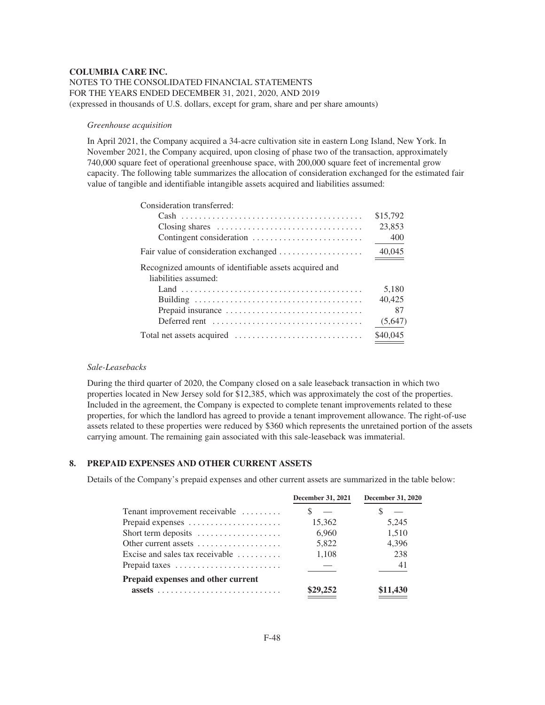# **COLUMBIA CARE INC.** NOTES TO THE CONSOLIDATED FINANCIAL STATEMENTS FOR THE YEARS ENDED DECEMBER 31, 2021, 2020, AND 2019 (expressed in thousands of U.S. dollars, except for gram, share and per share amounts)

#### *Greenhouse acquisition*

In April 2021, the Company acquired a 34-acre cultivation site in eastern Long Island, New York. In November 2021, the Company acquired, upon closing of phase two of the transaction, approximately 740,000 square feet of operational greenhouse space, with 200,000 square feet of incremental grow capacity. The following table summarizes the allocation of consideration exchanged for the estimated fair value of tangible and identifiable intangible assets acquired and liabilities assumed:

| Consideration transferred:                                                             |          |
|----------------------------------------------------------------------------------------|----------|
|                                                                                        | \$15,792 |
|                                                                                        | 23,853   |
|                                                                                        | 400      |
|                                                                                        | 40,045   |
| Recognized amounts of identifiable assets acquired and                                 |          |
| liabilities assumed:                                                                   |          |
|                                                                                        | 5,180    |
|                                                                                        | 40.425   |
| Prepaid insurance                                                                      | 87       |
| Deferred rent $\ldots, \ldots, \ldots, \ldots, \ldots, \ldots, \ldots, \ldots, \ldots$ | (5,647)  |
|                                                                                        | \$40,045 |

# *Sale-Leasebacks*

During the third quarter of 2020, the Company closed on a sale leaseback transaction in which two properties located in New Jersey sold for \$12,385, which was approximately the cost of the properties. Included in the agreement, the Company is expected to complete tenant improvements related to these properties, for which the landlord has agreed to provide a tenant improvement allowance. The right-of-use assets related to these properties were reduced by \$360 which represents the unretained portion of the assets carrying amount. The remaining gain associated with this sale-leaseback was immaterial.

# **8. PREPAID EXPENSES AND OTHER CURRENT ASSETS**

Details of the Company's prepaid expenses and other current assets are summarized in the table below:

|                                                   | <b>December 31, 2021</b> | <b>December 31, 2020</b> |
|---------------------------------------------------|--------------------------|--------------------------|
| Tenant improvement receivable                     |                          |                          |
| Prepaid expenses                                  | 15,362                   | 5,245                    |
| Short term deposits                               | 6.960                    | 1,510                    |
| Other current assets                              | 5,822                    | 4,396                    |
| Excise and sales tax receivable $\dots\dots\dots$ | 1.108                    | 238                      |
| Prepaid taxes                                     |                          | 41                       |
| Prepaid expenses and other current                |                          |                          |
|                                                   | 29,252                   | \$11,430                 |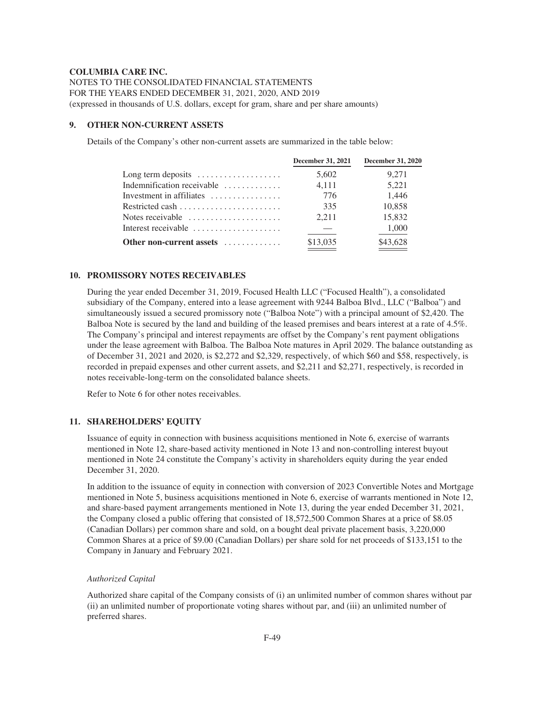NOTES TO THE CONSOLIDATED FINANCIAL STATEMENTS FOR THE YEARS ENDED DECEMBER 31, 2021, 2020, AND 2019 (expressed in thousands of U.S. dollars, except for gram, share and per share amounts)

#### **9. OTHER NON-CURRENT ASSETS**

Details of the Company's other non-current assets are summarized in the table below:

|                                                           | <b>December 31, 2021</b> | <b>December 31, 2020</b> |
|-----------------------------------------------------------|--------------------------|--------------------------|
| Long term deposits $\dots \dots \dots \dots \dots$        | 5,602                    | 9.271                    |
| Indemnification receivable                                | 4.111                    | 5,221                    |
| Investment in affiliates                                  | 776                      | 1.446                    |
|                                                           | 335                      | 10.858                   |
| Notes receivable $\ldots, \ldots, \ldots, \ldots, \ldots$ | 2.211                    | 15,832                   |
| Interest receivable                                       |                          | 1,000                    |
| Other non-current assets                                  | \$13,035                 | \$43,628                 |

# **10. PROMISSORY NOTES RECEIVABLES**

During the year ended December 31, 2019, Focused Health LLC ("Focused Health"), a consolidated subsidiary of the Company, entered into a lease agreement with 9244 Balboa Blvd., LLC ("Balboa") and simultaneously issued a secured promissory note ("Balboa Note") with a principal amount of \$2,420. The Balboa Note is secured by the land and building of the leased premises and bears interest at a rate of 4.5%. The Company's principal and interest repayments are offset by the Company's rent payment obligations under the lease agreement with Balboa. The Balboa Note matures in April 2029. The balance outstanding as of December 31, 2021 and 2020, is \$2,272 and \$2,329, respectively, of which \$60 and \$58, respectively, is recorded in prepaid expenses and other current assets, and \$2,211 and \$2,271, respectively, is recorded in notes receivable-long-term on the consolidated balance sheets.

Refer to Note 6 for other notes receivables.

# **11. SHAREHOLDERS' EQUITY**

Issuance of equity in connection with business acquisitions mentioned in Note 6, exercise of warrants mentioned in Note 12, share-based activity mentioned in Note 13 and non-controlling interest buyout mentioned in Note 24 constitute the Company's activity in shareholders equity during the year ended December 31, 2020.

In addition to the issuance of equity in connection with conversion of 2023 Convertible Notes and Mortgage mentioned in Note 5, business acquisitions mentioned in Note 6, exercise of warrants mentioned in Note 12, and share-based payment arrangements mentioned in Note 13, during the year ended December 31, 2021, the Company closed a public offering that consisted of 18,572,500 Common Shares at a price of \$8.05 (Canadian Dollars) per common share and sold, on a bought deal private placement basis, 3,220,000 Common Shares at a price of \$9.00 (Canadian Dollars) per share sold for net proceeds of \$133,151 to the Company in January and February 2021.

#### *Authorized Capital*

Authorized share capital of the Company consists of (i) an unlimited number of common shares without par (ii) an unlimited number of proportionate voting shares without par, and (iii) an unlimited number of preferred shares.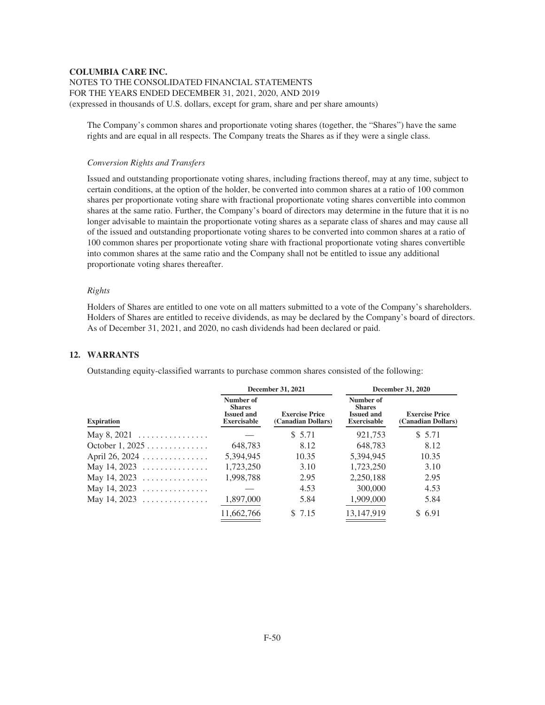# NOTES TO THE CONSOLIDATED FINANCIAL STATEMENTS FOR THE YEARS ENDED DECEMBER 31, 2021, 2020, AND 2019 (expressed in thousands of U.S. dollars, except for gram, share and per share amounts)

The Company's common shares and proportionate voting shares (together, the "Shares") have the same rights and are equal in all respects. The Company treats the Shares as if they were a single class.

#### *Conversion Rights and Transfers*

Issued and outstanding proportionate voting shares, including fractions thereof, may at any time, subject to certain conditions, at the option of the holder, be converted into common shares at a ratio of 100 common shares per proportionate voting share with fractional proportionate voting shares convertible into common shares at the same ratio. Further, the Company's board of directors may determine in the future that it is no longer advisable to maintain the proportionate voting shares as a separate class of shares and may cause all of the issued and outstanding proportionate voting shares to be converted into common shares at a ratio of 100 common shares per proportionate voting share with fractional proportionate voting shares convertible into common shares at the same ratio and the Company shall not be entitled to issue any additional proportionate voting shares thereafter.

#### *Rights*

Holders of Shares are entitled to one vote on all matters submitted to a vote of the Company's shareholders. Holders of Shares are entitled to receive dividends, as may be declared by the Company's board of directors. As of December 31, 2021, and 2020, no cash dividends had been declared or paid.

#### **12. WARRANTS**

Outstanding equity-classified warrants to purchase common shares consisted of the following:

|                                        |                                                                       | December 31, 2021                           | <b>December 31, 2020</b>                                              |                                             |  |
|----------------------------------------|-----------------------------------------------------------------------|---------------------------------------------|-----------------------------------------------------------------------|---------------------------------------------|--|
| <b>Expiration</b>                      | Number of<br><b>Shares</b><br><b>Issued and</b><br><b>Exercisable</b> | <b>Exercise Price</b><br>(Canadian Dollars) | Number of<br><b>Shares</b><br><b>Issued and</b><br><b>Exercisable</b> | <b>Exercise Price</b><br>(Canadian Dollars) |  |
| May $8, 2021$                          |                                                                       | \$ 5.71                                     | 921,753                                                               | \$5.71                                      |  |
| October $1, 2025 \ldots \ldots \ldots$ | 648,783                                                               | 8.12                                        | 648,783                                                               | 8.12                                        |  |
| April 26, 2024                         | 5,394,945                                                             | 10.35                                       | 5,394,945                                                             | 10.35                                       |  |
| May 14, 2023                           | 1,723,250                                                             | 3.10                                        | 1,723,250                                                             | 3.10                                        |  |
| May 14, 2023                           | 1,998,788                                                             | 2.95                                        | 2,250,188                                                             | 2.95                                        |  |
| May 14, 2023                           |                                                                       | 4.53                                        | 300,000                                                               | 4.53                                        |  |
| May 14, 2023                           | 1,897,000                                                             | 5.84                                        | 1,909,000                                                             | 5.84                                        |  |
|                                        | 11,662,766                                                            | \$ 7.15                                     | 13,147,919                                                            | \$6.91                                      |  |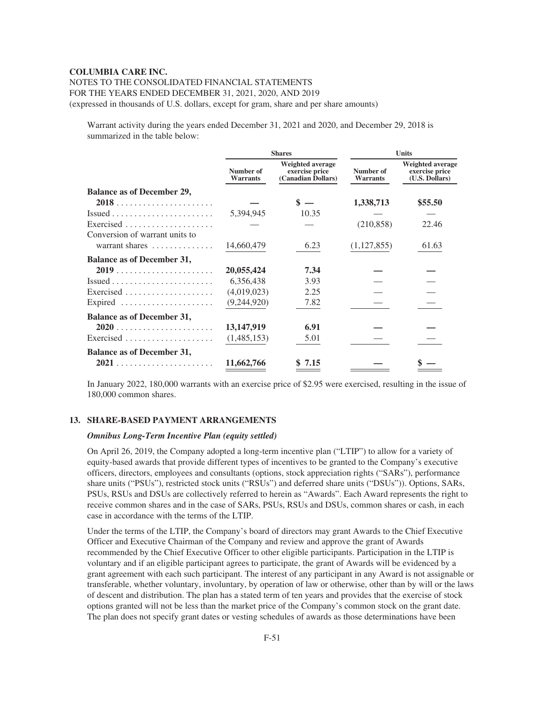# NOTES TO THE CONSOLIDATED FINANCIAL STATEMENTS FOR THE YEARS ENDED DECEMBER 31, 2021, 2020, AND 2019 (expressed in thousands of U.S. dollars, except for gram, share and per share amounts)

Warrant activity during the years ended December 31, 2021 and 2020, and December 29, 2018 is summarized in the table below:

|                                                           |                              | <b>Shares</b>                                                   | <b>Units</b>                 |                                                             |
|-----------------------------------------------------------|------------------------------|-----------------------------------------------------------------|------------------------------|-------------------------------------------------------------|
|                                                           | Number of<br><b>Warrants</b> | <b>Weighted average</b><br>exercise price<br>(Canadian Dollars) | Number of<br><b>Warrants</b> | <b>Weighted average</b><br>exercise price<br>(U.S. Dollars) |
| <b>Balance as of December 29,</b>                         |                              |                                                                 |                              |                                                             |
|                                                           |                              |                                                                 | 1,338,713                    | \$55.50                                                     |
| $Issued \ldots \ldots \ldots \ldots \ldots \ldots \ldots$ | 5,394,945                    | 10.35                                                           |                              |                                                             |
|                                                           |                              |                                                                 | (210, 858)                   | 22.46                                                       |
| Conversion of warrant units to                            |                              |                                                                 |                              |                                                             |
| warrant shares                                            | 14,660,479                   | 6.23                                                            | (1,127,855)                  | 61.63                                                       |
| <b>Balance as of December 31,</b>                         |                              |                                                                 |                              |                                                             |
|                                                           | 20,055,424                   | 7.34                                                            |                              |                                                             |
| $Issued \ldots \ldots \ldots \ldots \ldots \ldots \ldots$ | 6,356,438                    | 3.93                                                            |                              |                                                             |
| Exercised $\ldots \ldots \ldots \ldots \ldots$            | (4,019,023)                  | 2.25                                                            |                              |                                                             |
| Expired                                                   | (9,244,920)                  | 7.82                                                            |                              |                                                             |
| <b>Balance as of December 31,</b>                         |                              |                                                                 |                              |                                                             |
|                                                           | 13,147,919                   | 6.91                                                            |                              |                                                             |
|                                                           | (1,485,153)                  | 5.01                                                            |                              |                                                             |
| <b>Balance as of December 31,</b>                         |                              |                                                                 |                              |                                                             |
|                                                           | 11,662,766                   | \$7.15                                                          |                              |                                                             |

In January 2022, 180,000 warrants with an exercise price of \$2.95 were exercised, resulting in the issue of 180,000 common shares.

#### **13. SHARE-BASED PAYMENT ARRANGEMENTS**

# *Omnibus Long-Term Incentive Plan (equity settled)*

On April 26, 2019, the Company adopted a long-term incentive plan ("LTIP") to allow for a variety of equity-based awards that provide different types of incentives to be granted to the Company's executive officers, directors, employees and consultants (options, stock appreciation rights ("SARs"), performance share units ("PSUs"), restricted stock units ("RSUs") and deferred share units ("DSUs")). Options, SARs, PSUs, RSUs and DSUs are collectively referred to herein as "Awards". Each Award represents the right to receive common shares and in the case of SARs, PSUs, RSUs and DSUs, common shares or cash, in each case in accordance with the terms of the LTIP.

Under the terms of the LTIP, the Company's board of directors may grant Awards to the Chief Executive Officer and Executive Chairman of the Company and review and approve the grant of Awards recommended by the Chief Executive Officer to other eligible participants. Participation in the LTIP is voluntary and if an eligible participant agrees to participate, the grant of Awards will be evidenced by a grant agreement with each such participant. The interest of any participant in any Award is not assignable or transferable, whether voluntary, involuntary, by operation of law or otherwise, other than by will or the laws of descent and distribution. The plan has a stated term of ten years and provides that the exercise of stock options granted will not be less than the market price of the Company's common stock on the grant date. The plan does not specify grant dates or vesting schedules of awards as those determinations have been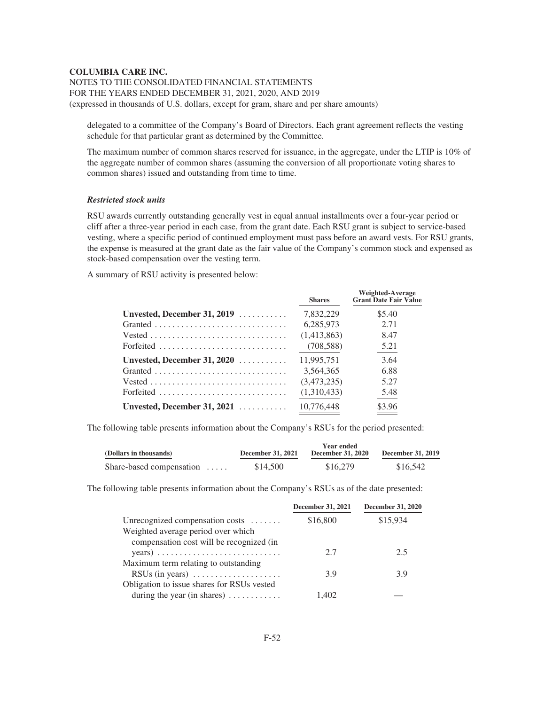NOTES TO THE CONSOLIDATED FINANCIAL STATEMENTS FOR THE YEARS ENDED DECEMBER 31, 2021, 2020, AND 2019 (expressed in thousands of U.S. dollars, except for gram, share and per share amounts)

delegated to a committee of the Company's Board of Directors. Each grant agreement reflects the vesting schedule for that particular grant as determined by the Committee.

The maximum number of common shares reserved for issuance, in the aggregate, under the LTIP is 10% of the aggregate number of common shares (assuming the conversion of all proportionate voting shares to common shares) issued and outstanding from time to time.

# *Restricted stock units*

RSU awards currently outstanding generally vest in equal annual installments over a four-year period or cliff after a three-year period in each case, from the grant date. Each RSU grant is subject to service-based vesting, where a specific period of continued employment must pass before an award vests. For RSU grants, the expense is measured at the grant date as the fair value of the Company's common stock and expensed as stock-based compensation over the vesting term.

A summary of RSU activity is presented below:

|                                      | <b>Shares</b> | <b>Weighted-Average</b><br><b>Grant Date Fair Value</b> |
|--------------------------------------|---------------|---------------------------------------------------------|
| Unvested, December 31, 2019 $\ldots$ | 7,832,229     | \$5.40                                                  |
|                                      | 6,285,973     | 2.71                                                    |
|                                      | (1,413,863)   | 8.47                                                    |
| Forfeited                            | (708, 588)    | 5.21                                                    |
| Unvested, December 31, $2020$        | 11.995.751    | 3.64                                                    |
|                                      | 3,564,365     | 6.88                                                    |
|                                      | (3,473,235)   | 5.27                                                    |
| Forfeited                            | (1,310,433)   | 5.48                                                    |
| Unvested, December 31, 2021          | 10.776.448    | \$3.96                                                  |

The following table presents information about the Company's RSUs for the period presented:

| (Dollars in thousands)           | <b>December 31, 2021</b> | Year ended<br><b>December 31, 2020</b> | December 31, 2019 |
|----------------------------------|--------------------------|----------------------------------------|-------------------|
| Share-based compensation $\dots$ | \$14,500                 | \$16,279                               | \$16,542          |

The following table presents information about the Company's RSUs as of the date presented:

|                                                       | <b>December 31, 2021</b> | <b>December 31, 2020</b> |
|-------------------------------------------------------|--------------------------|--------------------------|
| Unrecognized compensation costs                       | \$16,800                 | \$15,934                 |
| Weighted average period over which                    |                          |                          |
| compensation cost will be recognized (in              |                          |                          |
|                                                       | 2.7                      | 2.5                      |
| Maximum term relating to outstanding                  |                          |                          |
| RSUs (in years) $\dots \dots \dots \dots \dots \dots$ | 3.9                      | 3.9                      |
| Obligation to issue shares for RSUs vested            |                          |                          |
| during the year (in shares) $\dots \dots \dots$       | 1.402                    |                          |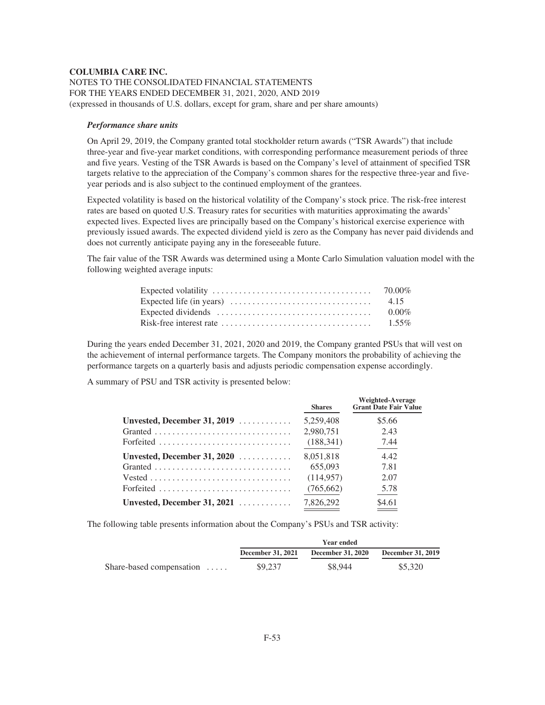# **COLUMBIA CARE INC.** NOTES TO THE CONSOLIDATED FINANCIAL STATEMENTS FOR THE YEARS ENDED DECEMBER 31, 2021, 2020, AND 2019 (expressed in thousands of U.S. dollars, except for gram, share and per share amounts)

#### *Performance share units*

On April 29, 2019, the Company granted total stockholder return awards ("TSR Awards") that include three-year and five-year market conditions, with corresponding performance measurement periods of three and five years. Vesting of the TSR Awards is based on the Company's level of attainment of specified TSR targets relative to the appreciation of the Company's common shares for the respective three-year and fiveyear periods and is also subject to the continued employment of the grantees.

Expected volatility is based on the historical volatility of the Company's stock price. The risk-free interest rates are based on quoted U.S. Treasury rates for securities with maturities approximating the awards' expected lives. Expected lives are principally based on the Company's historical exercise experience with previously issued awards. The expected dividend yield is zero as the Company has never paid dividends and does not currently anticipate paying any in the foreseeable future.

The fair value of the TSR Awards was determined using a Monte Carlo Simulation valuation model with the following weighted average inputs:

|                                                                                             | 70.00%   |
|---------------------------------------------------------------------------------------------|----------|
| Expected life (in years) $\dots \dots \dots \dots \dots \dots \dots \dots \dots \dots$ 4.15 |          |
| Expected dividends $\dots \dots \dots \dots \dots \dots \dots \dots \dots \dots \dots$      | $0.00\%$ |
|                                                                                             |          |

During the years ended December 31, 2021, 2020 and 2019, the Company granted PSUs that will vest on the achievement of internal performance targets. The Company monitors the probability of achieving the performance targets on a quarterly basis and adjusts periodic compensation expense accordingly.

A summary of PSU and TSR activity is presented below:

|                                      | <b>Shares</b> | <b>Weighted-Average</b><br><b>Grant Date Fair Value</b> |
|--------------------------------------|---------------|---------------------------------------------------------|
| Unvested, December 31, 2019 $\ldots$ | 5.259,408     | \$5.66                                                  |
|                                      | 2.980.751     | 2.43                                                    |
| Forfeited                            | (188, 341)    | 7.44                                                    |
| Unvested, December 31, 2020          | 8.051.818     | 4.42                                                    |
|                                      | 655,093       | 7.81                                                    |
|                                      | (114, 957)    | 2.07                                                    |
| Forfeited                            | (765, 662)    | 5.78                                                    |
| Unvested, December 31, 2021          | 7.826.292     | \$4.61                                                  |

The following table presents information about the Company's PSUs and TSR activity:

|                          | <b>Year ended</b>        |                          |                          |
|--------------------------|--------------------------|--------------------------|--------------------------|
|                          | <b>December 31, 2021</b> | <b>December 31, 2020</b> | <b>December 31, 2019</b> |
| Share-based compensation | \$9,237                  | \$8.944                  | \$5,320                  |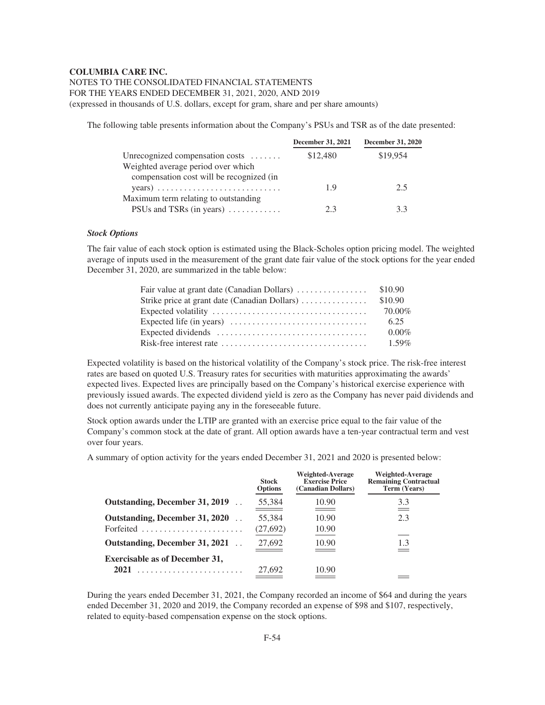# NOTES TO THE CONSOLIDATED FINANCIAL STATEMENTS FOR THE YEARS ENDED DECEMBER 31, 2021, 2020, AND 2019

(expressed in thousands of U.S. dollars, except for gram, share and per share amounts)

The following table presents information about the Company's PSUs and TSR as of the date presented:

|                                              | <b>December 31, 2021</b> | <b>December 31, 2020</b> |
|----------------------------------------------|--------------------------|--------------------------|
| Unrecognized compensation costs $\dots\dots$ | \$12,480                 | \$19,954                 |
| Weighted average period over which           |                          |                          |
| compensation cost will be recognized (in     |                          |                          |
|                                              | 19                       | 2.5                      |
| Maximum term relating to outstanding         |                          |                          |
| PSUs and TSRs (in years)                     | 2.3                      | 3.3                      |

#### *Stock Options*

The fair value of each stock option is estimated using the Black-Scholes option pricing model. The weighted average of inputs used in the measurement of the grant date fair value of the stock options for the year ended December 31, 2020, are summarized in the table below:

| Fair value at grant date (Canadian Dollars) $\ldots \ldots \ldots \ldots$ \$10.90       |          |
|-----------------------------------------------------------------------------------------|----------|
| Strike price at grant date (Canadian Dollars)                                           | \$10.90  |
|                                                                                         | 70.00%   |
| Expected life (in years) $\dots\dots\dots\dots\dots\dots\dots\dots\dots\dots\dots\dots$ | 6.25     |
| Expected dividends $\dots \dots \dots \dots \dots \dots \dots \dots \dots \dots \dots$  | $0.00\%$ |
| Risk-free interest rate $\dots \dots \dots \dots \dots \dots \dots \dots \dots \dots$   | $1.59\%$ |

Expected volatility is based on the historical volatility of the Company's stock price. The risk-free interest rates are based on quoted U.S. Treasury rates for securities with maturities approximating the awards' expected lives. Expected lives are principally based on the Company's historical exercise experience with previously issued awards. The expected dividend yield is zero as the Company has never paid dividends and does not currently anticipate paying any in the foreseeable future.

Stock option awards under the LTIP are granted with an exercise price equal to the fair value of the Company's common stock at the date of grant. All option awards have a ten-year contractual term and vest over four years.

A summary of option activity for the years ended December 31, 2021 and 2020 is presented below:

|                                                       | Stock<br><b>Options</b> | <b>Weighted-Average</b><br><b>Exercise Price</b><br>(Canadian Dollars) | Weighted-Average<br><b>Remaining Contractual</b><br>Term (Years) |
|-------------------------------------------------------|-------------------------|------------------------------------------------------------------------|------------------------------------------------------------------|
| Outstanding, December 31, 2019                        | 55,384                  | 10.90<br>---                                                           | 3.3                                                              |
| Outstanding, December 31, 2020                        | 55,384                  | 10.90                                                                  | 2.3                                                              |
| Forfeited $\ldots \ldots \ldots \ldots \ldots \ldots$ | (27, 692)               | 10.90                                                                  |                                                                  |
| Outstanding, December 31, 2021                        | 27,692                  | 10.90                                                                  | 1.3                                                              |
| <b>Exercisable as of December 31,</b>                 |                         |                                                                        |                                                                  |
| 2021                                                  | 27,692                  | 10.90                                                                  |                                                                  |

During the years ended December 31, 2021, the Company recorded an income of \$64 and during the years ended December 31, 2020 and 2019, the Company recorded an expense of \$98 and \$107, respectively, related to equity-based compensation expense on the stock options.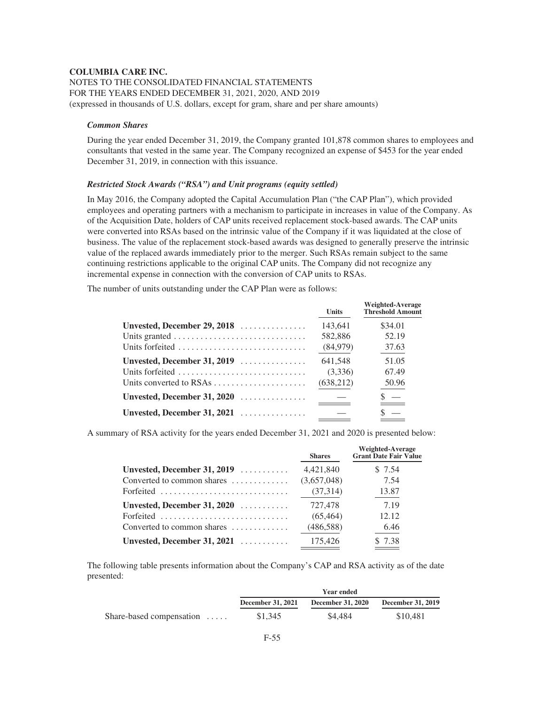# **COLUMBIA CARE INC.** NOTES TO THE CONSOLIDATED FINANCIAL STATEMENTS FOR THE YEARS ENDED DECEMBER 31, 2021, 2020, AND 2019 (expressed in thousands of U.S. dollars, except for gram, share and per share amounts)

#### *Common Shares*

During the year ended December 31, 2019, the Company granted 101,878 common shares to employees and consultants that vested in the same year. The Company recognized an expense of \$453 for the year ended December 31, 2019, in connection with this issuance.

# *Restricted Stock Awards ("RSA") and Unit programs (equity settled)*

In May 2016, the Company adopted the Capital Accumulation Plan ("the CAP Plan"), which provided employees and operating partners with a mechanism to participate in increases in value of the Company. As of the Acquisition Date, holders of CAP units received replacement stock-based awards. The CAP units were converted into RSAs based on the intrinsic value of the Company if it was liquidated at the close of business. The value of the replacement stock-based awards was designed to generally preserve the intrinsic value of the replaced awards immediately prior to the merger. Such RSAs remain subject to the same continuing restrictions applicable to the original CAP units. The Company did not recognize any incremental expense in connection with the conversion of CAP units to RSAs.

The number of units outstanding under the CAP Plan were as follows:

|                                      | <b>Units</b> | <b>Weighted-Average</b><br><b>Threshold Amount</b> |
|--------------------------------------|--------------|----------------------------------------------------|
| Unvested, December 29, 2018          | 143.641      | \$34.01                                            |
|                                      | 582,886      | 52.19                                              |
| Units forfeited                      | (84,979)     | 37.63                                              |
| Unvested, December 31, 2019          | 641.548      | 51.05                                              |
| Units forfeited                      | (3,336)      | 67.49                                              |
| Units converted to RSAs              | (638, 212)   | 50.96                                              |
| Unvested, December 31, $2020$        |              |                                                    |
| Unvested, December 31, 2021 $\ldots$ |              |                                                    |

A summary of RSA activity for the years ended December 31, 2021 and 2020 is presented below:

|                                                   | <b>Shares</b> | <b>Weighted-Average</b><br>Grant Date Fair Value |
|---------------------------------------------------|---------------|--------------------------------------------------|
| Unvested, December 31, 2019                       | 4,421,840     | \$7.54                                           |
| Converted to common shares                        | (3,657,048)   | 7.54                                             |
| Forfeited                                         | (37, 314)     | 13.87                                            |
| Unvested, December 31, 2020                       | 727.478       | 7.19                                             |
| Forfeited                                         | (65, 464)     | 12.12                                            |
| Converted to common shares $\dots\dots\dots\dots$ | (486, 588)    | 6.46                                             |
| Unvested, December 31, 2021 $\ldots$              | 175,426       | \$ 7.38                                          |

The following table presents information about the Company's CAP and RSA activity as of the date presented:

|                                  | Year ended               |                          |                          |
|----------------------------------|--------------------------|--------------------------|--------------------------|
|                                  | <b>December 31, 2021</b> | <b>December 31, 2020</b> | <b>December 31, 2019</b> |
| Share-based compensation $\dots$ | \$1,345                  | \$4.484                  | \$10.481                 |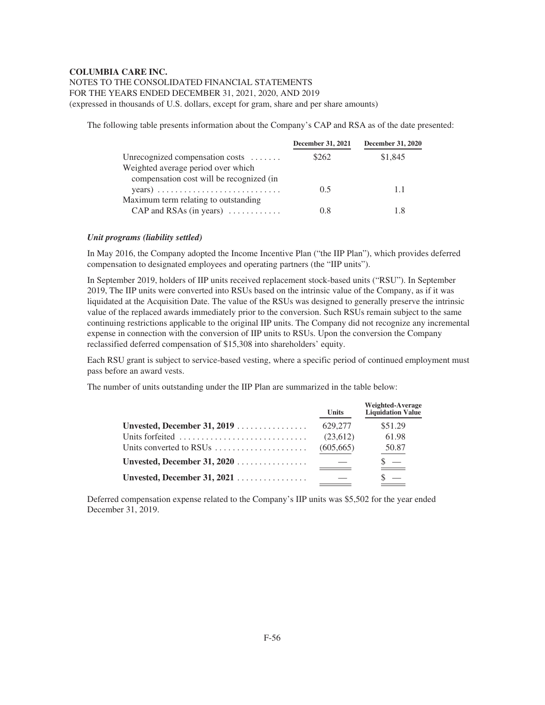# NOTES TO THE CONSOLIDATED FINANCIAL STATEMENTS FOR THE YEARS ENDED DECEMBER 31, 2021, 2020, AND 2019 (expressed in thousands of U.S. dollars, except for gram, share and per share amounts)

The following table presents information about the Company's CAP and RSA as of the date presented:

|                                              | <b>December 31, 2021</b> | <b>December 31, 2020</b> |
|----------------------------------------------|--------------------------|--------------------------|
| Unrecognized compensation costs $\dots\dots$ | \$262                    | \$1,845                  |
| Weighted average period over which           |                          |                          |
| compensation cost will be recognized (in     |                          |                          |
|                                              | 0.5                      | 1.1                      |
| Maximum term relating to outstanding         |                          |                          |
| CAP and RSAs (in years) $\dots$              | 0.8                      | 1.8                      |

#### *Unit programs (liability settled)*

In May 2016, the Company adopted the Income Incentive Plan ("the IIP Plan"), which provides deferred compensation to designated employees and operating partners (the "IIP units").

In September 2019, holders of IIP units received replacement stock-based units ("RSU"). In September 2019, The IIP units were converted into RSUs based on the intrinsic value of the Company, as if it was liquidated at the Acquisition Date. The value of the RSUs was designed to generally preserve the intrinsic value of the replaced awards immediately prior to the conversion. Such RSUs remain subject to the same continuing restrictions applicable to the original IIP units. The Company did not recognize any incremental expense in connection with the conversion of IIP units to RSUs. Upon the conversion the Company reclassified deferred compensation of \$15,308 into shareholders' equity.

Each RSU grant is subject to service-based vesting, where a specific period of continued employment must pass before an award vests.

The number of units outstanding under the IIP Plan are summarized in the table below:

|                                                               | <b>Units</b> | Weighted-Average<br><b>Liquidation Value</b> |
|---------------------------------------------------------------|--------------|----------------------------------------------|
| Unvested, December 31, 2019                                   | 629,277      | \$51.29                                      |
| Units forfeited                                               | (23,612)     | 61.98                                        |
| Units converted to RSUs $\dots \dots \dots \dots \dots \dots$ | (605, 665)   | 50.87                                        |
|                                                               |              |                                              |
| Unvested, December 31, 2021                                   |              |                                              |

Deferred compensation expense related to the Company's IIP units was \$5,502 for the year ended December 31, 2019.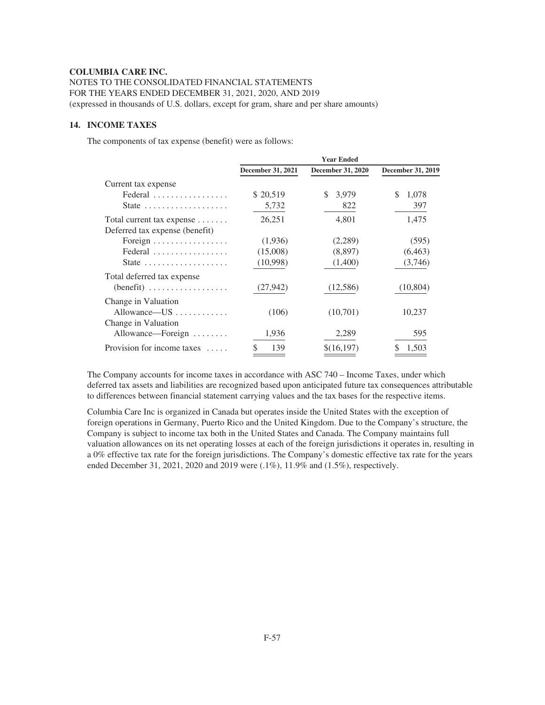NOTES TO THE CONSOLIDATED FINANCIAL STATEMENTS FOR THE YEARS ENDED DECEMBER 31, 2021, 2020, AND 2019 (expressed in thousands of U.S. dollars, except for gram, share and per share amounts)

# **14. INCOME TAXES**

The components of tax expense (benefit) were as follows:

|                                                   | <b>Year Ended</b> |                   |                          |  |
|---------------------------------------------------|-------------------|-------------------|--------------------------|--|
|                                                   | December 31, 2021 | December 31, 2020 | <b>December 31, 2019</b> |  |
| Current tax expense                               |                   |                   |                          |  |
| Federal                                           | \$20,519          | 3,979<br>S.       | \$<br>1,078              |  |
| State $\ldots \ldots \ldots \ldots \ldots \ldots$ | 5,732             | 822               | 397                      |  |
| Total current tax expense                         | 26,251            | 4,801             | 1,475                    |  |
| Deferred tax expense (benefit)                    |                   |                   |                          |  |
| Foreign                                           | (1,936)           | (2,289)           | (595)                    |  |
| Federal                                           | (15,008)          | (8,897)           | (6, 463)                 |  |
| State $\ldots \ldots \ldots \ldots \ldots$        | (10,998)          | (1,400)           | (3,746)                  |  |
| Total deferred tax expense                        |                   |                   |                          |  |
| $(benefit)$                                       | (27, 942)         | (12,586)          | (10, 804)                |  |
| Change in Valuation                               |                   |                   |                          |  |
| Allowance— $US$                                   | (106)             | (10,701)          | 10,237                   |  |
| Change in Valuation                               |                   |                   |                          |  |
| Allowance—Foreign                                 | 1,936             | 2,289             | 595                      |  |
| Provision for income taxes $\dots$                | \$<br>139         | \$(16,197)        | 1,503                    |  |
|                                                   |                   |                   |                          |  |

The Company accounts for income taxes in accordance with ASC 740 – Income Taxes, under which deferred tax assets and liabilities are recognized based upon anticipated future tax consequences attributable to differences between financial statement carrying values and the tax bases for the respective items.

Columbia Care Inc is organized in Canada but operates inside the United States with the exception of foreign operations in Germany, Puerto Rico and the United Kingdom. Due to the Company's structure, the Company is subject to income tax both in the United States and Canada. The Company maintains full valuation allowances on its net operating losses at each of the foreign jurisdictions it operates in, resulting in a 0% effective tax rate for the foreign jurisdictions. The Company's domestic effective tax rate for the years ended December 31, 2021, 2020 and 2019 were (.1%), 11.9% and (1.5%), respectively.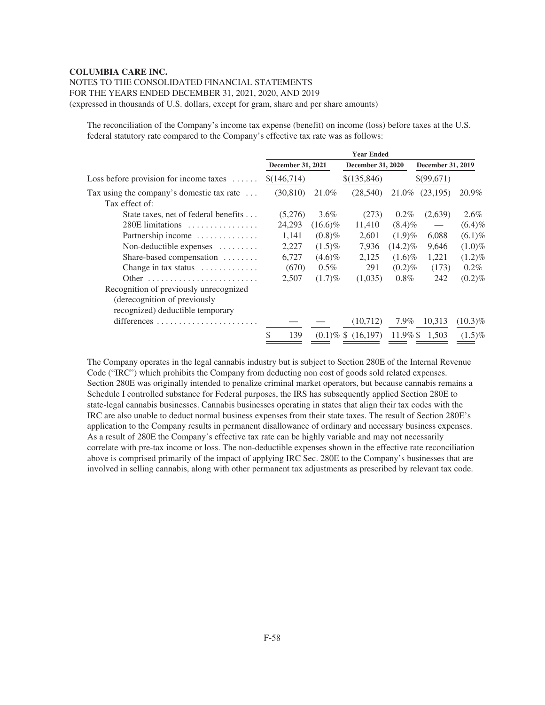# NOTES TO THE CONSOLIDATED FINANCIAL STATEMENTS

FOR THE YEARS ENDED DECEMBER 31, 2021, 2020, AND 2019

(expressed in thousands of U.S. dollars, except for gram, share and per share amounts)

The reconciliation of the Company's income tax expense (benefit) on income (loss) before taxes at the U.S. federal statutory rate compared to the Company's effective tax rate was as follows:

| <b>Year Ended</b> |         |                   |                                                                                           |                                                                               |                                                       |
|-------------------|---------|-------------------|-------------------------------------------------------------------------------------------|-------------------------------------------------------------------------------|-------------------------------------------------------|
|                   |         |                   |                                                                                           |                                                                               |                                                       |
| \$(146,714)       |         | \$(135,846)       |                                                                                           |                                                                               |                                                       |
| (30, 810)         | 21.0%   | (28, 540)         | 21.0%                                                                                     | (23,195)                                                                      | 20.9%                                                 |
|                   |         |                   |                                                                                           |                                                                               |                                                       |
| (5,276)           | $3.6\%$ | (273)             | $0.2\%$                                                                                   | (2,639)                                                                       | $2.6\%$                                               |
| 24,293            |         | 11,410            |                                                                                           | $\overline{\phantom{m}}$                                                      | $(6.4)\%$                                             |
| 1,141             |         | 2,601             | $(1.9)\%$                                                                                 | 6,088                                                                         | $(6.1)\%$                                             |
| 2,227             |         | 7,936             |                                                                                           | 9,646                                                                         | $(1.0)\%$                                             |
| 6,727             |         | 2,125             |                                                                                           | 1,221                                                                         | $(1.2)\%$                                             |
| (670)             | $0.5\%$ | 291               |                                                                                           | (173)                                                                         | $0.2\%$                                               |
| 2,507             |         | (1,035)           | $0.8\%$                                                                                   | 242                                                                           | $(0.2)\%$                                             |
|                   |         |                   |                                                                                           |                                                                               |                                                       |
|                   |         |                   |                                                                                           |                                                                               |                                                       |
|                   |         |                   |                                                                                           |                                                                               |                                                       |
|                   |         | (10,712)          | 7.9%                                                                                      | 10,313                                                                        | $(10.3)\%$                                            |
| \$<br>139         |         |                   |                                                                                           | 1.503                                                                         | $(1.5)\%$                                             |
|                   |         | December 31, 2021 | $(16.6)\%$<br>$(0.8)\%$<br>$(1.5)\%$<br>$(4.6)\%$<br>$(1.7)\%$<br>$(0.1)\%$ \$ $(16.197)$ | <b>December 31, 2020</b><br>$(8.4)\%$<br>$(14.2)\%$<br>$(1.6)\%$<br>$(0.2)\%$ | <b>December 31, 2019</b><br>\$(99,671)<br>$11.9\%$ \$ |

The Company operates in the legal cannabis industry but is subject to Section 280E of the Internal Revenue Code ("IRC") which prohibits the Company from deducting non cost of goods sold related expenses. Section 280E was originally intended to penalize criminal market operators, but because cannabis remains a Schedule I controlled substance for Federal purposes, the IRS has subsequently applied Section 280E to state-legal cannabis businesses. Cannabis businesses operating in states that align their tax codes with the IRC are also unable to deduct normal business expenses from their state taxes. The result of Section 280E's application to the Company results in permanent disallowance of ordinary and necessary business expenses. As a result of 280E the Company's effective tax rate can be highly variable and may not necessarily correlate with pre-tax income or loss. The non-deductible expenses shown in the effective rate reconciliation above is comprised primarily of the impact of applying IRC Sec. 280E to the Company's businesses that are involved in selling cannabis, along with other permanent tax adjustments as prescribed by relevant tax code.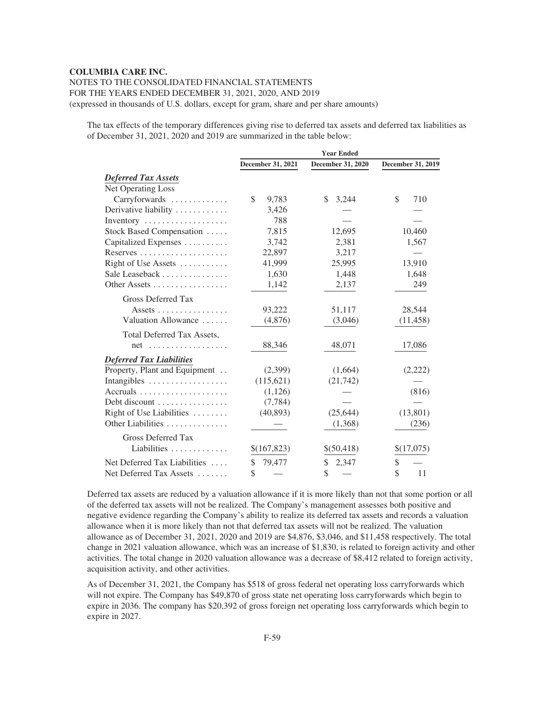# NOTES TO THE CONSOLIDATED FINANCIAL STATEMENTS FOR THE YEARS ENDED DECEMBER 31, 2021, 2020, AND 2019 (expressed in thousands of U.S. dollars, except for gram, share and per share amounts)

The tax effects of the temporary differences giving rise to deferred tax assets and deferred tax liabilities as of December 31, 2021, 2020 and 2019 are summarized in the table below:

|                                                 | <b>Year Ended</b> |                   |                   |  |
|-------------------------------------------------|-------------------|-------------------|-------------------|--|
|                                                 | December 31, 2021 | December 31, 2020 | December 31, 2019 |  |
| <b>Deferred Tax Assets</b>                      |                   |                   |                   |  |
| Net Operating Loss                              |                   |                   |                   |  |
| Carryforwards                                   | \$<br>9,783       | 3,244<br>\$.      | \$<br>710         |  |
| Derivative liability                            | 3,426             |                   |                   |  |
| Inventory                                       | 788               |                   |                   |  |
| Stock Based Compensation                        | 7,815             | 12,695            | 10,460            |  |
| Capitalized Expenses                            | 3,742             | 2,381             | 1,567             |  |
| Reserves                                        | 22,897            | 3,217             |                   |  |
| Right of Use Assets                             | 41,999            | 25,995            | 13,910            |  |
| Sale Leaseback                                  | 1,630             | 1,448             | 1,648             |  |
| Other Assets                                    | 1,142             | 2,137             | 249               |  |
| <b>Gross Deferred Tax</b>                       |                   |                   |                   |  |
| Assets $\dots\dots\dots\dots\dots\dots$         | 93,222            | 51,117            | 28,544            |  |
| Valuation Allowance                             | (4,876)           | (3,046)           | (11, 458)         |  |
| Total Deferred Tax Assets,                      |                   |                   |                   |  |
| $net \dots \dots \dots \dots \dots \dots \dots$ | 88,346            | 48,071            | 17,086            |  |
| <b>Deferred Tax Liabilities</b>                 |                   |                   |                   |  |
| Property, Plant and Equipment                   | (2,399)           | (1,664)           | (2,222)           |  |
| Intangibles                                     | (115, 621)        | (21, 742)         |                   |  |
| Accruals                                        | (1, 126)          |                   | (816)             |  |
| Debt discount                                   | (7, 784)          |                   |                   |  |
| Right of Use Liabilities                        | (40, 893)         | (25, 644)         | (13, 801)         |  |
| Other Liabilities                               |                   | (1,368)           | (236)             |  |
| Gross Deferred Tax                              |                   |                   |                   |  |
| Liabilities                                     | \$(167,823)       | \$(50,418)        | \$(17,075)        |  |
| Net Deferred Tax Liabilities                    | \$<br>79,477      | \$<br>2,347       | \$                |  |
| Net Deferred Tax Assets                         | \$                | \$                | \$<br>11          |  |

Deferred tax assets are reduced by a valuation allowance if it is more likely than not that some portion or all of the deferred tax assets will not be realized. The Company's management assesses both positive and negative evidence regarding the Company's ability to realize its deferred tax assets and records a valuation allowance when it is more likely than not that deferred tax assets will not be realized. The valuation allowance as of December 31, 2021, 2020 and 2019 are \$4,876, \$3,046, and \$11,458 respectively. The total change in 2021 valuation allowance, which was an increase of \$1,830, is related to foreign activity and other activities. The total change in 2020 valuation allowance was a decrease of \$8,412 related to foreign activity, acquisition activity, and other activities.

As of December 31, 2021, the Company has \$518 of gross federal net operating loss carryforwards which will not expire. The Company has \$49,870 of gross state net operating loss carryforwards which begin to expire in 2036. The company has \$20,392 of gross foreign net operating loss carryforwards which begin to expire in 2027.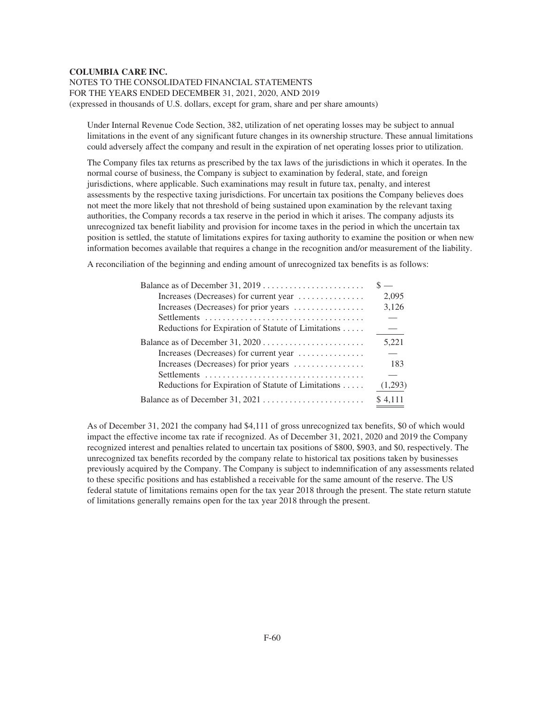NOTES TO THE CONSOLIDATED FINANCIAL STATEMENTS FOR THE YEARS ENDED DECEMBER 31, 2021, 2020, AND 2019 (expressed in thousands of U.S. dollars, except for gram, share and per share amounts)

Under Internal Revenue Code Section, 382, utilization of net operating losses may be subject to annual limitations in the event of any significant future changes in its ownership structure. These annual limitations could adversely affect the company and result in the expiration of net operating losses prior to utilization.

The Company files tax returns as prescribed by the tax laws of the jurisdictions in which it operates. In the normal course of business, the Company is subject to examination by federal, state, and foreign jurisdictions, where applicable. Such examinations may result in future tax, penalty, and interest assessments by the respective taxing jurisdictions. For uncertain tax positions the Company believes does not meet the more likely that not threshold of being sustained upon examination by the relevant taxing authorities, the Company records a tax reserve in the period in which it arises. The company adjusts its unrecognized tax benefit liability and provision for income taxes in the period in which the uncertain tax position is settled, the statute of limitations expires for taxing authority to examine the position or when new information becomes available that requires a change in the recognition and/or measurement of the liability.

A reconciliation of the beginning and ending amount of unrecognized tax benefits is as follows:

|                                                                   | $\overline{\phantom{m}}$ |
|-------------------------------------------------------------------|--------------------------|
| Increases (Decreases) for current year                            | 2,095                    |
| Increases (Decreases) for prior years                             | 3,126                    |
|                                                                   |                          |
| Reductions for Expiration of Statute of Limitations               |                          |
|                                                                   | 5,221                    |
| Increases (Decreases) for current year                            |                          |
| Increases (Decreases) for prior years $\dots\dots\dots\dots\dots$ | 183                      |
|                                                                   |                          |
| Reductions for Expiration of Statute of Limitations               | (1,293)                  |
|                                                                   | \$4.111                  |

As of December 31, 2021 the company had \$4,111 of gross unrecognized tax benefits, \$0 of which would impact the effective income tax rate if recognized. As of December 31, 2021, 2020 and 2019 the Company recognized interest and penalties related to uncertain tax positions of \$800, \$903, and \$0, respectively. The unrecognized tax benefits recorded by the company relate to historical tax positions taken by businesses previously acquired by the Company. The Company is subject to indemnification of any assessments related to these specific positions and has established a receivable for the same amount of the reserve. The US federal statute of limitations remains open for the tax year 2018 through the present. The state return statute of limitations generally remains open for the tax year 2018 through the present.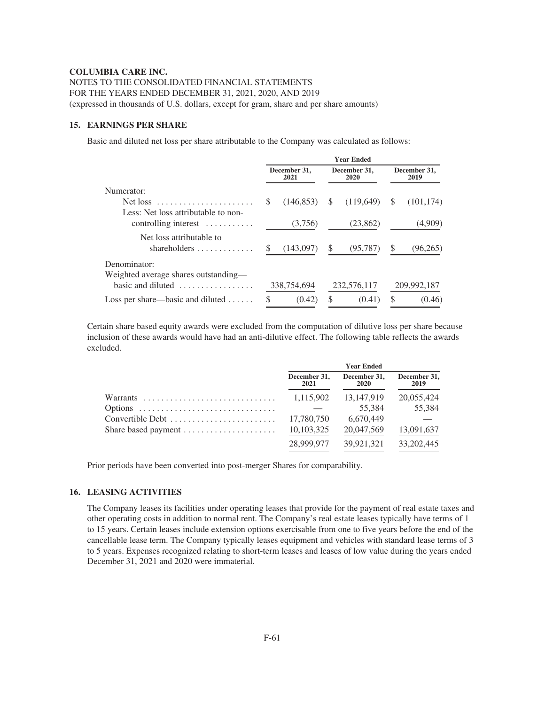NOTES TO THE CONSOLIDATED FINANCIAL STATEMENTS FOR THE YEARS ENDED DECEMBER 31, 2021, 2020, AND 2019 (expressed in thousands of U.S. dollars, except for gram, share and per share amounts)

# **15. EARNINGS PER SHARE**

Basic and diluted net loss per share attributable to the Company was calculated as follows:

|                                                                 | <b>Year Ended</b> |                      |    |                      |               |                      |
|-----------------------------------------------------------------|-------------------|----------------------|----|----------------------|---------------|----------------------|
|                                                                 |                   | December 31,<br>2021 |    | December 31,<br>2020 |               | December 31,<br>2019 |
| Numerator:                                                      |                   |                      |    |                      |               |                      |
| Less: Net loss attributable to non-                             | \$.               | (146.853)            | S  | (119,649)            | S             | (101, 174)           |
| controlling interest $\dots\dots\dots$                          |                   | (3,756)              |    | (23, 862)            |               | (4,909)              |
| Net loss attributable to<br>shareholders $\dots\dots\dots\dots$ |                   | (143,097)            | \$ | (95, 787)            | \$.           | (96,265)             |
| Denominator:<br>Weighted average shares outstanding—            |                   |                      |    |                      |               |                      |
| basic and diluted $\dots\dots\dots\dots\dots\dots$              |                   | 338,754,694          |    | 232,576,117          |               | 209,992,187          |
| Loss per share—basic and diluted $\dots$ .                      | S                 | (0.42)               | \$ | (0.41)               | <sup>\$</sup> | (0.46)               |

Certain share based equity awards were excluded from the computation of dilutive loss per share because inclusion of these awards would have had an anti-dilutive effect. The following table reflects the awards excluded.

|                                                           | <b>Year Ended</b>    |                      |                      |  |
|-----------------------------------------------------------|----------------------|----------------------|----------------------|--|
|                                                           | December 31,<br>2021 | December 31,<br>2020 | December 31,<br>2019 |  |
| Warrants                                                  | 1,115,902            | 13.147.919           | 20,055,424           |  |
| Options                                                   |                      | 55.384               | 55,384               |  |
|                                                           | 17.780.750           | 6,670,449            |                      |  |
| Share based payment $\dots\dots\dots\dots\dots\dots\dots$ | 10,103,325           | 20,047,569           | 13,091,637           |  |
|                                                           | 28,999,977           | 39.921.321           | 33, 202, 445         |  |

Prior periods have been converted into post-merger Shares for comparability.

# **16. LEASING ACTIVITIES**

The Company leases its facilities under operating leases that provide for the payment of real estate taxes and other operating costs in addition to normal rent. The Company's real estate leases typically have terms of 1 to 15 years. Certain leases include extension options exercisable from one to five years before the end of the cancellable lease term. The Company typically leases equipment and vehicles with standard lease terms of 3 to 5 years. Expenses recognized relating to short-term leases and leases of low value during the years ended December 31, 2021 and 2020 were immaterial.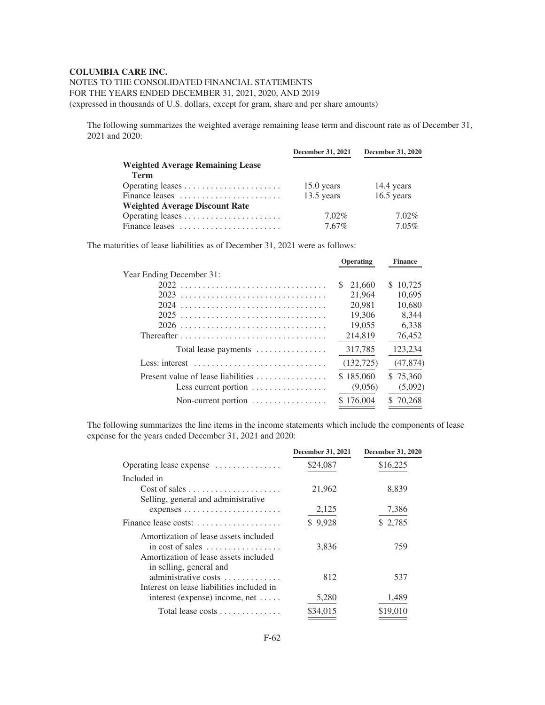NOTES TO THE CONSOLIDATED FINANCIAL STATEMENTS FOR THE YEARS ENDED DECEMBER 31, 2021, 2020, AND 2019 (expressed in thousands of U.S. dollars, except for gram, share and per share amounts)

The following summarizes the weighted average remaining lease term and discount rate as of December 31, 2021 and 2020:

|                                         | <b>December 31, 2021</b> | <b>December 31, 2020</b> |
|-----------------------------------------|--------------------------|--------------------------|
| <b>Weighted Average Remaining Lease</b> |                          |                          |
| <b>Term</b>                             |                          |                          |
|                                         | $15.0$ years             | 14.4 years               |
| Finance leases                          | $13.5$ years             | $16.5$ years             |
| <b>Weighted Average Discount Rate</b>   |                          |                          |
|                                         | $7.02\%$                 | $7.02\%$                 |
| Finance leases                          | 7.67%                    | 7.05%                    |

The maturities of lease liabilities as of December 31, 2021 were as follows:

|                                                      | Operating    | <b>Finance</b> |  |
|------------------------------------------------------|--------------|----------------|--|
| Year Ending December 31:                             |              |                |  |
|                                                      | 21,660<br>S. | 10.725<br>S    |  |
|                                                      | 21,964       | 10.695         |  |
| 2024                                                 | 20.981       | 10,680         |  |
|                                                      | 19.306       | 8.344          |  |
|                                                      | 19,055       | 6,338          |  |
|                                                      | 214,819      | 76,452         |  |
| Total lease payments                                 | 317,785      | 123,234        |  |
| Less: interest                                       | (132, 725)   | (47, 874)      |  |
| Present value of lease liabilities                   | \$185,060    | \$75,360       |  |
| Less current portion $\dots\dots\dots\dots\dots$     | (9,056)      | (5,092)        |  |
| Non-current portion $\dots\dots\dots\dots\dots\dots$ | \$176,004    | \$70.268       |  |
|                                                      |              |                |  |

The following summarizes the line items in the income statements which include the components of lease expense for the years ended December 31, 2021 and 2020:

|                                                                                                                                     | December 31, 2021 | <b>December 31, 2020</b> |
|-------------------------------------------------------------------------------------------------------------------------------------|-------------------|--------------------------|
| Operating lease expense                                                                                                             | \$24,087          | \$16,225                 |
| Included in                                                                                                                         |                   |                          |
| $Cost of sales \dots \dots \dots \dots \dots \dots \dots$<br>Selling, general and administrative                                    | 21,962            | 8,839                    |
| $expenses \ldots \ldots \ldots \ldots \ldots \ldots$                                                                                | 2,125             | 7,386                    |
| Finance lease costs:                                                                                                                | \$9,928           | \$2,785                  |
| Amortization of lease assets included<br>in cost of sales $\dots\dots\dots\dots\dots\dots$<br>Amortization of lease assets included | 3,836             | 759                      |
| in selling, general and<br>administrative costs<br>Interest on lease liabilities included in                                        | 812               | 537                      |
| interest (expense) income, net $\dots$ .                                                                                            | 5,280             | 1,489                    |
| Total lease costs $\dots \dots \dots \dots$                                                                                         | \$34,015          | \$19,010                 |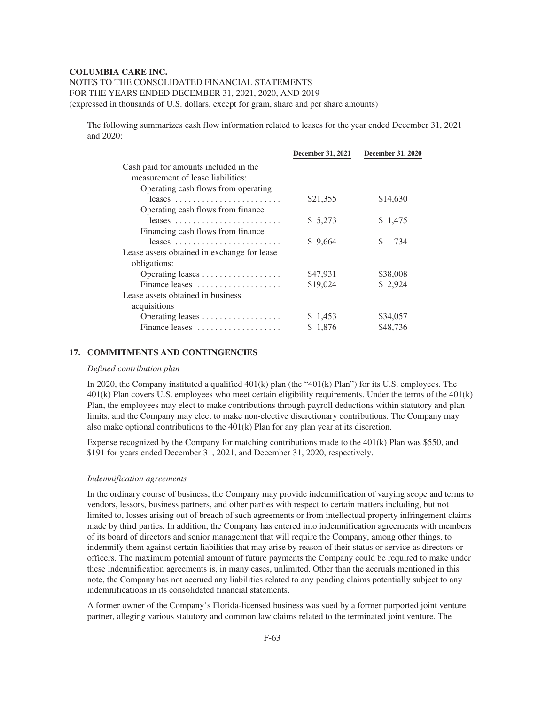NOTES TO THE CONSOLIDATED FINANCIAL STATEMENTS

FOR THE YEARS ENDED DECEMBER 31, 2021, 2020, AND 2019

(expressed in thousands of U.S. dollars, except for gram, share and per share amounts)

The following summarizes cash flow information related to leases for the year ended December 31, 2021 and 2020:

|                                             | December 31, 2021 | <b>December 31, 2020</b> |
|---------------------------------------------|-------------------|--------------------------|
| Cash paid for amounts included in the       |                   |                          |
| measurement of lease liabilities:           |                   |                          |
| Operating cash flows from operating         |                   |                          |
|                                             | \$21,355          | \$14,630                 |
| Operating cash flows from finance           |                   |                          |
|                                             | \$5,273           | \$ 1,475                 |
| Financing cash flows from finance           |                   |                          |
|                                             | \$9,664           | S.<br>734                |
| Lease assets obtained in exchange for lease |                   |                          |
| obligations:                                |                   |                          |
|                                             | \$47,931          | \$38,008                 |
| Finance leases                              | \$19,024          | \$ 2,924                 |
| Lease assets obtained in business           |                   |                          |
| acquisitions                                |                   |                          |
|                                             | \$1,453           | \$34,057                 |
| Finance leases                              | \$1,876           | \$48,736                 |

# **17. COMMITMENTS AND CONTINGENCIES**

#### *Defined contribution plan*

In 2020, the Company instituted a qualified 401(k) plan (the "401(k) Plan") for its U.S. employees. The 401(k) Plan covers U.S. employees who meet certain eligibility requirements. Under the terms of the 401(k) Plan, the employees may elect to make contributions through payroll deductions within statutory and plan limits, and the Company may elect to make non-elective discretionary contributions. The Company may also make optional contributions to the 401(k) Plan for any plan year at its discretion.

Expense recognized by the Company for matching contributions made to the 401(k) Plan was \$550, and \$191 for years ended December 31, 2021, and December 31, 2020, respectively.

#### *Indemnification agreements*

In the ordinary course of business, the Company may provide indemnification of varying scope and terms to vendors, lessors, business partners, and other parties with respect to certain matters including, but not limited to, losses arising out of breach of such agreements or from intellectual property infringement claims made by third parties. In addition, the Company has entered into indemnification agreements with members of its board of directors and senior management that will require the Company, among other things, to indemnify them against certain liabilities that may arise by reason of their status or service as directors or officers. The maximum potential amount of future payments the Company could be required to make under these indemnification agreements is, in many cases, unlimited. Other than the accruals mentioned in this note, the Company has not accrued any liabilities related to any pending claims potentially subject to any indemnifications in its consolidated financial statements.

A former owner of the Company's Florida-licensed business was sued by a former purported joint venture partner, alleging various statutory and common law claims related to the terminated joint venture. The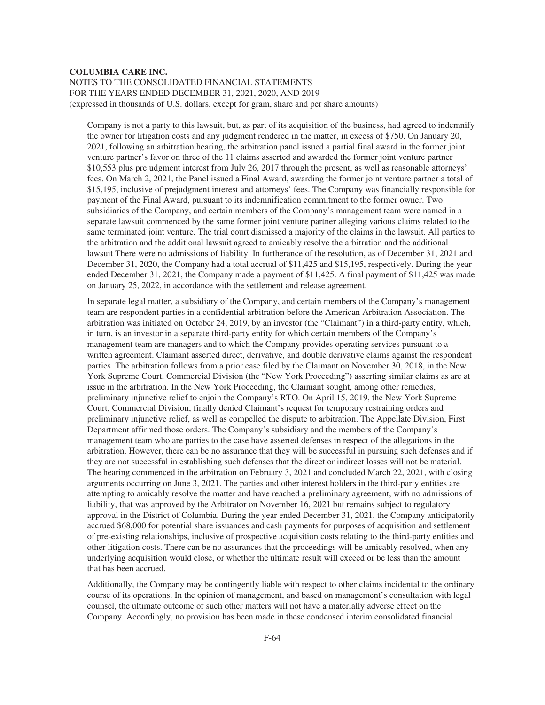# **COLUMBIA CARE INC.** NOTES TO THE CONSOLIDATED FINANCIAL STATEMENTS FOR THE YEARS ENDED DECEMBER 31, 2021, 2020, AND 2019 (expressed in thousands of U.S. dollars, except for gram, share and per share amounts)

Company is not a party to this lawsuit, but, as part of its acquisition of the business, had agreed to indemnify the owner for litigation costs and any judgment rendered in the matter, in excess of \$750. On January 20, 2021, following an arbitration hearing, the arbitration panel issued a partial final award in the former joint venture partner's favor on three of the 11 claims asserted and awarded the former joint venture partner \$10,553 plus prejudgment interest from July 26, 2017 through the present, as well as reasonable attorneys' fees. On March 2, 2021, the Panel issued a Final Award, awarding the former joint venture partner a total of \$15,195, inclusive of prejudgment interest and attorneys' fees. The Company was financially responsible for payment of the Final Award, pursuant to its indemnification commitment to the former owner. Two subsidiaries of the Company, and certain members of the Company's management team were named in a separate lawsuit commenced by the same former joint venture partner alleging various claims related to the same terminated joint venture. The trial court dismissed a majority of the claims in the lawsuit. All parties to the arbitration and the additional lawsuit agreed to amicably resolve the arbitration and the additional lawsuit There were no admissions of liability. In furtherance of the resolution, as of December 31, 2021 and December 31, 2020, the Company had a total accrual of \$11,425 and \$15,195, respectively. During the year ended December 31, 2021, the Company made a payment of \$11,425. A final payment of \$11,425 was made on January 25, 2022, in accordance with the settlement and release agreement.

In separate legal matter, a subsidiary of the Company, and certain members of the Company's management team are respondent parties in a confidential arbitration before the American Arbitration Association. The arbitration was initiated on October 24, 2019, by an investor (the "Claimant") in a third-party entity, which, in turn, is an investor in a separate third-party entity for which certain members of the Company's management team are managers and to which the Company provides operating services pursuant to a written agreement. Claimant asserted direct, derivative, and double derivative claims against the respondent parties. The arbitration follows from a prior case filed by the Claimant on November 30, 2018, in the New York Supreme Court, Commercial Division (the "New York Proceeding") asserting similar claims as are at issue in the arbitration. In the New York Proceeding, the Claimant sought, among other remedies, preliminary injunctive relief to enjoin the Company's RTO. On April 15, 2019, the New York Supreme Court, Commercial Division, finally denied Claimant's request for temporary restraining orders and preliminary injunctive relief, as well as compelled the dispute to arbitration. The Appellate Division, First Department affirmed those orders. The Company's subsidiary and the members of the Company's management team who are parties to the case have asserted defenses in respect of the allegations in the arbitration. However, there can be no assurance that they will be successful in pursuing such defenses and if they are not successful in establishing such defenses that the direct or indirect losses will not be material. The hearing commenced in the arbitration on February 3, 2021 and concluded March 22, 2021, with closing arguments occurring on June 3, 2021. The parties and other interest holders in the third-party entities are attempting to amicably resolve the matter and have reached a preliminary agreement, with no admissions of liability, that was approved by the Arbitrator on November 16, 2021 but remains subject to regulatory approval in the District of Columbia. During the year ended December 31, 2021, the Company anticipatorily accrued \$68,000 for potential share issuances and cash payments for purposes of acquisition and settlement of pre-existing relationships, inclusive of prospective acquisition costs relating to the third-party entities and other litigation costs. There can be no assurances that the proceedings will be amicably resolved, when any underlying acquisition would close, or whether the ultimate result will exceed or be less than the amount that has been accrued.

Additionally, the Company may be contingently liable with respect to other claims incidental to the ordinary course of its operations. In the opinion of management, and based on management's consultation with legal counsel, the ultimate outcome of such other matters will not have a materially adverse effect on the Company. Accordingly, no provision has been made in these condensed interim consolidated financial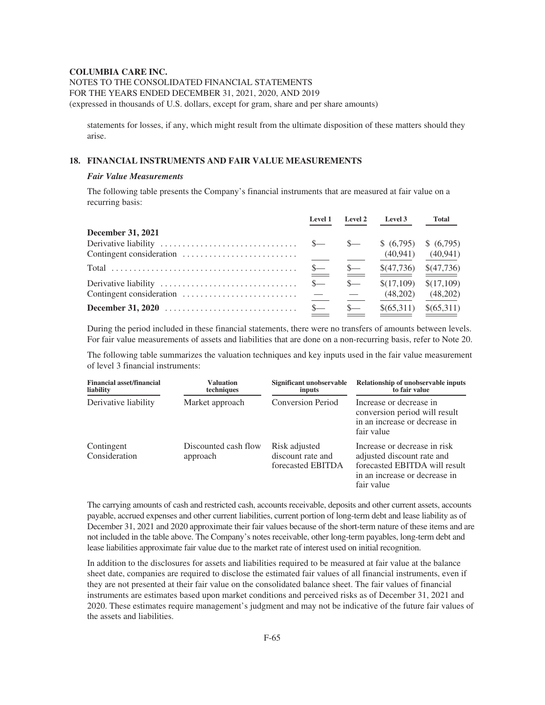NOTES TO THE CONSOLIDATED FINANCIAL STATEMENTS FOR THE YEARS ENDED DECEMBER 31, 2021, 2020, AND 2019 (expressed in thousands of U.S. dollars, except for gram, share and per share amounts)

statements for losses, if any, which might result from the ultimate disposition of these matters should they arise.

# **18. FINANCIAL INSTRUMENTS AND FAIR VALUE MEASUREMENTS**

#### *Fair Value Measurements*

The following table presents the Company's financial instruments that are measured at fair value on a recurring basis:

|                                                                             | Level 1       | <b>Level 2</b> | <b>Level 3</b>              | Total      |
|-----------------------------------------------------------------------------|---------------|----------------|-----------------------------|------------|
| December 31, 2021                                                           |               |                |                             |            |
|                                                                             |               | $\mathbb{S}$ — | $(6,795)$ \$ $(6,795)$      |            |
|                                                                             |               |                | (40, 941)                   | (40, 941)  |
|                                                                             | $\frac{1}{2}$ | $\sim$         | $$(47,736) \quad $(47,736)$ |            |
|                                                                             | $S-$          | $S-$           | \$(17,109)                  | \$(17,109) |
| Contingent consideration $\ldots \ldots \ldots \ldots \ldots \ldots \ldots$ |               |                | (48,202)                    | (48,202)   |
|                                                                             | $S-$          | $S-$           | \$(65,311)                  | \$(65,311) |

During the period included in these financial statements, there were no transfers of amounts between levels. For fair value measurements of assets and liabilities that are done on a non-recurring basis, refer to Note 20.

The following table summarizes the valuation techniques and key inputs used in the fair value measurement of level 3 financial instruments:

| <b>Financial asset/financial</b><br>liability | <b>Valuation</b><br>techniques   | Significant unobservable<br>inputs                      | <b>Relationship of unobservable inputs</b><br>to fair value                                                                                |
|-----------------------------------------------|----------------------------------|---------------------------------------------------------|--------------------------------------------------------------------------------------------------------------------------------------------|
| Derivative liability                          | Market approach                  | <b>Conversion Period</b>                                | Increase or decrease in<br>conversion period will result<br>in an increase or decrease in<br>fair value                                    |
| Contingent<br>Consideration                   | Discounted cash flow<br>approach | Risk adjusted<br>discount rate and<br>forecasted EBITDA | Increase or decrease in risk<br>adjusted discount rate and<br>forecasted EBITDA will result<br>in an increase or decrease in<br>fair value |

The carrying amounts of cash and restricted cash, accounts receivable, deposits and other current assets, accounts payable, accrued expenses and other current liabilities, current portion of long-term debt and lease liability as of December 31, 2021 and 2020 approximate their fair values because of the short-term nature of these items and are not included in the table above. The Company's notes receivable, other long-term payables, long-term debt and lease liabilities approximate fair value due to the market rate of interest used on initial recognition.

In addition to the disclosures for assets and liabilities required to be measured at fair value at the balance sheet date, companies are required to disclose the estimated fair values of all financial instruments, even if they are not presented at their fair value on the consolidated balance sheet. The fair values of financial instruments are estimates based upon market conditions and perceived risks as of December 31, 2021 and 2020. These estimates require management's judgment and may not be indicative of the future fair values of the assets and liabilities.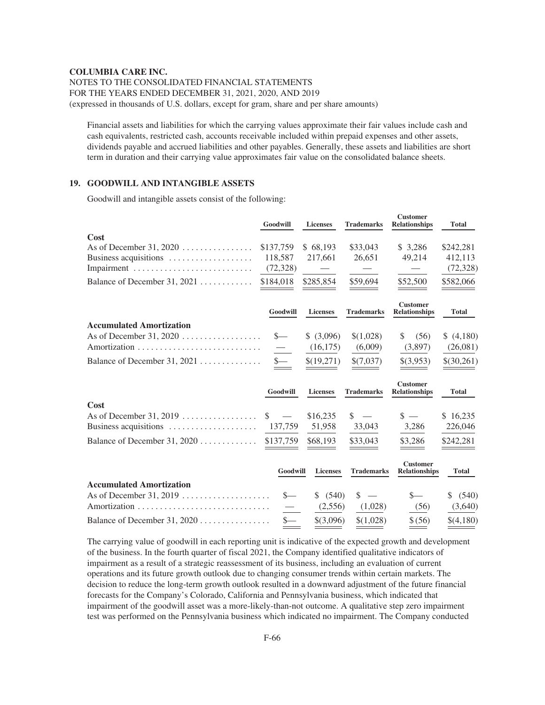NOTES TO THE CONSOLIDATED FINANCIAL STATEMENTS FOR THE YEARS ENDED DECEMBER 31, 2021, 2020, AND 2019 (expressed in thousands of U.S. dollars, except for gram, share and per share amounts)

Financial assets and liabilities for which the carrying values approximate their fair values include cash and cash equivalents, restricted cash, accounts receivable included within prepaid expenses and other assets, dividends payable and accrued liabilities and other payables. Generally, these assets and liabilities are short term in duration and their carrying value approximates fair value on the consolidated balance sheets.

#### **19. GOODWILL AND INTANGIBLE ASSETS**

Goodwill and intangible assets consist of the following:

|                                                       | Goodwill      | <b>Licenses</b> | <b>Trademarks</b> | <b>Customer</b><br><b>Relationships</b> | <b>Total</b> |
|-------------------------------------------------------|---------------|-----------------|-------------------|-----------------------------------------|--------------|
| Cost                                                  |               |                 |                   |                                         |              |
| As of December 31, 2020 $\dots$                       | \$137,759     | \$68,193        | \$33,043          | \$3,286                                 | \$242,281    |
| Business acquisitions $\dots \dots \dots \dots \dots$ | 118,587       | 217,661         | 26,651            | 49,214                                  | 412,113      |
|                                                       | (72, 328)     |                 |                   |                                         | (72, 328)    |
| Balance of December 31, 2021                          | \$184,018     | \$285,854       | \$59,694          | \$52,500                                | \$582,066    |
|                                                       |               |                 |                   | <b>Customer</b>                         |              |
|                                                       | Goodwill      | <b>Licenses</b> | <b>Trademarks</b> | <b>Relationships</b>                    | <b>Total</b> |
| <b>Accumulated Amortization</b>                       |               |                 |                   |                                         |              |
|                                                       | $s-$          | \$ (3,096)      | \$(1,028)         | \$<br>(56)                              | (4,180)      |
|                                                       | $\equiv$      | (16, 175)       | (6,009)           | (3,897)                                 | (26,081)     |
| Balance of December 31, $2021$                        | $s-$          | \$(19,271)      | \$(7,037)         | \$(3,953)                               | \$(30,261)   |
|                                                       | Goodwill      | <b>Licenses</b> | <b>Trademarks</b> | <b>Customer</b><br><b>Relationships</b> | <b>Total</b> |
| Cost                                                  |               |                 |                   |                                         |              |
| As of December 31, 2019 $\dots$                       | \$            | \$16,235        | \$.               | $s =$                                   | \$16,235     |
| Business acquisitions                                 | 137,759       | 51,958          | 33,043            | 3,286                                   | 226,046      |
| Balance of December 31, 2020                          | \$137,759     | \$68,193        | \$33,043          | \$3,286                                 | \$242,281    |
|                                                       |               |                 |                   | <b>Customer</b>                         |              |
|                                                       | Goodwill      | <b>Licenses</b> | <b>Trademarks</b> | <b>Relationships</b>                    | <b>Total</b> |
| <b>Accumulated Amortization</b>                       |               |                 |                   |                                         |              |
|                                                       | $\frac{S}{1}$ | (540)<br>S.     | \$                | $S-$                                    | (540)<br>S   |
|                                                       |               | (2,556)         | (1,028)           | (56)                                    | (3,640)      |
| Balance of December 31, 2020                          | $s-$          | \$(3,096)       | \$(1,028)         | \$ (56)                                 | \$(4,180)    |

The carrying value of goodwill in each reporting unit is indicative of the expected growth and development of the business. In the fourth quarter of fiscal 2021, the Company identified qualitative indicators of impairment as a result of a strategic reassessment of its business, including an evaluation of current operations and its future growth outlook due to changing consumer trends within certain markets. The decision to reduce the long-term growth outlook resulted in a downward adjustment of the future financial forecasts for the Company's Colorado, California and Pennsylvania business, which indicated that impairment of the goodwill asset was a more-likely-than-not outcome. A qualitative step zero impairment test was performed on the Pennsylvania business which indicated no impairment. The Company conducted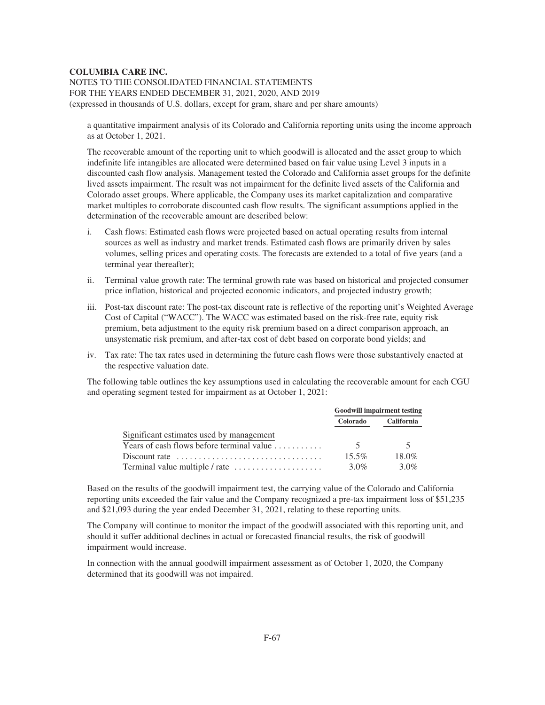NOTES TO THE CONSOLIDATED FINANCIAL STATEMENTS FOR THE YEARS ENDED DECEMBER 31, 2021, 2020, AND 2019 (expressed in thousands of U.S. dollars, except for gram, share and per share amounts)

a quantitative impairment analysis of its Colorado and California reporting units using the income approach as at October 1, 2021.

The recoverable amount of the reporting unit to which goodwill is allocated and the asset group to which indefinite life intangibles are allocated were determined based on fair value using Level 3 inputs in a discounted cash flow analysis. Management tested the Colorado and California asset groups for the definite lived assets impairment. The result was not impairment for the definite lived assets of the California and Colorado asset groups. Where applicable, the Company uses its market capitalization and comparative market multiples to corroborate discounted cash flow results. The significant assumptions applied in the determination of the recoverable amount are described below:

- i. Cash flows: Estimated cash flows were projected based on actual operating results from internal sources as well as industry and market trends. Estimated cash flows are primarily driven by sales volumes, selling prices and operating costs. The forecasts are extended to a total of five years (and a terminal year thereafter);
- ii. Terminal value growth rate: The terminal growth rate was based on historical and projected consumer price inflation, historical and projected economic indicators, and projected industry growth;
- iii. Post-tax discount rate: The post-tax discount rate is reflective of the reporting unit's Weighted Average Cost of Capital ("WACC"). The WACC was estimated based on the risk-free rate, equity risk premium, beta adjustment to the equity risk premium based on a direct comparison approach, an unsystematic risk premium, and after-tax cost of debt based on corporate bond yields; and
- iv. Tax rate: The tax rates used in determining the future cash flows were those substantively enacted at the respective valuation date.

The following table outlines the key assumptions used in calculating the recoverable amount for each CGU and operating segment tested for impairment as at October 1, 2021:

|                                                                                | <b>Goodwill impairment testing</b> |                   |  |
|--------------------------------------------------------------------------------|------------------------------------|-------------------|--|
|                                                                                | Colorado                           | <b>California</b> |  |
| Significant estimates used by management                                       |                                    |                   |  |
| Years of cash flows before terminal value $\dots \dots \dots$                  |                                    |                   |  |
| Discount rate $\ldots, \ldots, \ldots, \ldots, \ldots, \ldots, \ldots, \ldots$ | $15.5\%$                           | $18.0\%$          |  |
|                                                                                | $3.0\%$                            | $3.0\%$           |  |

Based on the results of the goodwill impairment test, the carrying value of the Colorado and California reporting units exceeded the fair value and the Company recognized a pre-tax impairment loss of \$51,235 and \$21,093 during the year ended December 31, 2021, relating to these reporting units.

The Company will continue to monitor the impact of the goodwill associated with this reporting unit, and should it suffer additional declines in actual or forecasted financial results, the risk of goodwill impairment would increase.

In connection with the annual goodwill impairment assessment as of October 1, 2020, the Company determined that its goodwill was not impaired.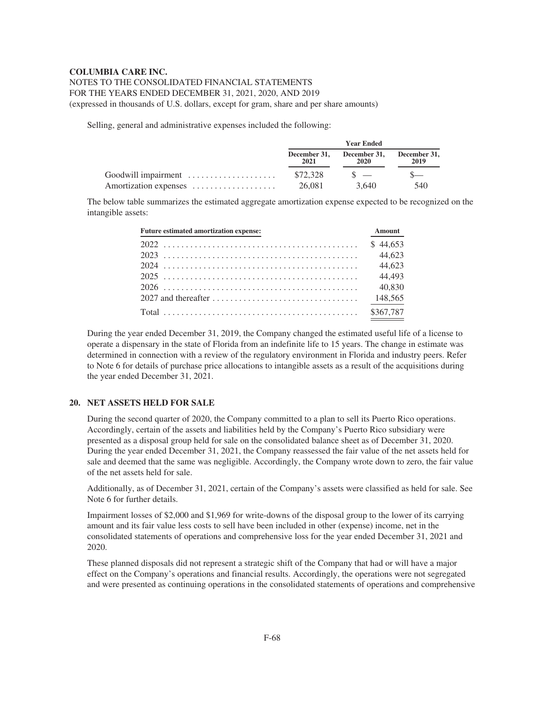# NOTES TO THE CONSOLIDATED FINANCIAL STATEMENTS FOR THE YEARS ENDED DECEMBER 31, 2021, 2020, AND 2019

(expressed in thousands of U.S. dollars, except for gram, share and per share amounts)

Selling, general and administrative expenses included the following:

|                       | <b>Year Ended</b> |                                                |      |  |  |  |
|-----------------------|-------------------|------------------------------------------------|------|--|--|--|
|                       | 2021              | December 31, December 31, December 31,<br>2020 | 2019 |  |  |  |
| Goodwill impairment   | \$72.328          | $\mathcal{S}$ $\mathcal{S}$                    |      |  |  |  |
| Amortization expenses | 26.081            | 3.640                                          | 540  |  |  |  |

The below table summarizes the estimated aggregate amortization expense expected to be recognized on the intangible assets:

| <b>Future estimated amortization expense:</b> | <b>Amount</b> |
|-----------------------------------------------|---------------|
|                                               | \$44,653      |
|                                               | 44,623        |
|                                               | 44,623        |
|                                               | 44.493        |
|                                               | 40,830        |
|                                               | 148,565       |
|                                               | \$367,787     |

During the year ended December 31, 2019, the Company changed the estimated useful life of a license to operate a dispensary in the state of Florida from an indefinite life to 15 years. The change in estimate was determined in connection with a review of the regulatory environment in Florida and industry peers. Refer to Note 6 for details of purchase price allocations to intangible assets as a result of the acquisitions during the year ended December 31, 2021.

# **20. NET ASSETS HELD FOR SALE**

During the second quarter of 2020, the Company committed to a plan to sell its Puerto Rico operations. Accordingly, certain of the assets and liabilities held by the Company's Puerto Rico subsidiary were presented as a disposal group held for sale on the consolidated balance sheet as of December 31, 2020. During the year ended December 31, 2021, the Company reassessed the fair value of the net assets held for sale and deemed that the same was negligible. Accordingly, the Company wrote down to zero, the fair value of the net assets held for sale.

Additionally, as of December 31, 2021, certain of the Company's assets were classified as held for sale. See Note 6 for further details.

Impairment losses of \$2,000 and \$1,969 for write-downs of the disposal group to the lower of its carrying amount and its fair value less costs to sell have been included in other (expense) income, net in the consolidated statements of operations and comprehensive loss for the year ended December 31, 2021 and 2020.

These planned disposals did not represent a strategic shift of the Company that had or will have a major effect on the Company's operations and financial results. Accordingly, the operations were not segregated and were presented as continuing operations in the consolidated statements of operations and comprehensive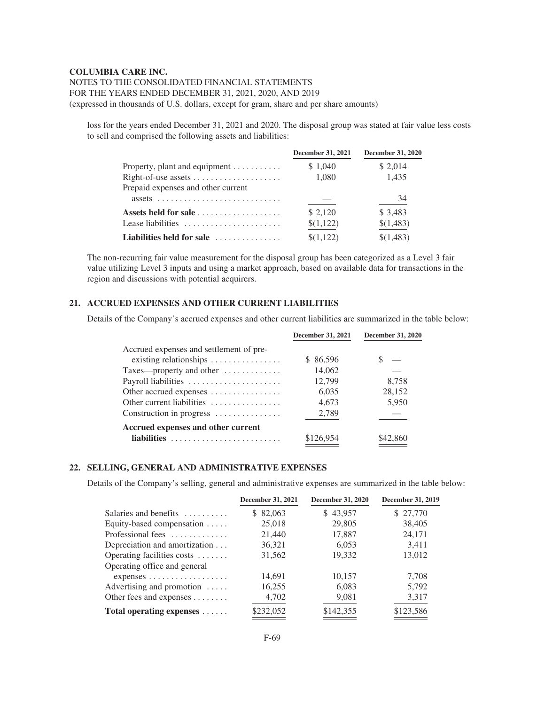# NOTES TO THE CONSOLIDATED FINANCIAL STATEMENTS FOR THE YEARS ENDED DECEMBER 31, 2021, 2020, AND 2019 (expressed in thousands of U.S. dollars, except for gram, share and per share amounts)

loss for the years ended December 31, 2021 and 2020. The disposal group was stated at fair value less costs to sell and comprised the following assets and liabilities:

|                                                      | <b>December 31, 2021</b> | <b>December 31, 2020</b> |
|------------------------------------------------------|--------------------------|--------------------------|
| Property, plant and equipment $\dots\dots\dots\dots$ | \$1,040                  | \$ 2,014                 |
|                                                      | 1,080                    | 1,435                    |
| Prepaid expenses and other current                   |                          |                          |
| $assets$                                             |                          | 34                       |
| Assets held for sale                                 | \$2,120                  | \$ 3,483                 |
| Lease liabilities                                    | \$(1,122)                | \$(1,483)                |
| Liabilities held for sale                            | \$(1,122)                | \$(1,483)                |

The non-recurring fair value measurement for the disposal group has been categorized as a Level 3 fair value utilizing Level 3 inputs and using a market approach, based on available data for transactions in the region and discussions with potential acquirers.

# **21. ACCRUED EXPENSES AND OTHER CURRENT LIABILITIES**

Details of the Company's accrued expenses and other current liabilities are summarized in the table below:

| December 31, 2021 | <b>December 31, 2020</b> |
|-------------------|--------------------------|
|                   |                          |
| \$ 86.596         |                          |
| 14,062            |                          |
| 12,799            | 8.758                    |
| 6.035             | 28,152                   |
| 4,673             | 5,950                    |
| 2,789             |                          |
|                   |                          |
| \$126,954         |                          |
|                   |                          |

# **22. SELLING, GENERAL AND ADMINISTRATIVE EXPENSES**

Details of the Company's selling, general and administrative expenses are summarized in the table below:

|                                               | December 31, 2021 | <b>December 31, 2020</b> | December 31, 2019 |
|-----------------------------------------------|-------------------|--------------------------|-------------------|
| Salaries and benefits                         | 82,063<br>S.      | \$43,957                 | \$27,770          |
| Equity-based compensation                     | 25,018            | 29,805                   | 38,405            |
| Professional fees                             | 21,440            | 17,887                   | 24,171            |
| Depreciation and amortization                 | 36,321            | 6,053                    | 3,411             |
| Operating facilities costs                    | 31,562            | 19.332                   | 13,012            |
| Operating office and general                  |                   |                          |                   |
| $expenses \ldots \ldots \ldots \ldots \ldots$ | 14,691            | 10,157                   | 7,708             |
| Advertising and promotion                     | 16,255            | 6,083                    | 5,792             |
| Other fees and expenses $\dots\dots$          | 4,702             | 9,081                    | 3,317             |
| Total operating expenses                      | \$232,052         | \$142,355                | \$123,586         |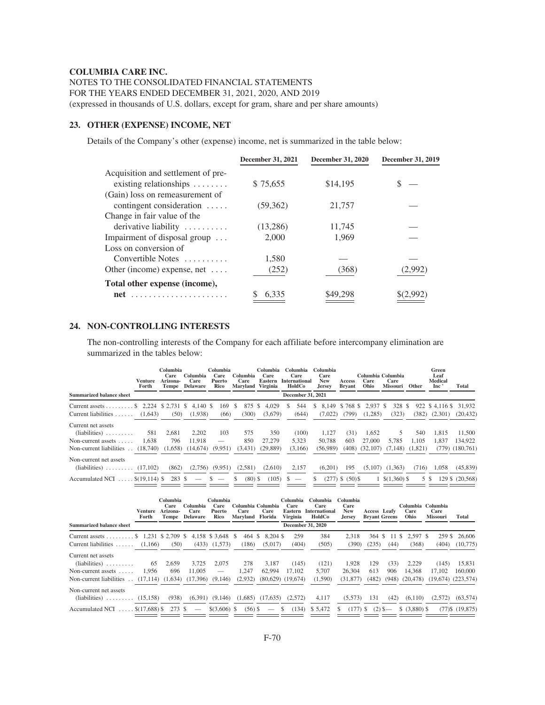NOTES TO THE CONSOLIDATED FINANCIAL STATEMENTS FOR THE YEARS ENDED DECEMBER 31, 2021, 2020, AND 2019 (expressed in thousands of U.S. dollars, except for gram, share and per share amounts)

# **23. OTHER (EXPENSE) INCOME, NET**

Details of the Company's other (expense) income, net is summarized in the table below:

|                                                                            | December 31, 2021 | <b>December 31, 2020</b> | <b>December 31, 2019</b> |
|----------------------------------------------------------------------------|-------------------|--------------------------|--------------------------|
| Acquisition and settlement of pre-<br>existing relationships $\dots \dots$ | \$75,655          | \$14,195                 |                          |
| (Gain) loss on remeasurement of<br>contingent consideration $\dots$        | (59, 362)         | 21,757                   |                          |
| Change in fair value of the<br>derivative liability                        | (13,286)          | 11,745                   |                          |
| Impairment of disposal group $\dots$                                       | 2,000             | 1,969                    |                          |
| Loss on conversion of<br>Convertible Notes                                 | 1,580             |                          |                          |
| Other (income) expense, net $\dots$                                        | (252)             | (368)                    | (2,992)                  |
| Total other expense (income),                                              |                   |                          |                          |
| $net \dots \dots \dots \dots \dots \dots \dots \dots$                      | 6,335             | \$49,298                 | \$(2,992)                |

# **24. NON-CONTROLLING INTERESTS**

The non-controlling interests of the Company for each affiliate before intercompany elimination are summarized in the tables below:

|                                                            | Venture<br>Forth | Columbia<br>Care<br>Arizona-<br>Tempe | Columbia<br>Care<br><b>Delaware</b> | Columbia<br>Care<br>Puerto<br>Rico | Columbia<br>Care<br>Marvland  | Columbia<br>Care<br>Eastern<br>Virginia | Columbia<br>Care<br><b>International</b><br>HoldCo | Columbia<br>Care<br><b>New</b><br><b>Jersey</b> | <b>Access</b><br><b>Bryant</b> | Care<br>Ohio          | Columbia Columbia<br>Care<br>Missouri | Other        | Green<br>Leaf<br>Medical<br>Inc <sup>*</sup> | Total               |
|------------------------------------------------------------|------------------|---------------------------------------|-------------------------------------|------------------------------------|-------------------------------|-----------------------------------------|----------------------------------------------------|-------------------------------------------------|--------------------------------|-----------------------|---------------------------------------|--------------|----------------------------------------------|---------------------|
| Summarized balance sheet                                   |                  |                                       |                                     |                                    |                               |                                         | <b>December 31, 2021</b>                           |                                                 |                                |                       |                                       |              |                                              |                     |
| Current assets \$ 2,224 \$ 2,731 \$<br>Current liabilities | (1.643)          | (50)                                  | $4,140$ \$<br>(1,938)               | 169<br>(66)                        | 875<br><sup>\$</sup><br>(300) | 4,029<br>-S<br>(3,679)                  | 544<br>S.<br>(644)                                 | 8.149<br>S<br>(7,022)                           | \$768 \$<br>(799)              | $2,937$ \$<br>(1,285) | 328<br>(323)                          | - S<br>(382) | 922 \$4,116 \$<br>(2,301)                    | 31,932<br>(20, 432) |
| Current net assets<br>$(liabilities)$                      | 581              | 2.681                                 | 2.202                               | 103                                | 575                           | 350                                     | (100)                                              | 1,127                                           | (31)                           | 1,652                 | 5                                     | 540          | 1,815                                        | 11,500              |
| Non-current assets                                         | 1.638            | 796                                   | 11.918                              |                                    | 850                           | 27,279                                  | 5.323                                              | 50.788                                          | 603                            | 27,000                | 5.785                                 | 1.105        | 1.837                                        | 134,922             |
| Non-current liabilities                                    | (18,740)         |                                       | $(1,658)$ $(14,674)$                | (9.951)                            | (3,431)                       | (29,889)                                | (3,166)                                            | (56.989)                                        |                                |                       | $(408)$ $(32,107)$ $(7,148)$          | (1,821)      |                                              | $(779)$ $(180.761)$ |
| Non-current net assets<br>$(liabilities) \dots \dots$      | (17.102)         | (862)                                 | (2,756)                             | (9,951)                            | (2,581)                       | (2.610)                                 | 2.157                                              | (6,201)                                         | 195                            |                       | $(5,107)$ $(1,363)$                   | (716)        | 1.058                                        | (45, 839)           |
| <b>Accumulated NCI</b>                                     | $$(19,114)$ \$   | 283 \$                                |                                     | S.<br>$\overline{\phantom{a}}$     | $(80)$ \$<br>S.               | (105)                                   | $\mathbf{s}$                                       | S                                               | $(277)$ \$ $(50)$ \$           |                       | $1$ \$(1.360) \$                      |              | 5 S                                          | 129 \$ (20.568)     |

|                                 | Venture<br>Forth                | Columbia<br>Care<br>Arizona-<br>Tempe | Columbia<br>Care<br><b>Delaware</b> | Columbia<br>Care<br>Puerto<br>Rico | Care<br>Marvland | Columbia Columbia<br>Care<br>Florida | Columbia<br>Care<br>Eastern<br>Virginia | Columbia<br>Care<br><b>International</b><br>HoldCo | Columbia<br>Care<br><b>New</b><br><b>Jersey</b> | <b>Access</b> Leafy | <b>Bryant Greens</b> | Columbia<br>Care<br>Ohio  | Columbia<br>Care<br><b>Missouri</b> | Total                |
|---------------------------------|---------------------------------|---------------------------------------|-------------------------------------|------------------------------------|------------------|--------------------------------------|-----------------------------------------|----------------------------------------------------|-------------------------------------------------|---------------------|----------------------|---------------------------|-------------------------------------|----------------------|
| <b>Summarized balance sheet</b> |                                 |                                       |                                     |                                    |                  |                                      |                                         | <b>December 31, 2020</b>                           |                                                 |                     |                      |                           |                                     |                      |
| Current assets $\ldots$         | $\frac{1}{2}$ 1,231 \$ 2,709 \$ |                                       |                                     | 4,158 \$3,648                      | 464 S<br>-S      | 8.204 \$                             | 259                                     | 384                                                | 2.318                                           | 364                 | -S<br>11             | 2.597 \$<br><sup>\$</sup> | 259<br>S                            | 26,606               |
| Current liabilities             | (1.166)                         | (50)                                  |                                     | $(433)$ $(1,573)$                  | (186)            | (5.017)                              | (404)                                   | (505)                                              | (390)                                           | (235)               | (44)                 | (368)                     | (404)                               | (10.775)             |
| Current net assets              |                                 |                                       |                                     |                                    |                  |                                      |                                         |                                                    |                                                 |                     |                      |                           |                                     |                      |
| $(liabilities)$                 | 65                              | 2.659                                 | 3.725                               | 2.075                              | 278              | 3.187                                | (145)                                   | (121)                                              | 1.928                                           | 129                 | (33)                 | 2.229                     | (145)                               | 15,831               |
| Non-current assets $\dots$      | 1.956                           | 696                                   | 11,005                              |                                    | 1,247            | 62,994                               | 17.102                                  | 5.707                                              | 26.304                                          | 613                 | 906                  | 14,368                    | 17.102                              | 160,000              |
| Non-current liabilities         |                                 |                                       | $(17.114)$ $(1.634)$ $(17.396)$     | (9,146)                            | (2.932)          |                                      | $(80,629)$ $(19,674)$                   | (1,590)                                            | (31.877)                                        | (482)               |                      | $(948)$ $(20.478)$        | $(19,674)$ $(223,574)$              |                      |
| Non-current net assets          |                                 |                                       |                                     |                                    |                  |                                      |                                         |                                                    |                                                 |                     |                      |                           |                                     |                      |
| $(liabilities) \ldots \ldots$   | (15.158)                        | (938)                                 | (6.391)                             | (9,146)                            |                  | $(1.685)$ $(17.635)$                 | (2,572)                                 | 4.117                                              | (5.573)                                         | 131                 | (42)                 | (6,110)                   | (2,572)                             | (63, 574)            |
| Accumulated NCI                 | $.$ \$(17,688) \$               | 273 \$                                | $\overline{\phantom{a}}$            | $$(3,606)$ \;                      | $(56)$ \$        | $\hspace{0.1mm}-\hspace{0.1mm}$      | (134)<br><sup>\$</sup>                  | \$5,472                                            | (177)<br>S                                      | -S                  | $(2)$ \$-            | $$$ (3,880) \$            |                                     | $(77)$ \$ $(19,875)$ |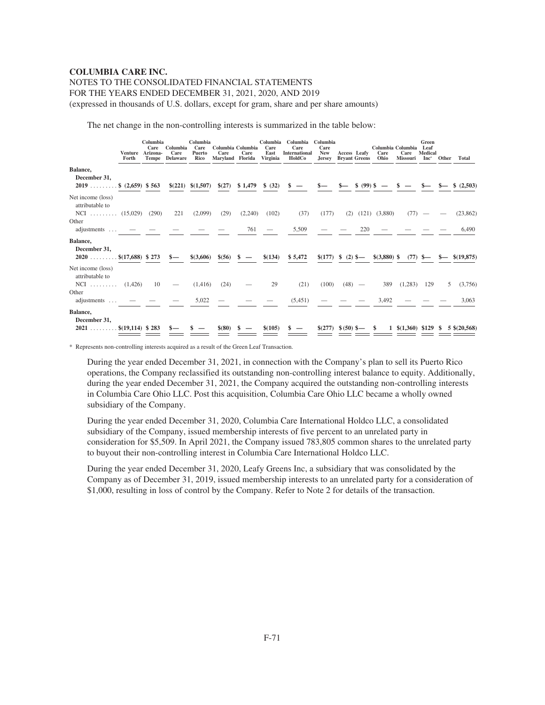# NOTES TO THE CONSOLIDATED FINANCIAL STATEMENTS

FOR THE YEARS ENDED DECEMBER 31, 2021, 2020, AND 2019

(expressed in thousands of U.S. dollars, except for gram, share and per share amounts)

The net change in the non-controlling interests is summarized in the table below:

|                                                                         | Venture Arizona-<br>Forth | Columbia<br>Care<br>Tempe | Columbia<br>Care<br>Delaware | Columbia<br>Care<br>Puerto<br>Rico | Columbia Columbia<br>Care<br>Maryland Florida | Care    | Columbia<br>Care<br>East<br>Virginia | Columbia<br>Care<br>International<br>HoldCo | Columbia<br>Care<br><b>New</b><br><b>Jersey</b> | Access Leafy | <b>Bryant Greens</b> | Care<br>Ohio  | Columbia Columbia<br>Care<br>Missouri | Green<br>Leaf<br>Medical<br>Inc <sup>*</sup> | <b>Other</b> | Total                        |
|-------------------------------------------------------------------------|---------------------------|---------------------------|------------------------------|------------------------------------|-----------------------------------------------|---------|--------------------------------------|---------------------------------------------|-------------------------------------------------|--------------|----------------------|---------------|---------------------------------------|----------------------------------------------|--------------|------------------------------|
| Balance,<br>December 31,<br>$2019$ \$ $(2,659)$ \$563                   |                           |                           |                              | $$(221) \$(1,507)$                 | \$(27)                                        | \$1,479 | \$ (32)                              |                                             |                                                 |              | $$ (99)$ \$          |               |                                       |                                              |              | \$ (2,503)                   |
| Net income (loss)<br>attributable to<br>NCI $(15.029)$ $(290)$<br>Other |                           |                           | 221                          | (2,099)                            | (29)                                          | (2,240) | (102)                                | (37)                                        | (177)                                           | (2)          | (121)                | (3,880)       | (77)                                  |                                              |              | (23, 862)                    |
| adjustments  —<br>Balance,                                              |                           |                           |                              |                                    |                                               | 761     |                                      | 5,509                                       |                                                 |              | 220                  |               |                                       |                                              |              | 6,490                        |
| December 31,<br>$2020$ \$(17,688) \$273                                 |                           |                           | $s-$                         | \$(3,606)                          | \$(56)                                        |         | \$(134)                              | \$5,472                                     | $$(177) \$ (2) \$$                              |              |                      | $$(3,880)$ \; |                                       |                                              |              | $(77)$ \$— \$— \$ $(19,875)$ |
| Net income (loss)<br>attributable to<br>NCI $(1,426)$                   |                           | 10                        |                              | (1,416)                            | (24)                                          |         | 29                                   | (21)                                        | (100)                                           |              | $(48)$ —             | 389           | (1,283)                               | 129                                          | 5            | (3,756)                      |
| Other<br>adjustments  —                                                 |                           |                           |                              | 5,022                              |                                               |         |                                      | (5,451)                                     |                                                 |              |                      | 3,492         |                                       |                                              |              | 3,063                        |
| Balance,<br>December 31,<br>$2021$                                      | $. \$ (19,114) $\$ 283    |                           |                              |                                    | \$(80)                                        |         | \$(105)                              |                                             | $$(277) \$(50) \$$ —                            |              |                      | - \$          | $1 \quad $(1,360) \quad $129 \quad $$ |                                              |              | $5 \, \text{\$} (20, 568)$   |

\* Represents non-controlling interests acquired as a result of the Green Leaf Transaction.

During the year ended December 31, 2021, in connection with the Company's plan to sell its Puerto Rico operations, the Company reclassified its outstanding non-controlling interest balance to equity. Additionally, during the year ended December 31, 2021, the Company acquired the outstanding non-controlling interests in Columbia Care Ohio LLC. Post this acquisition, Columbia Care Ohio LLC became a wholly owned subsidiary of the Company.

During the year ended December 31, 2020, Columbia Care International Holdco LLC, a consolidated subsidiary of the Company, issued membership interests of five percent to an unrelated party in consideration for \$5,509. In April 2021, the Company issued 783,805 common shares to the unrelated party to buyout their non-controlling interest in Columbia Care International Holdco LLC.

During the year ended December 31, 2020, Leafy Greens Inc, a subsidiary that was consolidated by the Company as of December 31, 2019, issued membership interests to an unrelated party for a consideration of \$1,000, resulting in loss of control by the Company. Refer to Note 2 for details of the transaction.